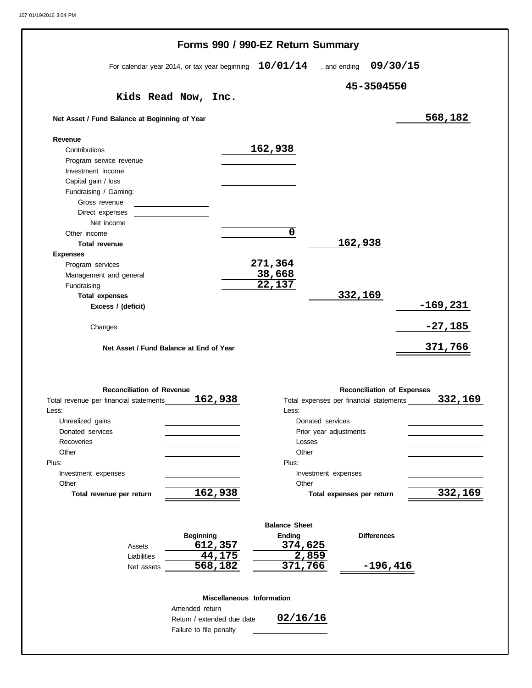|                                               | Forms 990 / 990-EZ Return Summary                     |                        |                                         |                    |
|-----------------------------------------------|-------------------------------------------------------|------------------------|-----------------------------------------|--------------------|
|                                               | For calendar year 2014, or tax year beginning         | 10/01/14               | 09/30/15<br>, and ending                |                    |
|                                               |                                                       |                        | 45-3504550                              |                    |
|                                               | Kids Read Now, Inc.                                   |                        |                                         |                    |
| Net Asset / Fund Balance at Beginning of Year |                                                       |                        |                                         | 568,182            |
| Revenue                                       |                                                       |                        |                                         |                    |
| Contributions                                 |                                                       | 162,938                |                                         |                    |
| Program service revenue                       |                                                       |                        |                                         |                    |
| Investment income                             |                                                       |                        |                                         |                    |
| Capital gain / loss                           |                                                       |                        |                                         |                    |
| Fundraising / Gaming:                         |                                                       |                        |                                         |                    |
| Gross revenue                                 |                                                       |                        |                                         |                    |
| Direct expenses                               |                                                       |                        |                                         |                    |
| Net income                                    |                                                       |                        |                                         |                    |
| Other income                                  |                                                       | $\mathbf 0$            |                                         |                    |
| <b>Total revenue</b>                          |                                                       |                        | 162,938                                 |                    |
| <b>Expenses</b>                               |                                                       |                        |                                         |                    |
| Program services                              |                                                       | 271,364                |                                         |                    |
| Management and general                        |                                                       | 38,668                 |                                         |                    |
| Fundraising                                   |                                                       | 22,137                 |                                         |                    |
| <b>Total expenses</b>                         |                                                       |                        | 332,169                                 |                    |
| Excess / (deficit)                            |                                                       |                        |                                         | $-169,231$         |
|                                               |                                                       |                        |                                         |                    |
| Changes                                       |                                                       |                        |                                         | $-27,185$          |
|                                               |                                                       |                        |                                         |                    |
|                                               | Net Asset / Fund Balance at End of Year               |                        |                                         | 371,766            |
|                                               |                                                       |                        |                                         |                    |
|                                               |                                                       |                        |                                         |                    |
| <b>Reconciliation of Revenue</b>              |                                                       |                        | <b>Reconciliation of Expenses</b>       |                    |
| Total revenue per financial statements        | 162,938                                               |                        | Total expenses per financial statements |                    |
| Less:                                         |                                                       | Less:                  |                                         |                    |
| Unrealized gains                              |                                                       | Donated services       |                                         |                    |
| Donated services                              |                                                       | Prior year adjustments |                                         |                    |
| Recoveries                                    |                                                       | Losses                 |                                         |                    |
| Other                                         |                                                       | Other                  |                                         |                    |
| Plus:                                         |                                                       | Plus:                  |                                         |                    |
| Investment expenses                           |                                                       | Investment expenses    |                                         |                    |
| Other                                         |                                                       | Other                  |                                         |                    |
| Total revenue per return                      | 162,938                                               |                        | Total expenses per return               |                    |
|                                               |                                                       |                        |                                         |                    |
|                                               |                                                       | <b>Balance Sheet</b>   |                                         |                    |
|                                               | <b>Beginning</b>                                      | <b>Ending</b>          | <b>Differences</b>                      |                    |
| Assets                                        | 612,357                                               | 374,625                |                                         |                    |
| Liabilities                                   | 44,175                                                | 2,859                  |                                         | 332,169<br>332,169 |
| Net assets                                    | 568,182                                               | 371,766                | $-196,416$                              |                    |
|                                               |                                                       |                        |                                         |                    |
|                                               | Miscellaneous Information                             |                        |                                         |                    |
|                                               | Amended return                                        |                        |                                         |                    |
|                                               | Return / extended due date<br>Failure to file penalty | 02/16/16               |                                         |                    |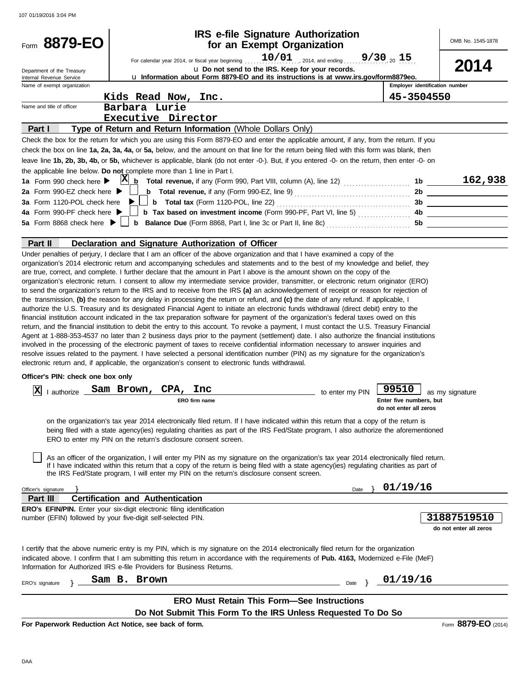| For calendar year 2014, or fiscal year beginning $\ldots$ $10/01$ , 2014, and ending<br>U Do not send to the IRS. Keep for your records.<br>Department of the Treasury<br>U Information about Form 8879-EO and its instructions is at www.irs.gov/form8879eo.<br>Internal Revenue Service<br>Name of exempt organization<br>Kids Read Now, Inc.<br>Name and title of officer<br>Barbara Lurie<br>Executive Director<br>Type of Return and Return Information (Whole Dollars Only)<br>Part I<br>Check the box for the return for which you are using this Form 8879-EO and enter the applicable amount, if any, from the return. If you                                                                                                                                                                                                                                                                                                                                                                                                                                                                                                                                                                                                                                                                                                                                                                                                                                                                               | $9/30_{20}$ 15<br>Employer identification number<br>45-3504550 | 2014                                                                                                                                                                                                                           |
|----------------------------------------------------------------------------------------------------------------------------------------------------------------------------------------------------------------------------------------------------------------------------------------------------------------------------------------------------------------------------------------------------------------------------------------------------------------------------------------------------------------------------------------------------------------------------------------------------------------------------------------------------------------------------------------------------------------------------------------------------------------------------------------------------------------------------------------------------------------------------------------------------------------------------------------------------------------------------------------------------------------------------------------------------------------------------------------------------------------------------------------------------------------------------------------------------------------------------------------------------------------------------------------------------------------------------------------------------------------------------------------------------------------------------------------------------------------------------------------------------------------------|----------------------------------------------------------------|--------------------------------------------------------------------------------------------------------------------------------------------------------------------------------------------------------------------------------|
|                                                                                                                                                                                                                                                                                                                                                                                                                                                                                                                                                                                                                                                                                                                                                                                                                                                                                                                                                                                                                                                                                                                                                                                                                                                                                                                                                                                                                                                                                                                      |                                                                |                                                                                                                                                                                                                                |
|                                                                                                                                                                                                                                                                                                                                                                                                                                                                                                                                                                                                                                                                                                                                                                                                                                                                                                                                                                                                                                                                                                                                                                                                                                                                                                                                                                                                                                                                                                                      |                                                                |                                                                                                                                                                                                                                |
|                                                                                                                                                                                                                                                                                                                                                                                                                                                                                                                                                                                                                                                                                                                                                                                                                                                                                                                                                                                                                                                                                                                                                                                                                                                                                                                                                                                                                                                                                                                      |                                                                |                                                                                                                                                                                                                                |
|                                                                                                                                                                                                                                                                                                                                                                                                                                                                                                                                                                                                                                                                                                                                                                                                                                                                                                                                                                                                                                                                                                                                                                                                                                                                                                                                                                                                                                                                                                                      |                                                                |                                                                                                                                                                                                                                |
|                                                                                                                                                                                                                                                                                                                                                                                                                                                                                                                                                                                                                                                                                                                                                                                                                                                                                                                                                                                                                                                                                                                                                                                                                                                                                                                                                                                                                                                                                                                      |                                                                |                                                                                                                                                                                                                                |
|                                                                                                                                                                                                                                                                                                                                                                                                                                                                                                                                                                                                                                                                                                                                                                                                                                                                                                                                                                                                                                                                                                                                                                                                                                                                                                                                                                                                                                                                                                                      |                                                                |                                                                                                                                                                                                                                |
|                                                                                                                                                                                                                                                                                                                                                                                                                                                                                                                                                                                                                                                                                                                                                                                                                                                                                                                                                                                                                                                                                                                                                                                                                                                                                                                                                                                                                                                                                                                      |                                                                |                                                                                                                                                                                                                                |
|                                                                                                                                                                                                                                                                                                                                                                                                                                                                                                                                                                                                                                                                                                                                                                                                                                                                                                                                                                                                                                                                                                                                                                                                                                                                                                                                                                                                                                                                                                                      |                                                                |                                                                                                                                                                                                                                |
| check the box on line 1a, 2a, 3a, 4a, or 5a, below, and the amount on that line for the return being filed with this form was blank, then<br>leave line 1b, 2b, 3b, 4b, or 5b, whichever is applicable, blank (do not enter -0-). But, if you entered -0- on the return, then enter -0- on<br>the applicable line below. Do not complete more than 1 line in Part I.<br>1a Form 990 check here $\blacktriangleright$                                                                                                                                                                                                                                                                                                                                                                                                                                                                                                                                                                                                                                                                                                                                                                                                                                                                                                                                                                                                                                                                                                 | 1 <sub>b</sub>                                                 | 162,938                                                                                                                                                                                                                        |
| <b>b</b> Total revenue, if any (Form 990-EZ, line 9) $\ldots$ $\ldots$ $\ldots$ $\ldots$ $\ldots$ $\ldots$<br>2a Form 990-EZ check here $\blacktriangleright$<br>3a Form 1120-POL check here                                                                                                                                                                                                                                                                                                                                                                                                                                                                                                                                                                                                                                                                                                                                                                                                                                                                                                                                                                                                                                                                                                                                                                                                                                                                                                                         |                                                                |                                                                                                                                                                                                                                |
| Form 990-PF check here $\blacktriangleright$<br><b>b</b> Tax based on investment income (Form 990-PF, Part VI, line 5)<br>4a                                                                                                                                                                                                                                                                                                                                                                                                                                                                                                                                                                                                                                                                                                                                                                                                                                                                                                                                                                                                                                                                                                                                                                                                                                                                                                                                                                                         |                                                                | 4b and the same state of the state of the state of the state of the state of the state of the state of the state of the state of the state of the state of the state of the state of the state of the state of the state of th |
| 5a Form 8868 check here $\blacktriangleright$                                                                                                                                                                                                                                                                                                                                                                                                                                                                                                                                                                                                                                                                                                                                                                                                                                                                                                                                                                                                                                                                                                                                                                                                                                                                                                                                                                                                                                                                        | 5b                                                             |                                                                                                                                                                                                                                |
|                                                                                                                                                                                                                                                                                                                                                                                                                                                                                                                                                                                                                                                                                                                                                                                                                                                                                                                                                                                                                                                                                                                                                                                                                                                                                                                                                                                                                                                                                                                      |                                                                |                                                                                                                                                                                                                                |
| Declaration and Signature Authorization of Officer<br>Part II                                                                                                                                                                                                                                                                                                                                                                                                                                                                                                                                                                                                                                                                                                                                                                                                                                                                                                                                                                                                                                                                                                                                                                                                                                                                                                                                                                                                                                                        |                                                                |                                                                                                                                                                                                                                |
| are true, correct, and complete. I further declare that the amount in Part I above is the amount shown on the copy of the<br>organization's electronic return. I consent to allow my intermediate service provider, transmitter, or electronic return originator (ERO)<br>to send the organization's return to the IRS and to receive from the IRS (a) an acknowledgement of receipt or reason for rejection of<br>the transmission, (b) the reason for any delay in processing the return or refund, and (c) the date of any refund. If applicable, I<br>authorize the U.S. Treasury and its designated Financial Agent to initiate an electronic funds withdrawal (direct debit) entry to the<br>financial institution account indicated in the tax preparation software for payment of the organization's federal taxes owed on this<br>return, and the financial institution to debit the entry to this account. To revoke a payment, I must contact the U.S. Treasury Financial<br>Agent at 1-888-353-4537 no later than 2 business days prior to the payment (settlement) date. I also authorize the financial institutions<br>involved in the processing of the electronic payment of taxes to receive confidential information necessary to answer inquiries and<br>resolve issues related to the payment. I have selected a personal identification number (PIN) as my signature for the organization's<br>electronic return and, if applicable, the organization's consent to electronic funds withdrawal. |                                                                |                                                                                                                                                                                                                                |
| Officer's PIN: check one box only                                                                                                                                                                                                                                                                                                                                                                                                                                                                                                                                                                                                                                                                                                                                                                                                                                                                                                                                                                                                                                                                                                                                                                                                                                                                                                                                                                                                                                                                                    |                                                                |                                                                                                                                                                                                                                |
|                                                                                                                                                                                                                                                                                                                                                                                                                                                                                                                                                                                                                                                                                                                                                                                                                                                                                                                                                                                                                                                                                                                                                                                                                                                                                                                                                                                                                                                                                                                      |                                                                |                                                                                                                                                                                                                                |
| l authorize Sam Brown, CPA, Inc<br>$ {\bf X} $<br>to enter my PIN<br>ERO firm name                                                                                                                                                                                                                                                                                                                                                                                                                                                                                                                                                                                                                                                                                                                                                                                                                                                                                                                                                                                                                                                                                                                                                                                                                                                                                                                                                                                                                                   | 99510<br>Enter five numbers, but<br>do not enter all zeros     | as my signature                                                                                                                                                                                                                |
| on the organization's tax year 2014 electronically filed return. If I have indicated within this return that a copy of the return is<br>being filed with a state agency(ies) regulating charities as part of the IRS Fed/State program, I also authorize the aforementioned<br>ERO to enter my PIN on the return's disclosure consent screen.                                                                                                                                                                                                                                                                                                                                                                                                                                                                                                                                                                                                                                                                                                                                                                                                                                                                                                                                                                                                                                                                                                                                                                        |                                                                |                                                                                                                                                                                                                                |
| As an officer of the organization, I will enter my PIN as my signature on the organization's tax year 2014 electronically filed return.<br>If I have indicated within this return that a copy of the return is being filed with a state agency(ies) regulating charities as part of<br>the IRS Fed/State program, I will enter my PIN on the return's disclosure consent screen.                                                                                                                                                                                                                                                                                                                                                                                                                                                                                                                                                                                                                                                                                                                                                                                                                                                                                                                                                                                                                                                                                                                                     |                                                                |                                                                                                                                                                                                                                |
| Date<br>Officer's signature                                                                                                                                                                                                                                                                                                                                                                                                                                                                                                                                                                                                                                                                                                                                                                                                                                                                                                                                                                                                                                                                                                                                                                                                                                                                                                                                                                                                                                                                                          | 01/19/16                                                       |                                                                                                                                                                                                                                |
| <b>Certification and Authentication</b><br>Part III                                                                                                                                                                                                                                                                                                                                                                                                                                                                                                                                                                                                                                                                                                                                                                                                                                                                                                                                                                                                                                                                                                                                                                                                                                                                                                                                                                                                                                                                  |                                                                |                                                                                                                                                                                                                                |
| <b>ERO's EFIN/PIN.</b> Enter your six-digit electronic filing identification<br>number (EFIN) followed by your five-digit self-selected PIN.                                                                                                                                                                                                                                                                                                                                                                                                                                                                                                                                                                                                                                                                                                                                                                                                                                                                                                                                                                                                                                                                                                                                                                                                                                                                                                                                                                         |                                                                | 31887519510<br>do not enter all zeros                                                                                                                                                                                          |
| I certify that the above numeric entry is my PIN, which is my signature on the 2014 electronically filed return for the organization<br>indicated above. I confirm that I am submitting this return in accordance with the requirements of Pub. 4163, Modernized e-File (MeF)<br>Information for Authorized IRS e-file Providers for Business Returns.                                                                                                                                                                                                                                                                                                                                                                                                                                                                                                                                                                                                                                                                                                                                                                                                                                                                                                                                                                                                                                                                                                                                                               |                                                                |                                                                                                                                                                                                                                |
| Sam B. Brown<br>ERO's signature<br>Date                                                                                                                                                                                                                                                                                                                                                                                                                                                                                                                                                                                                                                                                                                                                                                                                                                                                                                                                                                                                                                                                                                                                                                                                                                                                                                                                                                                                                                                                              | 01/19/16                                                       |                                                                                                                                                                                                                                |
|                                                                                                                                                                                                                                                                                                                                                                                                                                                                                                                                                                                                                                                                                                                                                                                                                                                                                                                                                                                                                                                                                                                                                                                                                                                                                                                                                                                                                                                                                                                      |                                                                |                                                                                                                                                                                                                                |
| <b>ERO Must Retain This Form-See Instructions</b><br>Do Not Submit This Form To the IRS Unless Requested To Do So                                                                                                                                                                                                                                                                                                                                                                                                                                                                                                                                                                                                                                                                                                                                                                                                                                                                                                                                                                                                                                                                                                                                                                                                                                                                                                                                                                                                    |                                                                | 0070F <sub>0</sub>                                                                                                                                                                                                             |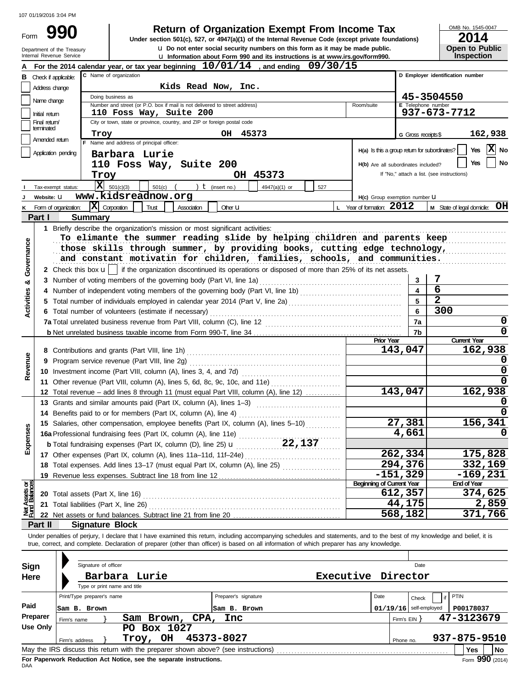Form

Department of the Treasury<br>Internal Boyonye Sension

Internal Revenue Service **Internation about Form 990 and its instructions is at www.irs.gov/form990.** u **Do not enter social security numbers on this form as it may be made public. Open to Public 990 1990 2014 Dunder section 501(c), 527, or 4947(a)(1) of the Internal Revenue Code (except private foundations) 2014** 

OMB No. 1545-0047

|            | ----                  |
|------------|-----------------------|
|            | <b>Open to Public</b> |
|            |                       |
| Inspection |                       |
|            |                       |

|                                |                                                                                          |                                                                                   | O information about Form 990 and its instructions is at www.irs.gov/rorm990.                                                                                               |                                               |                          | <b>IIISPECUOLI</b>                         |                   |  |  |
|--------------------------------|------------------------------------------------------------------------------------------|-----------------------------------------------------------------------------------|----------------------------------------------------------------------------------------------------------------------------------------------------------------------------|-----------------------------------------------|--------------------------|--------------------------------------------|-------------------|--|--|
|                                |                                                                                          | For the 2014 calendar year, or tax year beginning $10/01/14$ , and ending         | 09/30/15                                                                                                                                                                   |                                               |                          |                                            |                   |  |  |
|                                | <b>B</b> Check if applicable:                                                            | C Name of organization                                                            |                                                                                                                                                                            |                                               |                          | D Employer identification number           |                   |  |  |
|                                | Address change                                                                           |                                                                                   | Kids Read Now, Inc.                                                                                                                                                        |                                               |                          |                                            |                   |  |  |
|                                | Name change                                                                              | Doing business as                                                                 |                                                                                                                                                                            |                                               | 45-3504550               |                                            |                   |  |  |
|                                | Number and street (or P.O. box if mail is not delivered to street address)<br>Room/suite |                                                                                   |                                                                                                                                                                            |                                               |                          | E Telephone number<br>937-673-7712         |                   |  |  |
|                                | Initial return                                                                           | 110 Foss Way, Suite 200                                                           |                                                                                                                                                                            |                                               |                          |                                            |                   |  |  |
|                                | Final return<br>terminated                                                               | City or town, state or province, country, and ZIP or foreign postal code          |                                                                                                                                                                            |                                               |                          |                                            |                   |  |  |
|                                | Amended return                                                                           | Troy                                                                              | OH 45373                                                                                                                                                                   |                                               | G Gross receipts\$       |                                            | 162,938           |  |  |
|                                |                                                                                          | F Name and address of principal officer:                                          |                                                                                                                                                                            | H(a) Is this a group return for subordinates? |                          | Yes                                        | $ \mathbf{X} $ No |  |  |
|                                | Application pending                                                                      | Barbara Lurie                                                                     |                                                                                                                                                                            |                                               |                          |                                            |                   |  |  |
|                                |                                                                                          | 110 Foss Way, Suite 200                                                           |                                                                                                                                                                            | H(b) Are all subordinates included?           |                          | Yes                                        | No                |  |  |
|                                |                                                                                          | Troy                                                                              | OH 45373                                                                                                                                                                   |                                               |                          | If "No," attach a list. (see instructions) |                   |  |  |
|                                | Tax-exempt status:                                                                       | $ \mathbf{X} $ 501(c)(3)<br>$501(c)$ (                                            | ) $t$ (insert no.)<br>4947(a)(1) or<br>527                                                                                                                                 |                                               |                          |                                            |                   |  |  |
|                                | Website: U                                                                               | www.kidsreadnow.org                                                               |                                                                                                                                                                            | H(c) Group exemption number U                 |                          |                                            |                   |  |  |
|                                | Form of organization:                                                                    | $ \mathbf{X} $ Corporation<br>Trust<br>Association                                | Other <b>LI</b>                                                                                                                                                            | L Year of formation: 2012                     |                          | $M$ State of legal domicile: $OH$          |                   |  |  |
|                                | Part I                                                                                   |                                                                                   |                                                                                                                                                                            |                                               |                          |                                            |                   |  |  |
|                                |                                                                                          | <b>Summary</b>                                                                    |                                                                                                                                                                            |                                               |                          |                                            |                   |  |  |
|                                |                                                                                          | 1 Briefly describe the organization's mission or most significant activities:     |                                                                                                                                                                            |                                               |                          |                                            |                   |  |  |
|                                |                                                                                          |                                                                                   | To elimante the summer reading slide by helping children and parents keep                                                                                                  |                                               |                          |                                            |                   |  |  |
|                                |                                                                                          |                                                                                   | those skills through summer, by providing books, cutting edge technology,                                                                                                  |                                               |                          |                                            |                   |  |  |
|                                |                                                                                          |                                                                                   | and constant motivatin for children, families, schools, and communities.                                                                                                   |                                               |                          |                                            |                   |  |  |
| Governance                     |                                                                                          |                                                                                   | 2 Check this box $u$   if the organization discontinued its operations or disposed of more than 25% of its net assets.                                                     |                                               |                          |                                            |                   |  |  |
| ೲ                              |                                                                                          | 3 Number of voting members of the governing body (Part VI, line 1a)               |                                                                                                                                                                            |                                               |                          | 7                                          |                   |  |  |
|                                |                                                                                          |                                                                                   |                                                                                                                                                                            |                                               | $\overline{\mathbf{4}}$  | 6                                          |                   |  |  |
|                                |                                                                                          |                                                                                   |                                                                                                                                                                            |                                               | 5                        | $\overline{2}$                             |                   |  |  |
| Activities                     |                                                                                          | 6 Total number of volunteers (estimate if necessary)                              |                                                                                                                                                                            |                                               | 6                        | 300                                        |                   |  |  |
|                                |                                                                                          |                                                                                   |                                                                                                                                                                            |                                               | 7a                       |                                            | 0                 |  |  |
|                                |                                                                                          |                                                                                   |                                                                                                                                                                            |                                               | 7b                       |                                            | 0                 |  |  |
|                                |                                                                                          |                                                                                   |                                                                                                                                                                            | <b>Prior Year</b>                             |                          | <b>Current Year</b>                        |                   |  |  |
|                                |                                                                                          |                                                                                   |                                                                                                                                                                            |                                               | 143,047                  |                                            | 162,938           |  |  |
|                                |                                                                                          | 9 Program service revenue (Part VIII, line 2g)                                    |                                                                                                                                                                            |                                               |                          |                                            |                   |  |  |
| Revenue                        |                                                                                          |                                                                                   |                                                                                                                                                                            |                                               |                          |                                            |                   |  |  |
|                                |                                                                                          |                                                                                   |                                                                                                                                                                            |                                               |                          |                                            |                   |  |  |
|                                |                                                                                          |                                                                                   | 11 Other revenue (Part VIII, column (A), lines 5, 6d, 8c, 9c, 10c, and 11e)                                                                                                |                                               |                          |                                            |                   |  |  |
|                                |                                                                                          |                                                                                   | 12 Total revenue – add lines 8 through 11 (must equal Part VIII, column (A), line 12)                                                                                      |                                               | 143,047                  |                                            | 162,938           |  |  |
|                                |                                                                                          |                                                                                   | 13 Grants and similar amounts paid (Part IX, column (A), lines 1-3)                                                                                                        |                                               |                          |                                            |                   |  |  |
|                                |                                                                                          |                                                                                   |                                                                                                                                                                            |                                               |                          |                                            |                   |  |  |
|                                |                                                                                          |                                                                                   | 15 Salaries, other compensation, employee benefits (Part IX, column (A), lines 5-10)                                                                                       |                                               | 27,381                   |                                            | 156,341           |  |  |
| inses                          |                                                                                          | 16a Professional fundraising fees (Part IX, column (A), line 11e)                 |                                                                                                                                                                            |                                               | 4,661                    |                                            |                   |  |  |
|                                |                                                                                          | <b>b</b> Total fundraising expenses (Part IX, column (D), line 25) <b>u</b>       | 22,137                                                                                                                                                                     |                                               |                          |                                            |                   |  |  |
| ű                              |                                                                                          |                                                                                   |                                                                                                                                                                            |                                               | 262,334                  |                                            | 175,828           |  |  |
|                                |                                                                                          |                                                                                   | 18 Total expenses. Add lines 13-17 (must equal Part IX, column (A), line 25)                                                                                               |                                               | 294,376                  |                                            | 332,169           |  |  |
|                                |                                                                                          |                                                                                   |                                                                                                                                                                            |                                               | $-151,329$               |                                            | $-169,231$        |  |  |
|                                |                                                                                          |                                                                                   |                                                                                                                                                                            | <b>Beginning of Current Year</b>              |                          | <b>End of Year</b>                         |                   |  |  |
| Net Assets or<br>Fund Balances |                                                                                          | 20 Total assets (Part X, line 16)                                                 |                                                                                                                                                                            |                                               | 612,357                  |                                            | 374,625           |  |  |
|                                |                                                                                          | 21 Total liabilities (Part X, line 26)                                            |                                                                                                                                                                            |                                               | 44,175                   |                                            | 2,859             |  |  |
|                                |                                                                                          |                                                                                   |                                                                                                                                                                            |                                               | 568,182                  |                                            | 371,766           |  |  |
|                                | Part II                                                                                  | <b>Signature Block</b>                                                            |                                                                                                                                                                            |                                               |                          |                                            |                   |  |  |
|                                |                                                                                          |                                                                                   | Under penalties of perjury, I declare that I have examined this return, including accompanying schedules and statements, and to the best of my knowledge and belief, it is |                                               |                          |                                            |                   |  |  |
|                                |                                                                                          |                                                                                   | true, correct, and complete. Declaration of preparer (other than officer) is based on all information of which preparer has any knowledge.                                 |                                               |                          |                                            |                   |  |  |
|                                |                                                                                          |                                                                                   |                                                                                                                                                                            |                                               |                          |                                            |                   |  |  |
|                                |                                                                                          | Signature of officer                                                              |                                                                                                                                                                            |                                               | Date                     |                                            |                   |  |  |
| Sign                           |                                                                                          |                                                                                   |                                                                                                                                                                            |                                               |                          |                                            |                   |  |  |
| Here                           |                                                                                          | Barbara Lurie                                                                     |                                                                                                                                                                            | Executive Director                            |                          |                                            |                   |  |  |
|                                |                                                                                          | Type or print name and title                                                      |                                                                                                                                                                            |                                               |                          |                                            |                   |  |  |
|                                |                                                                                          | Print/Type preparer's name                                                        | Preparer's signature                                                                                                                                                       | Date                                          | Check                    | PTIN<br>if                                 |                   |  |  |
| Paid                           |                                                                                          | Sam B. Brown                                                                      | Sam B. Brown                                                                                                                                                               |                                               | $01/19/16$ self-employed | P00178037                                  |                   |  |  |
|                                | Preparer<br>Firm's name                                                                  | Sam Brown,<br>CPA,                                                                | Inc                                                                                                                                                                        |                                               | Firm's $EIN$ }           | 47-3123679                                 |                   |  |  |
|                                | Use Only                                                                                 | PO Box 1027                                                                       |                                                                                                                                                                            |                                               |                          |                                            |                   |  |  |
|                                | Firm's address                                                                           | Troy, OH                                                                          | 45373-8027                                                                                                                                                                 |                                               | Phone no.                | 937-875-9510                               |                   |  |  |
|                                |                                                                                          | May the IRS discuss this return with the preparer shown above? (see instructions) |                                                                                                                                                                            |                                               |                          | Yes                                        | No                |  |  |

| Sign<br>Here     | Signature of officer<br>Barbara            | Lurie<br>Type or print name and title                                                                                                                  |                                              | Executive | Director                       | Date                              |                                                  |
|------------------|--------------------------------------------|--------------------------------------------------------------------------------------------------------------------------------------------------------|----------------------------------------------|-----------|--------------------------------|-----------------------------------|--------------------------------------------------|
| Paid<br>Preparer | Print/Type preparer's name<br>Sam B. Brown | Sam Brown, CPA,                                                                                                                                        | Preparer's signature<br> Sam B. Brown<br>Inc |           | Date                           | Check<br>$01/19/16$ self-employed | PTIN<br>P00178037<br>47-3123679                  |
| Use Only         | Firm's name<br>Firm's address              | Box 1027<br>PO.<br>OH<br>Troy,                                                                                                                         | 45373-8027                                   |           | Firm's $EIN$ $\}$<br>Phone no. |                                   | 937-875-9510                                     |
|                  |                                            | May the IRS discuss this return with the preparer shown above? (see instructions)<br>For Panerwork Reduction Act Notice, see the senarate instructions |                                              |           |                                |                                   | No<br><b>Yes</b><br>$F_{\text{max}}$ QQ $\Omega$ |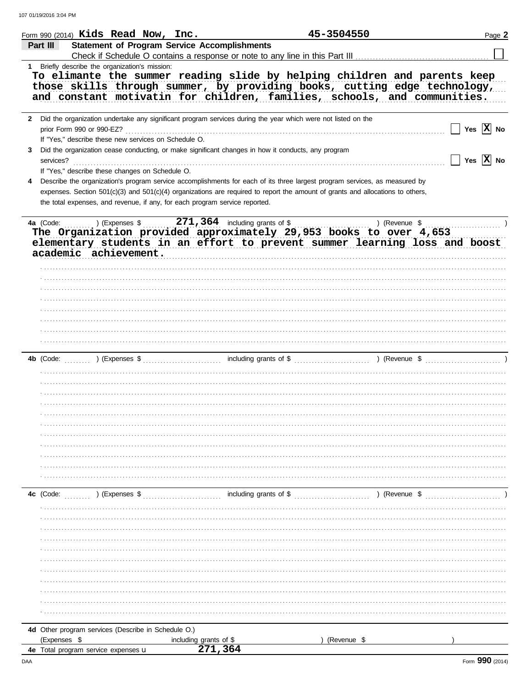|    | Form 990 (2014) Kids Read Now, Inc.                                                                                                                    |                                  | 45-3504550  |               | Page 2                |
|----|--------------------------------------------------------------------------------------------------------------------------------------------------------|----------------------------------|-------------|---------------|-----------------------|
|    | <b>Statement of Program Service Accomplishments</b><br>Part III                                                                                        |                                  |             |               |                       |
|    |                                                                                                                                                        |                                  |             |               |                       |
|    | 1 Briefly describe the organization's mission:                                                                                                         |                                  |             |               |                       |
|    | To elimante the summer reading slide by helping children and parents keep<br>those skills through summer, by providing books, cutting edge technology, |                                  |             |               |                       |
|    | and constant motivatin for children, families, schools, and communities.                                                                               |                                  |             |               |                       |
|    |                                                                                                                                                        |                                  |             |               |                       |
|    | 2 Did the organization undertake any significant program services during the year which were not listed on the                                         |                                  |             |               |                       |
|    | prior Form 990 or 990-EZ?                                                                                                                              |                                  |             |               | Yes $\overline{X}$ No |
|    | If "Yes," describe these new services on Schedule O.                                                                                                   |                                  |             |               |                       |
| 3. | Did the organization cease conducting, or make significant changes in how it conducts, any program                                                     |                                  |             |               |                       |
|    | services?                                                                                                                                              |                                  |             |               | Yes $\overline{X}$ No |
|    | If "Yes," describe these changes on Schedule O.                                                                                                        |                                  |             |               |                       |
| 4  | Describe the organization's program service accomplishments for each of its three largest program services, as measured by                             |                                  |             |               |                       |
|    | expenses. Section 501(c)(3) and 501(c)(4) organizations are required to report the amount of grants and allocations to others,                         |                                  |             |               |                       |
|    | the total expenses, and revenue, if any, for each program service reported.                                                                            |                                  |             |               |                       |
|    | ) (Expenses \$<br>4a (Code:                                                                                                                            | $271,364$ including grants of \$ |             | ) (Revenue \$ |                       |
|    | The Organization provided approximately 29,953 books to over 4,653                                                                                     |                                  |             |               |                       |
|    | elementary students in an effort to prevent summer learning loss and boost                                                                             |                                  |             |               |                       |
|    | academic achievement.                                                                                                                                  |                                  |             |               |                       |
|    |                                                                                                                                                        |                                  |             |               |                       |
|    |                                                                                                                                                        |                                  |             |               |                       |
|    |                                                                                                                                                        |                                  |             |               |                       |
|    |                                                                                                                                                        |                                  |             |               |                       |
|    |                                                                                                                                                        |                                  |             |               |                       |
|    |                                                                                                                                                        |                                  |             |               |                       |
|    |                                                                                                                                                        |                                  |             |               |                       |
|    |                                                                                                                                                        |                                  |             |               |                       |
|    |                                                                                                                                                        |                                  |             |               |                       |
|    |                                                                                                                                                        |                                  |             |               |                       |
|    |                                                                                                                                                        |                                  |             |               |                       |
|    |                                                                                                                                                        |                                  |             |               |                       |
|    |                                                                                                                                                        |                                  |             |               |                       |
|    |                                                                                                                                                        |                                  |             |               |                       |
|    |                                                                                                                                                        |                                  |             |               |                       |
|    |                                                                                                                                                        |                                  |             |               |                       |
|    |                                                                                                                                                        |                                  |             |               |                       |
|    |                                                                                                                                                        |                                  |             |               |                       |
|    |                                                                                                                                                        |                                  |             |               |                       |
|    |                                                                                                                                                        |                                  |             |               |                       |
|    | ) (Expenses \$<br>4c (Code:                                                                                                                            | including grants of \$           |             | ) (Revenue \$ |                       |
|    |                                                                                                                                                        |                                  |             |               |                       |
|    |                                                                                                                                                        |                                  |             |               |                       |
|    |                                                                                                                                                        |                                  |             |               |                       |
|    |                                                                                                                                                        |                                  |             |               |                       |
|    |                                                                                                                                                        |                                  |             |               |                       |
|    |                                                                                                                                                        |                                  |             |               |                       |
|    |                                                                                                                                                        |                                  |             |               |                       |
|    |                                                                                                                                                        |                                  |             |               |                       |
|    |                                                                                                                                                        |                                  |             |               |                       |
|    |                                                                                                                                                        |                                  |             |               |                       |
|    |                                                                                                                                                        |                                  |             |               |                       |
|    | 4d Other program services (Describe in Schedule O.)                                                                                                    |                                  |             |               |                       |
|    | (Expenses \$                                                                                                                                           | including grants of \$           | (Revenue \$ |               |                       |
|    | 4e Total program service expenses u                                                                                                                    | 271,364                          |             |               |                       |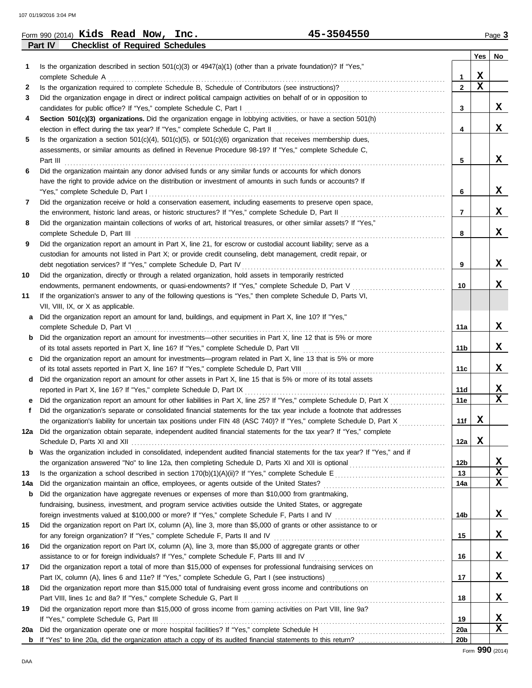|          | 45-3504550<br>Form 990 (2014) Kids Read Now, Inc.                                                                                                                                               |                 |     | Page 3 |
|----------|-------------------------------------------------------------------------------------------------------------------------------------------------------------------------------------------------|-----------------|-----|--------|
|          | <b>Checklist of Required Schedules</b><br>Part IV                                                                                                                                               |                 |     |        |
|          |                                                                                                                                                                                                 |                 | Yes | No     |
| 1.       | Is the organization described in section $501(c)(3)$ or $4947(a)(1)$ (other than a private foundation)? If "Yes,"                                                                               |                 |     |        |
|          | complete Schedule A                                                                                                                                                                             | 1               | х   |        |
| 2        | Is the organization required to complete Schedule B, Schedule of Contributors (see instructions)?                                                                                               | $\mathbf{2}$    | X   |        |
| 3        | Did the organization engage in direct or indirect political campaign activities on behalf of or in opposition to                                                                                |                 |     | X      |
| 4        | candidates for public office? If "Yes," complete Schedule C, Part I<br>Section 501(c)(3) organizations. Did the organization engage in lobbying activities, or have a section 501(h)            | 3               |     |        |
|          | election in effect during the tax year? If "Yes," complete Schedule C, Part II                                                                                                                  | 4               |     | x      |
| 5        | Is the organization a section 501(c)(4), 501(c)(5), or 501(c)(6) organization that receives membership dues,                                                                                    |                 |     |        |
|          | assessments, or similar amounts as defined in Revenue Procedure 98-19? If "Yes," complete Schedule C,                                                                                           |                 |     |        |
|          | Part III                                                                                                                                                                                        | 5               |     | x      |
| 6        | Did the organization maintain any donor advised funds or any similar funds or accounts for which donors                                                                                         |                 |     |        |
|          | have the right to provide advice on the distribution or investment of amounts in such funds or accounts? If                                                                                     |                 |     |        |
|          | "Yes," complete Schedule D, Part I                                                                                                                                                              | 6               |     | X      |
| 7        | Did the organization receive or hold a conservation easement, including easements to preserve open space,                                                                                       |                 |     |        |
|          | the environment, historic land areas, or historic structures? If "Yes," complete Schedule D, Part II                                                                                            | 7               |     | X      |
| 8        | Did the organization maintain collections of works of art, historical treasures, or other similar assets? If "Yes,"                                                                             |                 |     |        |
|          | complete Schedule D, Part III                                                                                                                                                                   | 8               |     | X      |
| 9        | Did the organization report an amount in Part X, line 21, for escrow or custodial account liability; serve as a                                                                                 |                 |     |        |
|          | custodian for amounts not listed in Part X; or provide credit counseling, debt management, credit repair, or                                                                                    |                 |     |        |
|          | debt negotiation services? If "Yes," complete Schedule D, Part IV                                                                                                                               | 9               |     | x      |
| 10       | Did the organization, directly or through a related organization, hold assets in temporarily restricted                                                                                         |                 |     |        |
|          | endowments, permanent endowments, or quasi-endowments? If "Yes," complete Schedule D, Part V                                                                                                    | 10              |     | x      |
| 11       | If the organization's answer to any of the following questions is "Yes," then complete Schedule D, Parts VI,<br>VII, VIII, IX, or X as applicable.                                              |                 |     |        |
|          | Did the organization report an amount for land, buildings, and equipment in Part X, line 10? If "Yes,"                                                                                          |                 |     |        |
|          | complete Schedule D, Part VI                                                                                                                                                                    | 11a             |     | x      |
|          | Did the organization report an amount for investments—other securities in Part X, line 12 that is 5% or more                                                                                    |                 |     |        |
|          | of its total assets reported in Part X, line 16? If "Yes," complete Schedule D, Part VII                                                                                                        | 11b             |     | X      |
|          | Did the organization report an amount for investments—program related in Part X, line 13 that is 5% or more                                                                                     |                 |     |        |
|          | of its total assets reported in Part X, line 16? If "Yes," complete Schedule D, Part VIII                                                                                                       | 11c             |     | x      |
| d        | Did the organization report an amount for other assets in Part X, line 15 that is 5% or more of its total assets                                                                                |                 |     |        |
|          | reported in Part X, line 16? If "Yes," complete Schedule D, Part IX                                                                                                                             | 11d             |     | X      |
|          | Did the organization report an amount for other liabilities in Part X, line 25? If "Yes," complete Schedule D, Part X                                                                           | 11e             |     | X      |
| f        | Did the organization's separate or consolidated financial statements for the tax year include a footnote that addresses                                                                         |                 |     |        |
|          | the organization's liability for uncertain tax positions under FIN 48 (ASC 740)? If "Yes," complete Schedule D, Part X                                                                          | 11f             | X   |        |
| 12a      | Did the organization obtain separate, independent audited financial statements for the tax year? If "Yes," complete                                                                             |                 |     |        |
|          |                                                                                                                                                                                                 | 12a             | X   |        |
| b        | Was the organization included in consolidated, independent audited financial statements for the tax year? If "Yes," and if                                                                      |                 |     |        |
|          |                                                                                                                                                                                                 | 12 <sub>b</sub> |     | X<br>X |
| 13       |                                                                                                                                                                                                 | 13<br>14a       |     | X      |
| 14a<br>b | Did the organization maintain an office, employees, or agents outside of the United States?<br>Did the organization have aggregate revenues or expenses of more than \$10,000 from grantmaking, |                 |     |        |
|          | fundraising, business, investment, and program service activities outside the United States, or aggregate                                                                                       |                 |     |        |
|          | foreign investments valued at \$100,000 or more? If "Yes," complete Schedule F, Parts I and IV [[[[[[[[[[[[[[[[                                                                                 | 14b             |     | X      |
| 15       | Did the organization report on Part IX, column (A), line 3, more than \$5,000 of grants or other assistance to or                                                                               |                 |     |        |
|          | for any foreign organization? If "Yes," complete Schedule F, Parts II and IV                                                                                                                    | 15              |     | X      |
| 16       | Did the organization report on Part IX, column (A), line 3, more than \$5,000 of aggregate grants or other                                                                                      |                 |     |        |
|          | assistance to or for foreign individuals? If "Yes," complete Schedule F, Parts III and IV                                                                                                       | 16              |     | X      |
| 17       | Did the organization report a total of more than \$15,000 of expenses for professional fundraising services on                                                                                  |                 |     |        |
|          |                                                                                                                                                                                                 | 17              |     | X      |
| 18       | Did the organization report more than \$15,000 total of fundraising event gross income and contributions on                                                                                     |                 |     |        |
|          | Part VIII, lines 1c and 8a? If "Yes," complete Schedule G, Part II                                                                                                                              | 18              |     | X      |
| 19       | Did the organization report more than \$15,000 of gross income from gaming activities on Part VIII, line 9a?                                                                                    |                 |     |        |
|          | If "Yes," complete Schedule G, Part III                                                                                                                                                         | 19              |     | X      |
| 20a      | Did the organization operate one or more hospital facilities? If "Yes," complete Schedule H                                                                                                     | 20a             |     | X      |
|          |                                                                                                                                                                                                 | 20 <sub>b</sub> |     |        |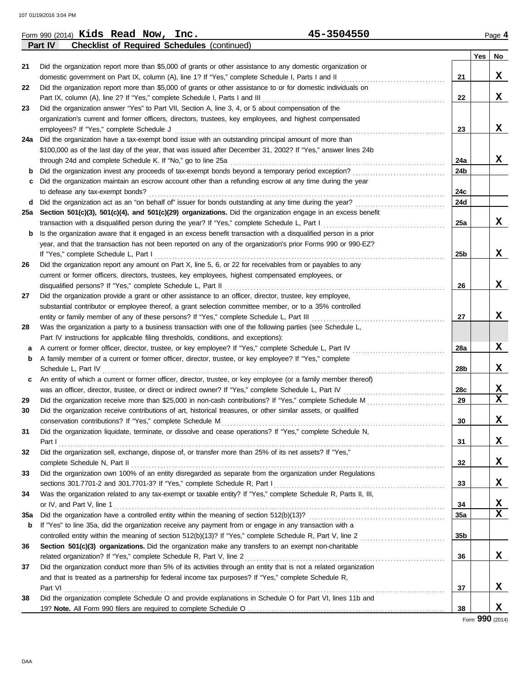|     | 45-3504550<br>Form 990 (2014) Kids Read Now, $Inc.$                                                              |                 |     | Page 4      |
|-----|------------------------------------------------------------------------------------------------------------------|-----------------|-----|-------------|
|     | Part IV<br><b>Checklist of Required Schedules (continued)</b>                                                    |                 |     |             |
|     |                                                                                                                  |                 | Yes | No          |
| 21  | Did the organization report more than \$5,000 of grants or other assistance to any domestic organization or      |                 |     |             |
|     | domestic government on Part IX, column (A), line 1? If "Yes," complete Schedule I, Parts I and II                | 21              |     | X           |
| 22  | Did the organization report more than \$5,000 of grants or other assistance to or for domestic individuals on    |                 |     |             |
|     | Part IX, column (A), line 2? If "Yes," complete Schedule I, Parts I and III                                      | 22              |     | X           |
| 23  | Did the organization answer "Yes" to Part VII, Section A, line 3, 4, or 5 about compensation of the              |                 |     |             |
|     | organization's current and former officers, directors, trustees, key employees, and highest compensated          |                 |     |             |
|     | employees? If "Yes," complete Schedule J                                                                         | 23              |     | X           |
| 24a | Did the organization have a tax-exempt bond issue with an outstanding principal amount of more than              |                 |     |             |
|     | \$100,000 as of the last day of the year, that was issued after December 31, 2002? If "Yes," answer lines 24b    |                 |     |             |
|     | through 24d and complete Schedule K. If "No," go to line 25a                                                     | 24a             |     | X           |
| b   | Did the organization invest any proceeds of tax-exempt bonds beyond a temporary period exception?                | 24b             |     |             |
| c   | Did the organization maintain an escrow account other than a refunding escrow at any time during the year        |                 |     |             |
|     | to defease any tax-exempt bonds?                                                                                 | 24c             |     |             |
| d   | Did the organization act as an "on behalf of" issuer for bonds outstanding at any time during the year?          | 24d             |     |             |
| 25а | Section 501(c)(3), 501(c)(4), and 501(c)(29) organizations. Did the organization engage in an excess benefit     |                 |     |             |
|     | transaction with a disqualified person during the year? If "Yes," complete Schedule L, Part I                    | 25a             |     | X           |
| b   | Is the organization aware that it engaged in an excess benefit transaction with a disqualified person in a prior |                 |     |             |
|     | year, and that the transaction has not been reported on any of the organization's prior Forms 990 or 990-EZ?     |                 |     |             |
|     | If "Yes," complete Schedule L, Part I                                                                            | 25 <sub>b</sub> |     | X           |
|     |                                                                                                                  |                 |     |             |
| 26  | Did the organization report any amount on Part X, line 5, 6, or 22 for receivables from or payables to any       |                 |     |             |
|     | current or former officers, directors, trustees, key employees, highest compensated employees, or                |                 |     | X           |
|     | disqualified persons? If "Yes," complete Schedule L, Part II                                                     | 26              |     |             |
| 27  | Did the organization provide a grant or other assistance to an officer, director, trustee, key employee,         |                 |     |             |
|     | substantial contributor or employee thereof, a grant selection committee member, or to a 35% controlled          |                 |     | X           |
|     | entity or family member of any of these persons? If "Yes," complete Schedule L, Part III                         | 27              |     |             |
| 28  | Was the organization a party to a business transaction with one of the following parties (see Schedule L,        |                 |     |             |
|     | Part IV instructions for applicable filing thresholds, conditions, and exceptions):                              |                 |     |             |
| а   | A current or former officer, director, trustee, or key employee? If "Yes," complete Schedule L, Part IV          | 28a             |     | X           |
| b   | A family member of a current or former officer, director, trustee, or key employee? If "Yes," complete           |                 |     |             |
|     | Schedule L, Part IV                                                                                              | 28b             |     | X           |
| c   | An entity of which a current or former officer, director, trustee, or key employee (or a family member thereof)  |                 |     |             |
|     | was an officer, director, trustee, or direct or indirect owner? If "Yes," complete Schedule L, Part IV           | 28c             |     | X           |
| 29  | Did the organization receive more than \$25,000 in non-cash contributions? If "Yes," complete Schedule M         | 29              |     | $\mathbf x$ |
| 30  | Did the organization receive contributions of art, historical treasures, or other similar assets, or qualified   |                 |     |             |
|     | conservation contributions? If "Yes," complete Schedule M                                                        | 30              |     | X           |
| 31  | Did the organization liquidate, terminate, or dissolve and cease operations? If "Yes," complete Schedule N,      |                 |     |             |
|     | Part I                                                                                                           | 31              |     | X           |
| 32  | Did the organization sell, exchange, dispose of, or transfer more than 25% of its net assets? If "Yes,"          |                 |     |             |
|     | complete Schedule N, Part II                                                                                     | 32              |     | X           |
| 33  | Did the organization own 100% of an entity disregarded as separate from the organization under Regulations       |                 |     |             |
|     |                                                                                                                  | 33              |     | X           |
| 34  | Was the organization related to any tax-exempt or taxable entity? If "Yes," complete Schedule R, Parts II, III,  |                 |     |             |
|     | or IV, and Part V, line 1                                                                                        | 34              |     | X           |
| 35a |                                                                                                                  | 35a             |     | $\mathbf x$ |
| b   | If "Yes" to line 35a, did the organization receive any payment from or engage in any transaction with a          |                 |     |             |
|     |                                                                                                                  | 35 <sub>b</sub> |     |             |
| 36  | Section 501(c)(3) organizations. Did the organization make any transfers to an exempt non-charitable             |                 |     |             |
|     | related organization? If "Yes," complete Schedule R, Part V, line 2                                              | 36              |     | X           |
| 37  | Did the organization conduct more than 5% of its activities through an entity that is not a related organization |                 |     |             |
|     | and that is treated as a partnership for federal income tax purposes? If "Yes," complete Schedule R,             |                 |     |             |
|     | Part VI                                                                                                          | 37              |     | X           |
| 38  | Did the organization complete Schedule O and provide explanations in Schedule O for Part VI, lines 11b and       |                 |     |             |
|     |                                                                                                                  | 38              |     | x           |
|     |                                                                                                                  |                 |     |             |

Form **990** (2014)

DAA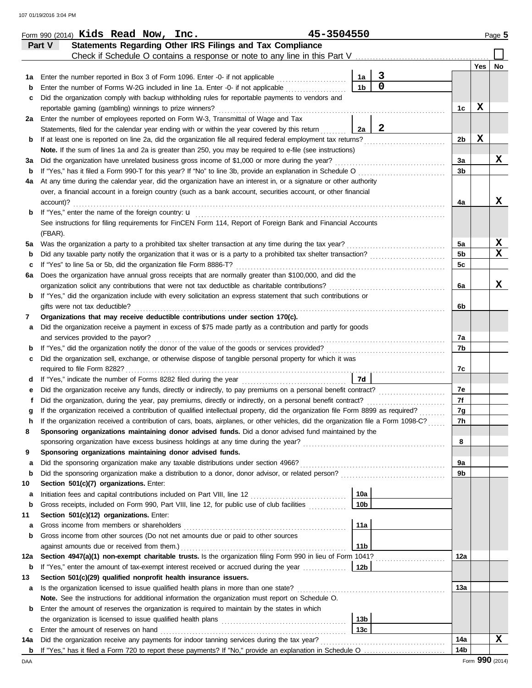|         | Form 990 (2014) Kids Read Now, $Inc.$                                                                                                                                                                                     | 45-3504550     |                 |                                           |                      |     | Page 5 |
|---------|---------------------------------------------------------------------------------------------------------------------------------------------------------------------------------------------------------------------------|----------------|-----------------|-------------------------------------------|----------------------|-----|--------|
|         | Statements Regarding Other IRS Filings and Tax Compliance<br>Part V                                                                                                                                                       |                |                 |                                           |                      |     |        |
|         | Check if Schedule O contains a response or note to any line in this Part V                                                                                                                                                |                |                 |                                           |                      |     |        |
|         |                                                                                                                                                                                                                           |                |                 |                                           |                      | Yes | No     |
| 1а      | Enter the number reported in Box 3 of Form 1096. Enter -0- if not applicable                                                                                                                                              |                | 1a              | $\overline{\mathbf{3}}$<br>$\overline{0}$ |                      |     |        |
| b       | Enter the number of Forms W-2G included in line 1a. Enter -0- if not applicable                                                                                                                                           | 1 <sub>b</sub> |                 |                                           |                      |     |        |
| c       | Did the organization comply with backup withholding rules for reportable payments to vendors and                                                                                                                          |                |                 |                                           |                      |     |        |
|         | reportable gaming (gambling) winnings to prize winners?                                                                                                                                                                   |                |                 |                                           | 1c                   | X   |        |
| 2a      | Enter the number of employees reported on Form W-3, Transmittal of Wage and Tax                                                                                                                                           |                |                 |                                           |                      |     |        |
|         | Statements, filed for the calendar year ending with or within the year covered by this return                                                                                                                             |                | 2a              | $\mathbf{2}$                              |                      |     |        |
| b       | If at least one is reported on line 2a, did the organization file all required federal employment tax returns?                                                                                                            |                |                 |                                           | 2b                   | X   |        |
|         | Note. If the sum of lines 1a and 2a is greater than 250, you may be required to e-file (see instructions)                                                                                                                 |                |                 |                                           |                      |     |        |
| За      | Did the organization have unrelated business gross income of \$1,000 or more during the year?                                                                                                                             |                |                 |                                           | 3a                   |     | x      |
| b       | If "Yes," has it filed a Form 990-T for this year? If "No" to line 3b, provide an explanation in Schedule O                                                                                                               |                |                 |                                           | 3b                   |     |        |
| 4a      | At any time during the calendar year, did the organization have an interest in, or a signature or other authority                                                                                                         |                |                 |                                           |                      |     |        |
|         | over, a financial account in a foreign country (such as a bank account, securities account, or other financial                                                                                                            |                |                 |                                           |                      |     | X      |
|         | account)?                                                                                                                                                                                                                 |                |                 |                                           | 4a                   |     |        |
| b       | If "Yes," enter the name of the foreign country: u<br>See instructions for filing requirements for FinCEN Form 114, Report of Foreign Bank and Financial Accounts                                                         |                |                 |                                           |                      |     |        |
|         |                                                                                                                                                                                                                           |                |                 |                                           |                      |     |        |
|         | (FBAR).                                                                                                                                                                                                                   |                |                 |                                           |                      |     | X      |
| 5a      | Was the organization a party to a prohibited tax shelter transaction at any time during the tax year?<br>Did any taxable party notify the organization that it was or is a party to a prohibited tax shelter transaction? |                |                 |                                           | 5a<br>5 <sub>b</sub> |     | X      |
| b       | If "Yes" to line 5a or 5b, did the organization file Form 8886-T?                                                                                                                                                         |                |                 |                                           | 5c                   |     |        |
| c<br>6а | Does the organization have annual gross receipts that are normally greater than \$100,000, and did the                                                                                                                    |                |                 |                                           |                      |     |        |
|         | organization solicit any contributions that were not tax deductible as charitable contributions?                                                                                                                          |                |                 |                                           | 6a                   |     | X      |
| b       | If "Yes," did the organization include with every solicitation an express statement that such contributions or                                                                                                            |                |                 |                                           |                      |     |        |
|         | gifts were not tax deductible?                                                                                                                                                                                            |                |                 |                                           | 6b                   |     |        |
| 7       | Organizations that may receive deductible contributions under section 170(c).                                                                                                                                             |                |                 |                                           |                      |     |        |
| а       | Did the organization receive a payment in excess of \$75 made partly as a contribution and partly for goods                                                                                                               |                |                 |                                           |                      |     |        |
|         | and services provided to the payor?                                                                                                                                                                                       |                |                 |                                           | 7a                   |     |        |
| b       |                                                                                                                                                                                                                           |                |                 |                                           | 7b                   |     |        |
| c       | Did the organization sell, exchange, or otherwise dispose of tangible personal property for which it was                                                                                                                  |                |                 |                                           |                      |     |        |
|         | required to file Form 8282?                                                                                                                                                                                               |                |                 |                                           | 7с                   |     |        |
| d       | If "Yes," indicate the number of Forms 8282 filed during the year                                                                                                                                                         |                | 7d              |                                           |                      |     |        |
| е       | Did the organization receive any funds, directly or indirectly, to pay premiums on a personal benefit contract?                                                                                                           |                |                 |                                           | 7e                   |     |        |
|         | Did the organization, during the year, pay premiums, directly or indirectly, on a personal benefit contract?                                                                                                              |                |                 |                                           | 7f                   |     |        |
|         | If the organization received a contribution of qualified intellectual property, did the organization file Form 8899 as required?                                                                                          |                |                 |                                           | 7g                   |     |        |
|         | If the organization received a contribution of cars, boats, airplanes, or other vehicles, did the organization file a Form 1098-C?                                                                                        |                |                 |                                           | 7h                   |     |        |
| 8       | Sponsoring organizations maintaining donor advised funds. Did a donor advised fund maintained by the                                                                                                                      |                |                 |                                           |                      |     |        |
|         |                                                                                                                                                                                                                           |                |                 |                                           | 8                    |     |        |
| 9       | Sponsoring organizations maintaining donor advised funds.                                                                                                                                                                 |                |                 |                                           |                      |     |        |
| a       | Did the sponsoring organization make any taxable distributions under section 4966?                                                                                                                                        |                |                 |                                           | 9а                   |     |        |
| b       | Did the sponsoring organization make a distribution to a donor, donor advisor, or related person?                                                                                                                         |                |                 |                                           | 9b                   |     |        |
| 10      | Section 501(c)(7) organizations. Enter:                                                                                                                                                                                   |                |                 |                                           |                      |     |        |
| а       | Initiation fees and capital contributions included on Part VIII, line 12 [11] [11] [12] [11] [12] [11] [12] [1                                                                                                            |                | 10a             |                                           |                      |     |        |
| b       | Gross receipts, included on Form 990, Part VIII, line 12, for public use of club facilities                                                                                                                               |                | 10b             |                                           |                      |     |        |
| 11      | Section 501(c)(12) organizations. Enter:                                                                                                                                                                                  |                |                 |                                           |                      |     |        |
| а       | Gross income from members or shareholders                                                                                                                                                                                 |                | 11a             |                                           |                      |     |        |
| b       | Gross income from other sources (Do not net amounts due or paid to other sources                                                                                                                                          |                |                 |                                           |                      |     |        |
|         | against amounts due or received from them.)                                                                                                                                                                               |                | 11 <sub>b</sub> |                                           |                      |     |        |
| 12a     | Section 4947(a)(1) non-exempt charitable trusts. Is the organization filing Form 990 in lieu of Form 1041?                                                                                                                |                |                 |                                           | 12a                  |     |        |
| b       | If "Yes," enter the amount of tax-exempt interest received or accrued during the year <i>minimizion</i> .                                                                                                                 |                | 12 <sub>b</sub> |                                           |                      |     |        |
| 13      | Section 501(c)(29) qualified nonprofit health insurance issuers.                                                                                                                                                          |                |                 |                                           |                      |     |        |
| а       | Is the organization licensed to issue qualified health plans in more than one state?                                                                                                                                      |                |                 |                                           | 13a                  |     |        |
|         | Note. See the instructions for additional information the organization must report on Schedule O.                                                                                                                         |                |                 |                                           |                      |     |        |
| b       | Enter the amount of reserves the organization is required to maintain by the states in which                                                                                                                              |                |                 |                                           |                      |     |        |
|         |                                                                                                                                                                                                                           |                | 13 <sub>b</sub> |                                           |                      |     |        |
| c       | Enter the amount of reserves on hand                                                                                                                                                                                      |                | 13 <sub>c</sub> |                                           |                      |     |        |
| 14a     | Did the organization receive any payments for indoor tanning services during the tax year?                                                                                                                                |                |                 |                                           | 14a                  |     | x      |
| b       | If "Yes," has it filed a Form 720 to report these payments? If "No," provide an explanation in Schedule O                                                                                                                 |                |                 |                                           | 14b                  |     |        |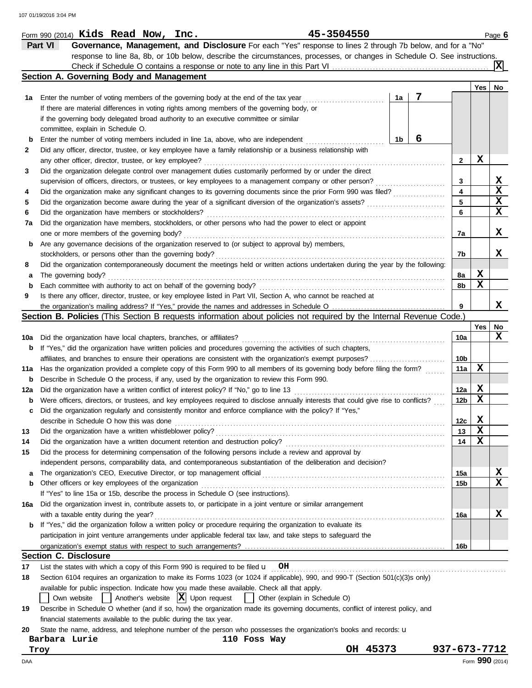|     | 45-3504550<br>Form 990 $(2014)$ Kids Read Now, Inc.                                                                                 |                 |       | Page 6          |
|-----|-------------------------------------------------------------------------------------------------------------------------------------|-----------------|-------|-----------------|
|     | Governance, Management, and Disclosure For each "Yes" response to lines 2 through 7b below, and for a "No"<br>Part VI               |                 |       |                 |
|     | response to line 8a, 8b, or 10b below, describe the circumstances, processes, or changes in Schedule O. See instructions.           |                 |       |                 |
|     |                                                                                                                                     |                 |       | X               |
|     | Section A. Governing Body and Management                                                                                            |                 |       |                 |
|     |                                                                                                                                     |                 | Yes l | No              |
| 1a  | 7<br>Enter the number of voting members of the governing body at the end of the tax year<br>1a                                      |                 |       |                 |
|     | If there are material differences in voting rights among members of the governing body, or                                          |                 |       |                 |
|     | if the governing body delegated broad authority to an executive committee or similar                                                |                 |       |                 |
|     | committee, explain in Schedule O.                                                                                                   |                 |       |                 |
| b   | 6<br>Enter the number of voting members included in line 1a, above, who are independent<br>1b                                       |                 |       |                 |
| 2   | Did any officer, director, trustee, or key employee have a family relationship or a business relationship with                      |                 |       |                 |
|     | any other officer, director, trustee, or key employee?                                                                              | 2               | X     |                 |
| 3   | Did the organization delegate control over management duties customarily performed by or under the direct                           |                 |       |                 |
|     | supervision of officers, directors, or trustees, or key employees to a management company or other person?                          | 3               |       | X               |
| 4   | Did the organization make any significant changes to its governing documents since the prior Form 990 was filed?                    | 4               |       | X               |
| 5   | Did the organization become aware during the year of a significant diversion of the organization's assets?                          | 5               |       | X               |
| 6   | Did the organization have members or stockholders?                                                                                  | 6               |       | $\mathbf x$     |
| 7a  | Did the organization have members, stockholders, or other persons who had the power to elect or appoint                             |                 |       |                 |
|     | one or more members of the governing body?                                                                                          | 7a              |       | x               |
| b   | Are any governance decisions of the organization reserved to (or subject to approval by) members,                                   |                 |       |                 |
|     | stockholders, or persons other than the governing body?                                                                             | 7b              |       | x               |
| 8   | Did the organization contemporaneously document the meetings held or written actions undertaken during the year by the following:   |                 |       |                 |
| а   | The governing body?                                                                                                                 | 8a              | X     |                 |
| b   | Each committee with authority to act on behalf of the governing body?                                                               | 8b              | X     |                 |
| 9   | Is there any officer, director, trustee, or key employee listed in Part VII, Section A, who cannot be reached at                    |                 |       |                 |
|     |                                                                                                                                     | 9               |       | x               |
|     | Section B. Policies (This Section B requests information about policies not required by the Internal Revenue Code.)                 |                 |       |                 |
|     |                                                                                                                                     |                 | Yes   | No              |
| 10a | Did the organization have local chapters, branches, or affiliates?                                                                  | 10a             |       | $\mathbf x$     |
| b   | If "Yes," did the organization have written policies and procedures governing the activities of such chapters,                      |                 |       |                 |
|     | affiliates, and branches to ensure their operations are consistent with the organization's exempt purposes?                         | 10b             |       |                 |
| 11a | Has the organization provided a complete copy of this Form 990 to all members of its governing body before filing the form?         | 11a             | х     |                 |
| b   | Describe in Schedule O the process, if any, used by the organization to review this Form 990.                                       |                 |       |                 |
| 12a | Did the organization have a written conflict of interest policy? If "No," go to line 13                                             | 12a             | X     |                 |
| b   | Were officers, directors, or trustees, and key employees required to disclose annually interests that could give rise to conflicts? | 12 <sub>b</sub> | X     |                 |
| с   | Did the organization regularly and consistently monitor and enforce compliance with the policy? If "Yes,"                           |                 |       |                 |
|     | describe in Schedule O how this was done                                                                                            | 12c             | х     |                 |
| 13  | Did the organization have a written whistleblower policy?                                                                           | 13              | X     |                 |
| 14  | Did the organization have a written document retention and destruction policy?                                                      | 14              | X     |                 |
| 15  | Did the process for determining compensation of the following persons include a review and approval by                              |                 |       |                 |
|     | independent persons, comparability data, and contemporaneous substantiation of the deliberation and decision?                       |                 |       |                 |
| а   |                                                                                                                                     | 15a             |       | x               |
| b   | Other officers or key employees of the organization                                                                                 | 15b             |       | X               |
|     | If "Yes" to line 15a or 15b, describe the process in Schedule O (see instructions).                                                 |                 |       |                 |
| 16a | Did the organization invest in, contribute assets to, or participate in a joint venture or similar arrangement                      |                 |       |                 |
|     | with a taxable entity during the year?                                                                                              | 16a             |       | х               |
| b   | If "Yes," did the organization follow a written policy or procedure requiring the organization to evaluate its                      |                 |       |                 |
|     | participation in joint venture arrangements under applicable federal tax law, and take steps to safeguard the                       |                 |       |                 |
|     |                                                                                                                                     | 16b             |       |                 |
|     | <b>Section C. Disclosure</b>                                                                                                        |                 |       |                 |
| 17  | List the states with which a copy of this Form 990 is required to be filed $\mu$ OH                                                 |                 |       |                 |
| 18  | Section 6104 requires an organization to make its Forms 1023 (or 1024 if applicable), 990, and 990-T (Section 501(c)(3)s only)      |                 |       |                 |
|     | available for public inspection. Indicate how you made these available. Check all that apply.                                       |                 |       |                 |
|     | Own website $\vert$ Another's website $\vert X \vert$ Upon request<br>Other (explain in Schedule O)                                 |                 |       |                 |
| 19  | Describe in Schedule O whether (and if so, how) the organization made its governing documents, conflict of interest policy, and     |                 |       |                 |
|     | financial statements available to the public during the tax year.                                                                   |                 |       |                 |
| 20  | State the name, address, and telephone number of the person who possesses the organization's books and records: u                   |                 |       |                 |
|     | Barbara Lurie<br>110 Foss Way                                                                                                       |                 |       |                 |
|     | OH 45373<br>Troy                                                                                                                    | 937-673-7712    |       |                 |
| DAA |                                                                                                                                     |                 |       | Form 990 (2014) |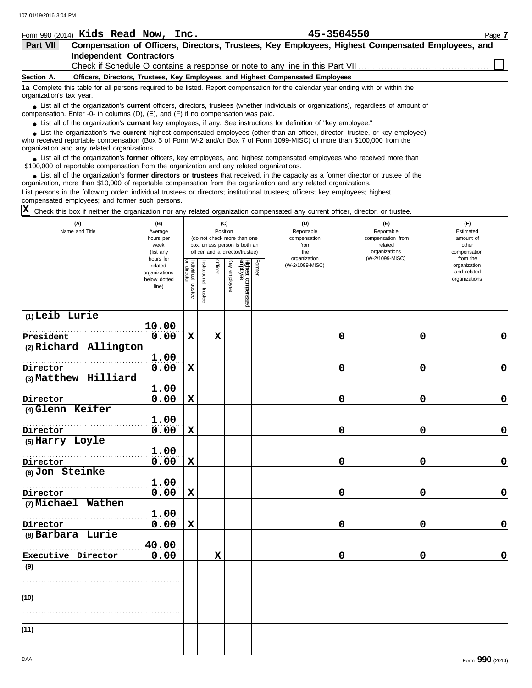|                          | Form 990 (2014) Kids Read Now, $Inc.$                                           | 45-3504550                                                                                                                                                                                                                                                              | Page 7 |
|--------------------------|---------------------------------------------------------------------------------|-------------------------------------------------------------------------------------------------------------------------------------------------------------------------------------------------------------------------------------------------------------------------|--------|
| Part VII                 |                                                                                 | Compensation of Officers, Directors, Trustees, Key Employees, Highest Compensated Employees, and                                                                                                                                                                        |        |
|                          | Independent Contractors                                                         | Check if Schedule O contains a response or note to any line in this Part VII <i>CHARG SCHOLD CHARG CONDI</i>                                                                                                                                                            |        |
| Section A.               | Officers, Directors, Trustees, Key Employees, and Highest Compensated Employees |                                                                                                                                                                                                                                                                         |        |
| organization's tax year. |                                                                                 | 1a Complete this table for all persons required to be listed. Report compensation for the calendar year ending with or within the<br>I jet all of the organization's current officers directors trustees (whether individuals or organizations) regardless of amount of |        |

List all of the organization's **current** officers, directors, trustees (whether individuals or organizations), regardless of amount of ● List all of the organization's **current** officers, directors, trustees (whether indicompensation. Enter -0- in columns (D), (E), and (F) if no compensation was paid.

● List all of the organization's **current** key employees, if any. See instructions for definition of "key employee."

who received reportable compensation (Box 5 of Form W-2 and/or Box 7 of Form 1099-MISC) of more than \$100,000 from the organization and any related organizations. ■ List the organization's five **current** highest compensated employees (other than an officer, director, trustee, or key employee)<br> **•** Processed reportable compensation (Box 5 of Form *M, 2 and/or Box 7 of Form 1000 MISC* 

■ List all of the organization's **former** officers, key employees, and highest compensated employees who received more than<br> **•** 00.000 of reportable compensation from the ergonization and any related ergonizations \$100,000 of reportable compensation from the organization and any related organizations.

■ List all of the organization's **former directors or trustees** that received, in the capacity as a former director or trustee of the<br>paization, more than \$10,000 of reportable compensation from the organization and any r organization, more than \$10,000 of reportable compensation from the organization and any related organizations. List persons in the following order: individual trustees or directors; institutional trustees; officers; key employees; highest

compensated employees; and former such persons.

 $\overline{X}$  Check this box if neither the organization nor any related organization compensated any current officer, director, or trustee.

| organization<br>(W-2/1099-MISC)<br>from the<br>hours for<br>Individual trustee<br>or director<br>Officer<br>Key employee<br>Highest compensated<br>employee<br>Former<br>Institutional<br>(W-2/1099-MISC)<br>related<br>organization<br>and related<br>organizations<br>organizations<br>below dotted<br>line)<br>trustee |             |
|---------------------------------------------------------------------------------------------------------------------------------------------------------------------------------------------------------------------------------------------------------------------------------------------------------------------------|-------------|
| (1) Leib Lurie<br>10.00                                                                                                                                                                                                                                                                                                   |             |
| 0.00<br>President<br>$\mathbf x$<br>$\mathbf x$<br>0<br>0                                                                                                                                                                                                                                                                 | 0           |
| (2) Richard Allington                                                                                                                                                                                                                                                                                                     |             |
| 1.00                                                                                                                                                                                                                                                                                                                      |             |
| 0.00<br>0<br>Director<br>$\mathbf x$<br>0                                                                                                                                                                                                                                                                                 | $\pmb{0}$   |
| (3) Matthew Hilliard                                                                                                                                                                                                                                                                                                      |             |
| 1.00                                                                                                                                                                                                                                                                                                                      |             |
| 0.00<br>$\mathbf x$<br>0<br>Director<br>0                                                                                                                                                                                                                                                                                 | $\mathbf 0$ |
| (4) Glenn Keifer                                                                                                                                                                                                                                                                                                          |             |
| 1.00<br>0.00<br>$\mathbf x$<br>0<br>0<br>Director                                                                                                                                                                                                                                                                         | $\mathbf 0$ |
| (5) Harry Loyle                                                                                                                                                                                                                                                                                                           |             |
| 1.00                                                                                                                                                                                                                                                                                                                      |             |
| 0.00<br>$\mathbf x$<br>$\mathbf 0$<br>Director<br>0                                                                                                                                                                                                                                                                       | $\mathbf 0$ |
| (6) Jon Steinke                                                                                                                                                                                                                                                                                                           |             |
| 1.00                                                                                                                                                                                                                                                                                                                      |             |
| 0.00<br>$\mathbf x$<br>0<br>0<br>Director                                                                                                                                                                                                                                                                                 | $\mathbf 0$ |
| (7) Michael Wathen                                                                                                                                                                                                                                                                                                        |             |
| 1.00                                                                                                                                                                                                                                                                                                                      |             |
| 0.00<br>$\mathbf x$<br>0<br>Director<br>0                                                                                                                                                                                                                                                                                 | $\mathbf 0$ |
| (8) Barbara Lurie                                                                                                                                                                                                                                                                                                         |             |
| 40.00<br>0.00<br>$\mathbf x$<br>0<br>0<br>Executive Director                                                                                                                                                                                                                                                              | $\mathbf 0$ |
|                                                                                                                                                                                                                                                                                                                           |             |
| (9)                                                                                                                                                                                                                                                                                                                       |             |
|                                                                                                                                                                                                                                                                                                                           |             |
| (10)                                                                                                                                                                                                                                                                                                                      |             |
|                                                                                                                                                                                                                                                                                                                           |             |
| (11)                                                                                                                                                                                                                                                                                                                      |             |
|                                                                                                                                                                                                                                                                                                                           |             |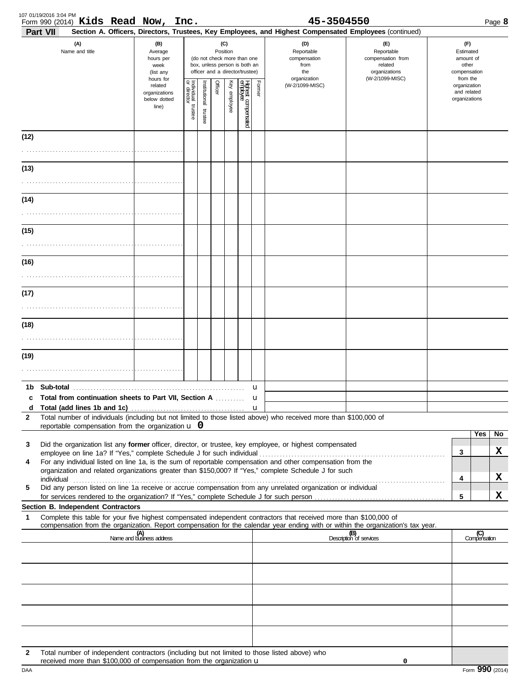|              | 107 01/19/2016 3:04 PM<br>Form 990 (2014) Kids Read Now, Inc.<br>Part VII                                                                                                                                                                                                                                                                       |                                                                |                                   |                       |         |                 |                                                                                                 |        | 45-3504550<br>Section A. Officers, Directors, Trustees, Key Employees, and Highest Compensated Employees (continued) |                                                                    | Page 8                                                   |
|--------------|-------------------------------------------------------------------------------------------------------------------------------------------------------------------------------------------------------------------------------------------------------------------------------------------------------------------------------------------------|----------------------------------------------------------------|-----------------------------------|-----------------------|---------|-----------------|-------------------------------------------------------------------------------------------------|--------|----------------------------------------------------------------------------------------------------------------------|--------------------------------------------------------------------|----------------------------------------------------------|
|              | (A)<br>Name and title                                                                                                                                                                                                                                                                                                                           | (B)<br>Average<br>hours per<br>week<br>(list any               |                                   |                       |         | (C)<br>Position | (do not check more than one<br>box, unless person is both an<br>officer and a director/trustee) |        | (D)<br>Reportable<br>compensation<br>from<br>the                                                                     | (F)<br>Reportable<br>compensation from<br>related<br>organizations | (F)<br>Estimated<br>amount of<br>other<br>compensation   |
|              |                                                                                                                                                                                                                                                                                                                                                 | hours for<br>related<br>organizations<br>below dotted<br>line) | Individual trustee<br>or director | Institutional trustee | Officer | Key employee    | Highest compensated<br>employee                                                                 | Former | organization<br>(W-2/1099-MISC)                                                                                      | (W-2/1099-MISC)                                                    | from the<br>organization<br>and related<br>organizations |
| (12)         |                                                                                                                                                                                                                                                                                                                                                 |                                                                |                                   |                       |         |                 |                                                                                                 |        |                                                                                                                      |                                                                    |                                                          |
|              |                                                                                                                                                                                                                                                                                                                                                 |                                                                |                                   |                       |         |                 |                                                                                                 |        |                                                                                                                      |                                                                    |                                                          |
| (13)         |                                                                                                                                                                                                                                                                                                                                                 |                                                                |                                   |                       |         |                 |                                                                                                 |        |                                                                                                                      |                                                                    |                                                          |
| (14)         |                                                                                                                                                                                                                                                                                                                                                 |                                                                |                                   |                       |         |                 |                                                                                                 |        |                                                                                                                      |                                                                    |                                                          |
| (15)         |                                                                                                                                                                                                                                                                                                                                                 |                                                                |                                   |                       |         |                 |                                                                                                 |        |                                                                                                                      |                                                                    |                                                          |
|              |                                                                                                                                                                                                                                                                                                                                                 |                                                                |                                   |                       |         |                 |                                                                                                 |        |                                                                                                                      |                                                                    |                                                          |
| (16)         |                                                                                                                                                                                                                                                                                                                                                 |                                                                |                                   |                       |         |                 |                                                                                                 |        |                                                                                                                      |                                                                    |                                                          |
| (17)         |                                                                                                                                                                                                                                                                                                                                                 |                                                                |                                   |                       |         |                 |                                                                                                 |        |                                                                                                                      |                                                                    |                                                          |
| (18)         |                                                                                                                                                                                                                                                                                                                                                 |                                                                |                                   |                       |         |                 |                                                                                                 |        |                                                                                                                      |                                                                    |                                                          |
|              |                                                                                                                                                                                                                                                                                                                                                 |                                                                |                                   |                       |         |                 |                                                                                                 |        |                                                                                                                      |                                                                    |                                                          |
| (19)         |                                                                                                                                                                                                                                                                                                                                                 |                                                                |                                   |                       |         |                 |                                                                                                 |        |                                                                                                                      |                                                                    |                                                          |
|              |                                                                                                                                                                                                                                                                                                                                                 |                                                                |                                   |                       |         |                 |                                                                                                 | u      |                                                                                                                      |                                                                    |                                                          |
| d            | c Total from continuation sheets to Part VII, Section A                                                                                                                                                                                                                                                                                         |                                                                |                                   |                       |         |                 |                                                                                                 |        |                                                                                                                      |                                                                    |                                                          |
| $\mathbf{2}$ | Total number of individuals (including but not limited to those listed above) who received more than \$100,000 of<br>reportable compensation from the organization $\boldsymbol{\cup}$ 0                                                                                                                                                        |                                                                |                                   |                       |         |                 |                                                                                                 |        |                                                                                                                      |                                                                    |                                                          |
| 3<br>4       | Did the organization list any former officer, director, or trustee, key employee, or highest compensated<br>For any individual listed on line 1a, is the sum of reportable compensation and other compensation from the<br>organization and related organizations greater than \$150,000? If "Yes," complete Schedule J for such                |                                                                |                                   |                       |         |                 |                                                                                                 |        |                                                                                                                      |                                                                    | Yes<br>No<br>x<br>3                                      |
| 5            | individual with the contract of the contract of the contract of the contract of the contract of the contract of the contract of the contract of the contract of the contract of the contract of the contract of the contract o<br>Did any person listed on line 1a receive or accrue compensation from any unrelated organization or individual |                                                                |                                   |                       |         |                 |                                                                                                 |        |                                                                                                                      |                                                                    | X<br>4                                                   |
|              | Section B. Independent Contractors                                                                                                                                                                                                                                                                                                              |                                                                |                                   |                       |         |                 |                                                                                                 |        |                                                                                                                      |                                                                    | x<br>5                                                   |
| 1            | Complete this table for your five highest compensated independent contractors that received more than \$100,000 of<br>compensation from the organization. Report compensation for the calendar year ending with or within the organization's tax year.                                                                                          | (A)<br>Name and business address                               |                                   |                       |         |                 |                                                                                                 |        |                                                                                                                      | (B)<br>Description of services                                     | (C)<br>Compensation                                      |
|              |                                                                                                                                                                                                                                                                                                                                                 |                                                                |                                   |                       |         |                 |                                                                                                 |        |                                                                                                                      |                                                                    |                                                          |
|              |                                                                                                                                                                                                                                                                                                                                                 |                                                                |                                   |                       |         |                 |                                                                                                 |        |                                                                                                                      |                                                                    |                                                          |
|              |                                                                                                                                                                                                                                                                                                                                                 |                                                                |                                   |                       |         |                 |                                                                                                 |        |                                                                                                                      |                                                                    |                                                          |
|              |                                                                                                                                                                                                                                                                                                                                                 |                                                                |                                   |                       |         |                 |                                                                                                 |        |                                                                                                                      |                                                                    |                                                          |
| $\mathbf{2}$ | Total number of independent contractors (including but not limited to those listed above) who                                                                                                                                                                                                                                                   |                                                                |                                   |                       |         |                 |                                                                                                 |        |                                                                                                                      |                                                                    |                                                          |
| DAA          | received more than \$100,000 of compensation from the organization u                                                                                                                                                                                                                                                                            |                                                                |                                   |                       |         |                 |                                                                                                 |        |                                                                                                                      | 0                                                                  | Form 990 (2014)                                          |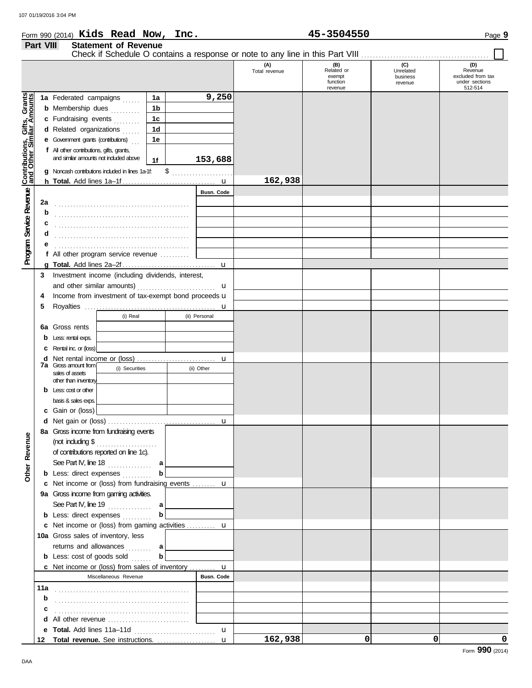| ۰. |  |
|----|--|
|    |  |

#### Form 990 (2014) Page **9 Kids Read Now, Inc. 45-3504550 Part VIII Statement of Revenue** Check if Schedule O contains a response or note to any line in this Part VIII. **(A) (B) (C) (D)** Unrelated<br>business Total revenue **Related or CONFORT CONFORT CONFORT REVENUE**<br>
exempt business excluded from tax exempt function under sections revenue 512-514 revenue fts, Grants **9,250 Contributions, Gifts, Grants and Other Similar Amounts 1a 1a** Federated campaigns ...... **1b b** Membership dues *. . . . .* . . . . **1c c** Fundraising events **. . . . . . .** ិ៍<u>ដ</u>ំ **1d d** Related organizations ...... **1e e** Government grants (contributions) . . . Program Service Reverue Contributions,<br>
Program Service Reverue and Other Sim **f** All other contributions, gifts, grants, and similar amounts not included above **153,688 1f** \$………………… **g** Noncash contributions included in lines 1a-1f: **162,938** u **h Total.** Add lines 1a–1f . . . . . . . . . . . . . . . . . . . . . . . . . . . . . . . . **Program Service Revenue Busn. Code 2a b c d** . . . . . . . . . . . . . . . . . . . . . . . . . . . . . . . . . . . . . . . . . . . . . . **e** . . . . . . . . . . . . . . . . . . . . . . . . . . . . . . . . . . . . . . . . . . . . . . **f** All other program service revenue . . . . . . . . . . **g Total.** Add lines 2a–2f . . . . . . . . . . . . . . . . . . . . . . . . . . . . . . . . u **3** Investment income (including dividends, interest, and other similar amounts) . . . . . . . . . . . . . . . . . . . . . . . . . . . u 4 Income from investment of tax-exempt bond proceeds **u 5** Royalties . . . . . . . . . . . . . . . . . . . . . . . . . . . . . . . . . . . . . . . . . . . . . u (i) Real (ii) Personal **6a** Gross rents **b** Less: rental exps. **c** Rental inc. or (loss) **d** Net rental income or (loss) ............................. u **7a** Gross amount from (i) Securities (ii) Other sales of assets other than inventory **b** Less: cost or other basis & sales exps. **c** Gain or (loss) **d** u Net gain or (loss) . . . . . . . . . . . . . . . . . . . . . . . . . . . . . . . . . . . . . **8a** Gross income from fundraising events **Other Revenue Other Revenue** (not including \$ . . . . . . . . . . . . . . . . . . . . . of contributions reported on line 1c). See Part IV, line 18 **a b b** Less: direct expenses . . . . . . . . . u **c** Net income or (loss) from fundraising events . . . . . . . . Gross income from gaming activities. **9a** See Part IV, line 19 **a b b** Less: direct expenses **........**.. u Net income or (loss) from gaming activities . . . . . . . . . . **c** 10a Gross sales of inventory, less returns and allowances . . . . . . . . . **a b b** Less: cost of goods sold ....... u Net income or (loss) from sales of inventory . . . . . . . . . **c** Miscellaneous Revenue **Busn. Code 11a b** . . . . . . . . . . . . . . . . . . . . . . . . . . . . . . . . . . . . . . . . . . . . . . **c d** All other revenue .............................. **e Total.** Add lines 11a–11d . . . . . . . . . . . . . . . . . . . . . . . . . . . . u

u

**162,938 0 0 0**

**Total revenue.** See instructions. . . . . . . . . . . . . . . . . . . . . **12**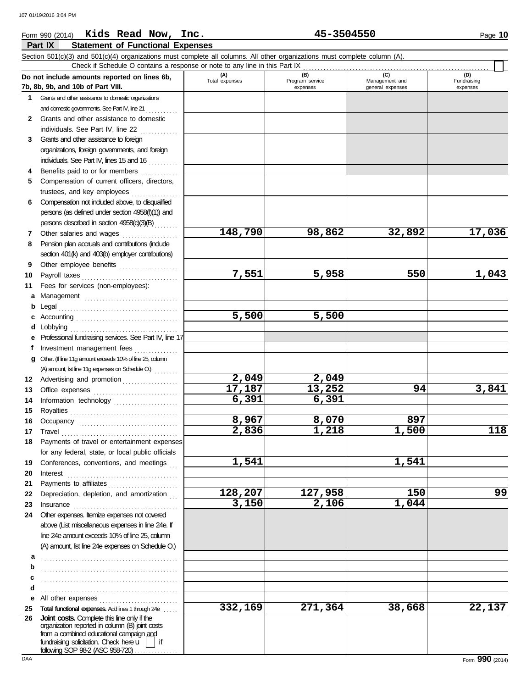#### **Part IX Statement of Functional Expenses** Form 990 (2014) Page **10 Kids Read Now, Inc. 45-3504550** Section 501(c)(3) and 501(c)(4) organizations must complete all columns. All other organizations must complete column (A). **Do not include amounts reported on lines 6b, 7b, 8b, 9b, and 10b of Part VIII. 1 2 3 4 5 6 7 8 9 10 11 a** Management ................................. **b** Legal . . . . . . . . . . . . . . . . . . . . . . . . . . . . . . . . . . . . . . . . . **c** Accounting . . . . . . . . . . . . . . . . . . . . . . . . . . . . . . . . . . . **d** Lobbying . . . . . . . . . . . . . . . . . . . . . . . . . . . . . . . . . . . . . **e** Professional fundraising services. See Part IV, line 17 **f g** Other. (If line 11g amount exceeds 10% of line 25, column **12** Advertising and promotion . . . . . . . . . . . . . . . . . . **13 14 15 16 17 18 19 20 21 22** Depreciation, depletion, and amortization ... **23 24** Other expenses. Itemize expenses not covered **a b c** Grants and other assistance to domestic organizations and domestic governments. See Part IV, line 21 . . . . . . . . . . . Grants and other assistance to domestic individuals. See Part IV, line 22 . . . . . . . . . . . . . Grants and other assistance to foreign organizations, foreign governments, and foreign individuals. See Part IV, lines 15 and 16 Benefits paid to or for members . . . . . . . . . . . . . Compensation of current officers, directors, trustees, and key employees ................ Compensation not included above, to disqualified persons (as defined under section 4958(f)(1)) and persons described in section 4958(c)(3)(B) . . . . . . . . Other salaries and wages ................... Pension plan accruals and contributions (include section 401(k) and 403(b) employer contributions) Other employee benefits .................... Payroll taxes . . . . . . . . . . . . . . . . . . . . . . . . . . . . . . . . . Fees for services (non-employees): Investment management fees ................ Office expenses ................................. Information technology ...................... Royalties . . . . . . . . . . . . . . . . . . . . . . . . . . . . . . . . . . . . . Occupancy . . . . . . . . . . . . . . . . . . . . . . . . . . . . . . . . . . Travel . . . . . . . . . . . . . . . . . . . . . . . . . . . . . . . . . . . . . . . . Payments of travel or entertainment expenses for any federal, state, or local public officials Conferences, conventions, and meetings Interest . . . . . . . . . . . . . . . . . . . . . . . . . . . . . . . . . . . . . . Payments to affiliates . . . . . . . . . . . . . . . . . . . . . . . . Insurance . . . . . . . . . . . . . . . . . . . . . . . . . . . . . . . . . . . . above (List miscellaneous expenses in line 24e. If line 24e amount exceeds 10% of line 25, column (A) amount, list line 24e expenses on Schedule O.) **(A) (B) (C) (D)** Total expenses Program service Management and expenses and general expenses (D)<br>Fundraising expenses . . . . . . . . . . . . . . . . . . . . . . . . . . . . . . . . . . . . . . . . . . . . . . . . . . . . . . . . . . . . . . . . . . . . . . . . . . . . . . . . . . . . . . . . . . . . . . Check if Schedule O contains a response or note to any line in this Part IX (A) amount, list line 11g expenses on Schedule O.)  $\ldots \ldots$ **148,790 98,862 32,892 17,036 7,551 5,958 550 1,043 5,500 5,500 2,049 2,049 17,187 13,252 94 3,841 6,391 6,391 8,967 8,070 897 2,836 1,218 1,500 118 1,541 1,541 128,207 127,958 150 99 3,150 2,106 1,044**

**d**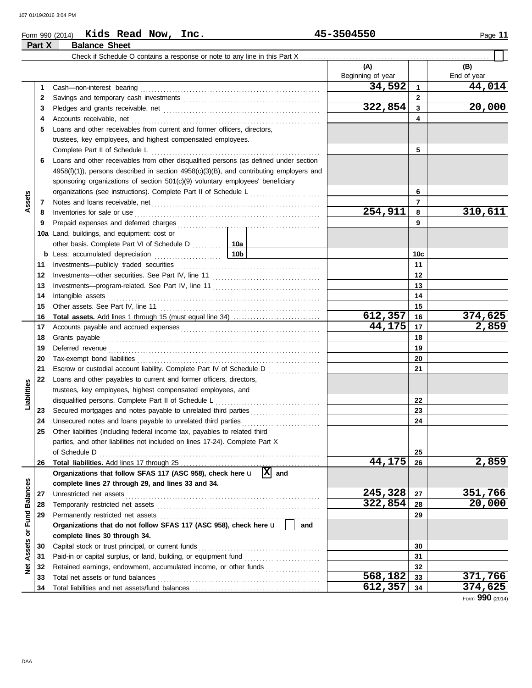# Form 990 (2014) Page **11 Kids Read Now, Inc. 45-3504550 Part X Balance Sheet**

|                 |          | Check if Schedule O contains a response or note to any line in this Part X                                                                                                                                                                                           |                      |                          |                |                    |
|-----------------|----------|----------------------------------------------------------------------------------------------------------------------------------------------------------------------------------------------------------------------------------------------------------------------|----------------------|--------------------------|----------------|--------------------|
|                 |          |                                                                                                                                                                                                                                                                      |                      | (A)<br>Beginning of year |                | (B)<br>End of year |
|                 | 1        |                                                                                                                                                                                                                                                                      |                      | 34,592                   | $\mathbf{1}$   | 44,014             |
|                 | 2        |                                                                                                                                                                                                                                                                      |                      | $\mathbf{2}$             |                |                    |
|                 | 3        |                                                                                                                                                                                                                                                                      | 322,854              | 3                        | 20,000         |                    |
|                 | 4        | Accounts receivable, net                                                                                                                                                                                                                                             |                      |                          | 4              |                    |
|                 | 5        | Loans and other receivables from current and former officers, directors,                                                                                                                                                                                             |                      |                          |                |                    |
|                 |          | trustees, key employees, and highest compensated employees.                                                                                                                                                                                                          |                      |                          |                |                    |
|                 |          | Complete Part II of Schedule L                                                                                                                                                                                                                                       |                      | 5                        |                |                    |
|                 | 6        | Loans and other receivables from other disqualified persons (as defined under section                                                                                                                                                                                |                      |                          |                |                    |
|                 |          | $4958(f)(1)$ , persons described in section $4958(c)(3)(B)$ , and contributing employers and                                                                                                                                                                         |                      |                          |                |                    |
|                 |          | sponsoring organizations of section 501(c)(9) voluntary employees' beneficiary                                                                                                                                                                                       |                      |                          |                |                    |
|                 |          |                                                                                                                                                                                                                                                                      |                      |                          | 6              |                    |
| Assets          | 7        |                                                                                                                                                                                                                                                                      |                      |                          | $\overline{7}$ |                    |
|                 | 8        | Inventories for sale or use                                                                                                                                                                                                                                          |                      | 254,911                  | 8              | 310,611            |
|                 | 9        | Prepaid expenses and deferred charges                                                                                                                                                                                                                                |                      |                          | 9              |                    |
|                 | 10a      | Land, buildings, and equipment: cost or                                                                                                                                                                                                                              |                      |                          |                |                    |
|                 |          | other basis. Complete Part VI of Schedule D                                                                                                                                                                                                                          | 10a                  |                          |                |                    |
|                 | b        | Less: accumulated depreciation                                                                                                                                                                                                                                       | 10b                  |                          | 10c            |                    |
|                 | 11       |                                                                                                                                                                                                                                                                      |                      |                          | 11             |                    |
|                 | 12       |                                                                                                                                                                                                                                                                      |                      |                          | $12 \,$        |                    |
|                 | 13       |                                                                                                                                                                                                                                                                      |                      |                          | 13             |                    |
|                 | 14       |                                                                                                                                                                                                                                                                      |                      |                          | 14             |                    |
|                 | 15       | Intangible assets with a state of the contract of the state of the state of the state of the state of the state of the state of the state of the state of the state of the state of the state of the state of the state of the<br>Other assets. See Part IV, line 11 |                      |                          | 15             |                    |
|                 | 16       |                                                                                                                                                                                                                                                                      |                      | 612,357                  | 16             | 374,625            |
|                 | 17       |                                                                                                                                                                                                                                                                      |                      | 44,175                   | 17             | 2,859              |
|                 | 18       | Grants payable                                                                                                                                                                                                                                                       |                      |                          | 18             |                    |
|                 | 19       | Deferred revenue                                                                                                                                                                                                                                                     |                      |                          | 19             |                    |
|                 | 20       |                                                                                                                                                                                                                                                                      |                      |                          | 20             |                    |
|                 | 21       | Escrow or custodial account liability. Complete Part IV of Schedule D                                                                                                                                                                                                |                      |                          | 21             |                    |
|                 |          |                                                                                                                                                                                                                                                                      |                      |                          |                |                    |
|                 | 22       | Loans and other payables to current and former officers, directors,                                                                                                                                                                                                  |                      |                          |                |                    |
| Liabilities     |          | trustees, key employees, highest compensated employees, and                                                                                                                                                                                                          |                      |                          |                |                    |
|                 |          | disqualified persons. Complete Part II of Schedule L                                                                                                                                                                                                                 |                      |                          | 22             |                    |
|                 | 23       | Secured mortgages and notes payable to unrelated third parties                                                                                                                                                                                                       |                      |                          | 23             |                    |
|                 | 24       | Unsecured notes and loans payable to unrelated third parties                                                                                                                                                                                                         |                      |                          | 24             |                    |
|                 | 25       | Other liabilities (including federal income tax, payables to related third                                                                                                                                                                                           |                      |                          |                |                    |
|                 |          | parties, and other liabilities not included on lines 17-24). Complete Part X<br>of Schedule D                                                                                                                                                                        |                      |                          | 25             |                    |
|                 | 26       |                                                                                                                                                                                                                                                                      |                      | 44,175                   | 26             | 2,859              |
|                 |          | Organizations that follow SFAS 117 (ASC 958), check here u                                                                                                                                                                                                           | $ \overline{X} $ and |                          |                |                    |
|                 |          | complete lines 27 through 29, and lines 33 and 34.                                                                                                                                                                                                                   |                      |                          |                |                    |
|                 | 27       | Unrestricted net assets                                                                                                                                                                                                                                              |                      | 245,328                  | 27             | 351,766            |
| <b>Balances</b> | 28       | Temporarily restricted net assets                                                                                                                                                                                                                                    |                      | 322,854                  | 28             | 20,000             |
|                 | 29       | Permanently restricted net assets                                                                                                                                                                                                                                    |                      |                          | 29             |                    |
| Fund            |          | Organizations that do not follow SFAS 117 (ASC 958), check here u                                                                                                                                                                                                    | and                  |                          |                |                    |
| ð               |          | complete lines 30 through 34.                                                                                                                                                                                                                                        |                      |                          |                |                    |
|                 | 30       | Capital stock or trust principal, or current funds                                                                                                                                                                                                                   |                      |                          | 30             |                    |
| Assets          |          |                                                                                                                                                                                                                                                                      |                      |                          | 31             |                    |
|                 | 31<br>32 | Retained earnings, endowment, accumulated income, or other funds                                                                                                                                                                                                     |                      |                          | 32             |                    |
| ğ               | 33       | Total net assets or fund balances                                                                                                                                                                                                                                    |                      | 568,182                  | 33             | 371,766            |
|                 | 34       |                                                                                                                                                                                                                                                                      |                      | 612,357                  | 34             | 374,625            |
|                 |          |                                                                                                                                                                                                                                                                      |                      |                          |                |                    |

Form **990** (2014)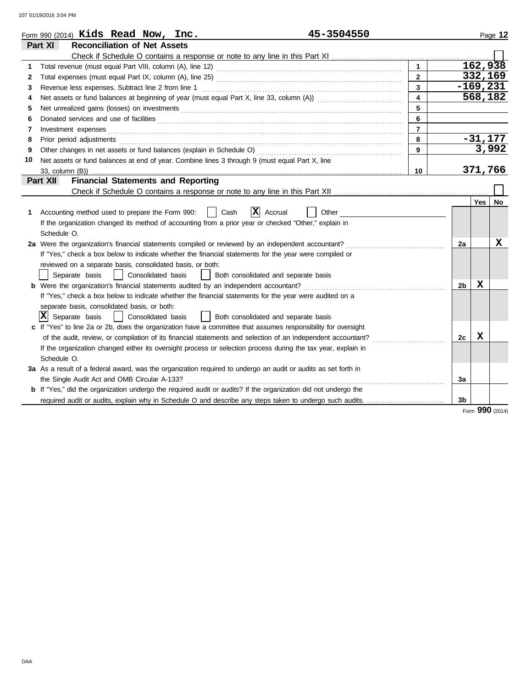|    | Form 990 (2014) Kids Read Now, $Inc.$<br>45-3504550                                                                                                                                                                            |                         |                |            | Page 12   |
|----|--------------------------------------------------------------------------------------------------------------------------------------------------------------------------------------------------------------------------------|-------------------------|----------------|------------|-----------|
|    | Part XI<br><b>Reconciliation of Net Assets</b>                                                                                                                                                                                 |                         |                |            |           |
|    |                                                                                                                                                                                                                                |                         |                |            |           |
| 1  |                                                                                                                                                                                                                                | $\mathbf{1}$            |                | 162,938    |           |
| 2  |                                                                                                                                                                                                                                | $2^{\circ}$             |                | 332,169    |           |
| 3  | Revenue less expenses. Subtract line 2 from line 1                                                                                                                                                                             | $\overline{3}$          |                | $-169,231$ |           |
| 4  |                                                                                                                                                                                                                                | $\overline{\mathbf{4}}$ |                | 568,182    |           |
| 5  |                                                                                                                                                                                                                                | 5                       |                |            |           |
| 6  |                                                                                                                                                                                                                                | 6                       |                |            |           |
| 7  | Investment expenses <b>contract and the expenses</b>                                                                                                                                                                           | $\overline{7}$          |                |            |           |
| 8  | Prior period adjustments entertainments and adjustments and account of the contract of the contract of the contract of the contract of the contract of the contract of the contract of the contract of the contract of the con | 8                       |                |            | $-31,177$ |
| 9  |                                                                                                                                                                                                                                | 9                       |                |            | 3,992     |
| 10 | Net assets or fund balances at end of year. Combine lines 3 through 9 (must equal Part X, line                                                                                                                                 |                         |                |            |           |
|    |                                                                                                                                                                                                                                | 10                      |                | 371,766    |           |
|    | <b>Financial Statements and Reporting</b><br>Part XII                                                                                                                                                                          |                         |                |            |           |
|    |                                                                                                                                                                                                                                |                         |                |            |           |
|    |                                                                                                                                                                                                                                |                         |                | Yes        | No        |
| 1  | <b>X</b><br>Accounting method used to prepare the Form 990:<br>Cash<br>Accrual<br>Other                                                                                                                                        |                         |                |            |           |
|    | If the organization changed its method of accounting from a prior year or checked "Other," explain in                                                                                                                          |                         |                |            |           |
|    | Schedule O.                                                                                                                                                                                                                    |                         |                |            |           |
|    | 2a Were the organization's financial statements compiled or reviewed by an independent accountant?                                                                                                                             |                         | 2a             |            | x         |
|    | If "Yes," check a box below to indicate whether the financial statements for the year were compiled or                                                                                                                         |                         |                |            |           |
|    | reviewed on a separate basis, consolidated basis, or both:                                                                                                                                                                     |                         |                |            |           |
|    | Consolidated basis     Both consolidated and separate basis<br>Separate basis                                                                                                                                                  |                         |                |            |           |
|    | <b>b</b> Were the organization's financial statements audited by an independent accountant?                                                                                                                                    |                         | 2b             | X          |           |
|    | If "Yes," check a box below to indicate whether the financial statements for the year were audited on a                                                                                                                        |                         |                |            |           |
|    | separate basis, consolidated basis, or both:                                                                                                                                                                                   |                         |                |            |           |
|    | $ \mathbf{X} $ Separate basis<br>Consolidated basis<br>  Both consolidated and separate basis                                                                                                                                  |                         |                |            |           |
|    | c If "Yes" to line 2a or 2b, does the organization have a committee that assumes responsibility for oversight                                                                                                                  |                         |                |            |           |
|    | of the audit, review, or compilation of its financial statements and selection of an independent accountant?                                                                                                                   |                         | 2c             | X          |           |
|    | If the organization changed either its oversight process or selection process during the tax year, explain in                                                                                                                  |                         |                |            |           |
|    | Schedule O.                                                                                                                                                                                                                    |                         |                |            |           |
|    | 3a As a result of a federal award, was the organization required to undergo an audit or audits as set forth in                                                                                                                 |                         |                |            |           |
|    | the Single Audit Act and OMB Circular A-133?                                                                                                                                                                                   |                         | За             |            |           |
|    | <b>b</b> If "Yes," did the organization undergo the required audit or audits? If the organization did not undergo the                                                                                                          |                         |                |            |           |
|    |                                                                                                                                                                                                                                |                         | 3 <sub>b</sub> |            |           |

Form **990** (2014)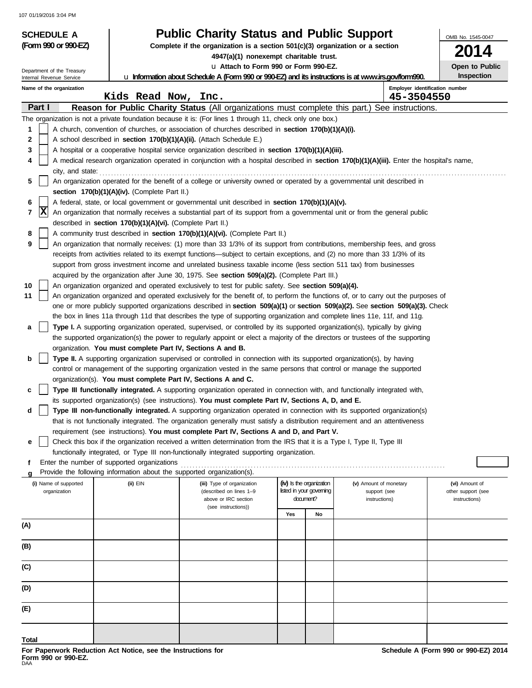| <b>SCHEDULE A</b>                                          |                                                                                                                                                                                        | <b>Public Charity Status and Public Support</b>                                                                                                                                                                                                           |     |                                                      |                                        | OMB No. 1545-0047                    |  |  |
|------------------------------------------------------------|----------------------------------------------------------------------------------------------------------------------------------------------------------------------------------------|-----------------------------------------------------------------------------------------------------------------------------------------------------------------------------------------------------------------------------------------------------------|-----|------------------------------------------------------|----------------------------------------|--------------------------------------|--|--|
| (Form 990 or 990-EZ)                                       |                                                                                                                                                                                        | Complete if the organization is a section $501(c)(3)$ organization or a section                                                                                                                                                                           |     |                                                      |                                        | 2014                                 |  |  |
|                                                            |                                                                                                                                                                                        | 4947(a)(1) nonexempt charitable trust.                                                                                                                                                                                                                    |     |                                                      |                                        | Open to Public                       |  |  |
| Department of the Treasury                                 | U Attach to Form 990 or Form 990-EZ.<br>Inspection<br>La Information about Schedule A (Form 990 or 990-EZ) and its instructions is at www.irs.gov/form990.<br>Internal Revenue Service |                                                                                                                                                                                                                                                           |     |                                                      |                                        |                                      |  |  |
| Employer identification number<br>Name of the organization |                                                                                                                                                                                        |                                                                                                                                                                                                                                                           |     |                                                      |                                        |                                      |  |  |
|                                                            | Kids Read Now, Inc.                                                                                                                                                                    |                                                                                                                                                                                                                                                           |     |                                                      | 45-3504550                             |                                      |  |  |
| Part I                                                     |                                                                                                                                                                                        | Reason for Public Charity Status (All organizations must complete this part.) See instructions.                                                                                                                                                           |     |                                                      |                                        |                                      |  |  |
|                                                            |                                                                                                                                                                                        | The organization is not a private foundation because it is: (For lines 1 through 11, check only one box.)                                                                                                                                                 |     |                                                      |                                        |                                      |  |  |
| 1                                                          |                                                                                                                                                                                        | A church, convention of churches, or association of churches described in section 170(b)(1)(A)(i).                                                                                                                                                        |     |                                                      |                                        |                                      |  |  |
| 2<br>3                                                     | A school described in section 170(b)(1)(A)(ii). (Attach Schedule E.)                                                                                                                   |                                                                                                                                                                                                                                                           |     |                                                      |                                        |                                      |  |  |
| 4                                                          | A hospital or a cooperative hospital service organization described in section 170(b)(1)(A)(iii).                                                                                      |                                                                                                                                                                                                                                                           |     |                                                      |                                        |                                      |  |  |
| city, and state:                                           | A medical research organization operated in conjunction with a hospital described in section 170(b)(1)(A)(iii). Enter the hospital's name,                                             |                                                                                                                                                                                                                                                           |     |                                                      |                                        |                                      |  |  |
| 5                                                          |                                                                                                                                                                                        | An organization operated for the benefit of a college or university owned or operated by a governmental unit described in                                                                                                                                 |     |                                                      |                                        |                                      |  |  |
|                                                            | section 170(b)(1)(A)(iv). (Complete Part II.)                                                                                                                                          |                                                                                                                                                                                                                                                           |     |                                                      |                                        |                                      |  |  |
| 6                                                          |                                                                                                                                                                                        | A federal, state, or local government or governmental unit described in section 170(b)(1)(A)(v).                                                                                                                                                          |     |                                                      |                                        |                                      |  |  |
| X<br>7                                                     |                                                                                                                                                                                        | An organization that normally receives a substantial part of its support from a governmental unit or from the general public                                                                                                                              |     |                                                      |                                        |                                      |  |  |
|                                                            | described in section 170(b)(1)(A)(vi). (Complete Part II.)                                                                                                                             | A community trust described in section 170(b)(1)(A)(vi). (Complete Part II.)                                                                                                                                                                              |     |                                                      |                                        |                                      |  |  |
| 8<br>9                                                     |                                                                                                                                                                                        | An organization that normally receives: (1) more than 33 1/3% of its support from contributions, membership fees, and gross                                                                                                                               |     |                                                      |                                        |                                      |  |  |
|                                                            |                                                                                                                                                                                        | receipts from activities related to its exempt functions—subject to certain exceptions, and (2) no more than 33 1/3% of its                                                                                                                               |     |                                                      |                                        |                                      |  |  |
|                                                            |                                                                                                                                                                                        | support from gross investment income and unrelated business taxable income (less section 511 tax) from businesses                                                                                                                                         |     |                                                      |                                        |                                      |  |  |
|                                                            |                                                                                                                                                                                        | acquired by the organization after June 30, 1975. See section 509(a)(2). (Complete Part III.)                                                                                                                                                             |     |                                                      |                                        |                                      |  |  |
| 10                                                         |                                                                                                                                                                                        | An organization organized and operated exclusively to test for public safety. See section 509(a)(4).                                                                                                                                                      |     |                                                      |                                        |                                      |  |  |
| 11                                                         |                                                                                                                                                                                        | An organization organized and operated exclusively for the benefit of, to perform the functions of, or to carry out the purposes of                                                                                                                       |     |                                                      |                                        |                                      |  |  |
|                                                            |                                                                                                                                                                                        | one or more publicly supported organizations described in section 509(a)(1) or section 509(a)(2). See section 509(a)(3). Check                                                                                                                            |     |                                                      |                                        |                                      |  |  |
|                                                            |                                                                                                                                                                                        | the box in lines 11a through 11d that describes the type of supporting organization and complete lines 11e, 11f, and 11g.<br>Type I. A supporting organization operated, supervised, or controlled by its supported organization(s), typically by giving  |     |                                                      |                                        |                                      |  |  |
| а                                                          |                                                                                                                                                                                        | the supported organization(s) the power to regularly appoint or elect a majority of the directors or trustees of the supporting                                                                                                                           |     |                                                      |                                        |                                      |  |  |
|                                                            | organization. You must complete Part IV, Sections A and B.                                                                                                                             |                                                                                                                                                                                                                                                           |     |                                                      |                                        |                                      |  |  |
| b                                                          |                                                                                                                                                                                        | Type II. A supporting organization supervised or controlled in connection with its supported organization(s), by having                                                                                                                                   |     |                                                      |                                        |                                      |  |  |
|                                                            |                                                                                                                                                                                        | control or management of the supporting organization vested in the same persons that control or manage the supported                                                                                                                                      |     |                                                      |                                        |                                      |  |  |
|                                                            | organization(s). You must complete Part IV, Sections A and C.                                                                                                                          |                                                                                                                                                                                                                                                           |     |                                                      |                                        |                                      |  |  |
| c                                                          |                                                                                                                                                                                        | Type III functionally integrated. A supporting organization operated in connection with, and functionally integrated with,                                                                                                                                |     |                                                      |                                        |                                      |  |  |
|                                                            |                                                                                                                                                                                        | its supported organization(s) (see instructions). You must complete Part IV, Sections A, D, and E.                                                                                                                                                        |     |                                                      |                                        |                                      |  |  |
|                                                            |                                                                                                                                                                                        | Type III non-functionally integrated. A supporting organization operated in connection with its supported organization(s)<br>that is not functionally integrated. The organization generally must satisfy a distribution requirement and an attentiveness |     |                                                      |                                        |                                      |  |  |
|                                                            |                                                                                                                                                                                        | requirement (see instructions). You must complete Part IV, Sections A and D, and Part V.                                                                                                                                                                  |     |                                                      |                                        |                                      |  |  |
| е                                                          |                                                                                                                                                                                        | Check this box if the organization received a written determination from the IRS that it is a Type I, Type II, Type III                                                                                                                                   |     |                                                      |                                        |                                      |  |  |
|                                                            |                                                                                                                                                                                        | functionally integrated, or Type III non-functionally integrated supporting organization.                                                                                                                                                                 |     |                                                      |                                        |                                      |  |  |
| f                                                          | Enter the number of supported organizations                                                                                                                                            |                                                                                                                                                                                                                                                           |     |                                                      |                                        |                                      |  |  |
|                                                            | Provide the following information about the supported organization(s).                                                                                                                 |                                                                                                                                                                                                                                                           |     |                                                      |                                        |                                      |  |  |
| (i) Name of supported<br>organization                      | (ii) EIN                                                                                                                                                                               | (iii) Type of organization<br>(described on lines 1-9                                                                                                                                                                                                     |     | (iv) Is the organization<br>listed in your governing | (v) Amount of monetary<br>support (see | (vi) Amount of<br>other support (see |  |  |
|                                                            |                                                                                                                                                                                        | above or IRC section                                                                                                                                                                                                                                      |     | document?                                            | instructions)                          | instructions)                        |  |  |
|                                                            |                                                                                                                                                                                        | (see instructions))                                                                                                                                                                                                                                       | Yes | No                                                   |                                        |                                      |  |  |
| (A)                                                        |                                                                                                                                                                                        |                                                                                                                                                                                                                                                           |     |                                                      |                                        |                                      |  |  |
|                                                            |                                                                                                                                                                                        |                                                                                                                                                                                                                                                           |     |                                                      |                                        |                                      |  |  |
| (B)                                                        |                                                                                                                                                                                        |                                                                                                                                                                                                                                                           |     |                                                      |                                        |                                      |  |  |
|                                                            |                                                                                                                                                                                        |                                                                                                                                                                                                                                                           |     |                                                      |                                        |                                      |  |  |
| (C)                                                        |                                                                                                                                                                                        |                                                                                                                                                                                                                                                           |     |                                                      |                                        |                                      |  |  |
|                                                            |                                                                                                                                                                                        |                                                                                                                                                                                                                                                           |     |                                                      |                                        |                                      |  |  |
| (D)                                                        |                                                                                                                                                                                        |                                                                                                                                                                                                                                                           |     |                                                      |                                        |                                      |  |  |
| (E)                                                        |                                                                                                                                                                                        |                                                                                                                                                                                                                                                           |     |                                                      |                                        |                                      |  |  |
|                                                            |                                                                                                                                                                                        |                                                                                                                                                                                                                                                           |     |                                                      |                                        |                                      |  |  |
|                                                            |                                                                                                                                                                                        |                                                                                                                                                                                                                                                           |     |                                                      |                                        |                                      |  |  |
| Total                                                      |                                                                                                                                                                                        |                                                                                                                                                                                                                                                           |     |                                                      |                                        |                                      |  |  |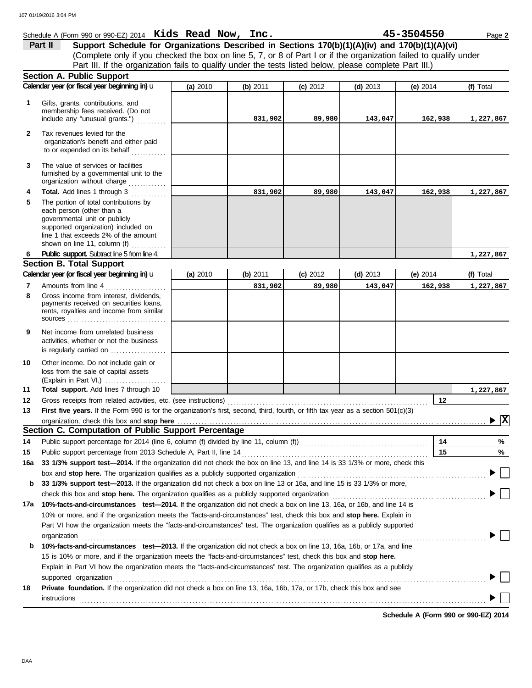|              | Schedule A (Form 990 or 990-EZ) 2014 Kids Read Now, Inc.                                                                           |          |          |          |            | 45-3504550 | Page 2                          |
|--------------|------------------------------------------------------------------------------------------------------------------------------------|----------|----------|----------|------------|------------|---------------------------------|
|              | Support Schedule for Organizations Described in Sections 170(b)(1)(A)(iv) and 170(b)(1)(A)(vi)<br>Part II                          |          |          |          |            |            |                                 |
|              | (Complete only if you checked the box on line 5, 7, or 8 of Part I or if the organization failed to qualify under                  |          |          |          |            |            |                                 |
|              | Part III. If the organization fails to qualify under the tests listed below, please complete Part III.)                            |          |          |          |            |            |                                 |
|              | <b>Section A. Public Support</b>                                                                                                   |          |          |          |            |            |                                 |
|              | Calendar year (or fiscal year beginning in) u                                                                                      | (a) 2010 | (b) 2011 | (c) 2012 | $(d)$ 2013 | (e) $2014$ | (f) Total                       |
|              |                                                                                                                                    |          |          |          |            |            |                                 |
| 1            | Gifts, grants, contributions, and<br>membership fees received. (Do not                                                             |          |          |          |            |            |                                 |
|              | include any "unusual grants.")                                                                                                     |          | 831,902  | 89,980   | 143,047    | 162,938    | 1,227,867                       |
| $\mathbf{2}$ | Tax revenues levied for the                                                                                                        |          |          |          |            |            |                                 |
|              | organization's benefit and either paid                                                                                             |          |          |          |            |            |                                 |
|              | to or expended on its behalf                                                                                                       |          |          |          |            |            |                                 |
| 3            | The value of services or facilities                                                                                                |          |          |          |            |            |                                 |
|              | furnished by a governmental unit to the                                                                                            |          |          |          |            |            |                                 |
|              | organization without charge                                                                                                        |          |          |          |            |            |                                 |
| 4            | Total. Add lines 1 through 3                                                                                                       |          | 831,902  | 89,980   | 143,047    | 162,938    | 1,227,867                       |
| 5            | The portion of total contributions by                                                                                              |          |          |          |            |            |                                 |
|              | each person (other than a<br>governmental unit or publicly                                                                         |          |          |          |            |            |                                 |
|              | supported organization) included on                                                                                                |          |          |          |            |            |                                 |
|              | line 1 that exceeds 2% of the amount                                                                                               |          |          |          |            |            |                                 |
|              | shown on line 11, column (f) $\ldots$                                                                                              |          |          |          |            |            |                                 |
| 6            | <b>Public support.</b> Subtract line 5 from line 4.                                                                                |          |          |          |            |            | 1,227,867                       |
|              | <b>Section B. Total Support</b>                                                                                                    |          |          |          |            |            |                                 |
|              | Calendar year (or fiscal year beginning in) u                                                                                      | (a) 2010 | (b) 2011 | (c) 2012 | $(d)$ 2013 | (e) $2014$ | (f) Total                       |
| 7            | Amounts from line 4<br>.                                                                                                           |          | 831,902  | 89,980   | 143,047    | 162,938    | 1,227,867                       |
| 8            | Gross income from interest, dividends,<br>payments received on securities loans,                                                   |          |          |          |            |            |                                 |
|              | rents, royalties and income from similar                                                                                           |          |          |          |            |            |                                 |
|              |                                                                                                                                    |          |          |          |            |            |                                 |
| 9            | Net income from unrelated business                                                                                                 |          |          |          |            |            |                                 |
|              | activities, whether or not the business                                                                                            |          |          |          |            |            |                                 |
|              | is regularly carried on                                                                                                            |          |          |          |            |            |                                 |
| 10           | Other income. Do not include gain or                                                                                               |          |          |          |            |            |                                 |
|              | loss from the sale of capital assets<br>(Explain in Part VI.)                                                                      |          |          |          |            |            |                                 |
| 11           | Total support. Add lines 7 through 10                                                                                              |          |          |          |            |            | 1,227,867                       |
| 12           |                                                                                                                                    |          |          |          |            | 12         |                                 |
| 13           | First five years. If the Form 990 is for the organization's first, second, third, fourth, or fifth tax year as a section 501(c)(3) |          |          |          |            |            |                                 |
|              | organization, check this box and stop here                                                                                         |          |          |          |            |            | $\blacktriangleright \boxed{X}$ |
|              | Section C. Computation of Public Support Percentage                                                                                |          |          |          |            |            |                                 |
| 14           | Public support percentage for 2014 (line 6, column (f) divided by line 11, column (f)) [[[[[[[[[[[[[[[[[[[[[[                      |          |          |          |            | 14         | %                               |
| 15           | Public support percentage from 2013 Schedule A, Part II, line 14                                                                   |          |          |          |            | 15         | $\%$                            |
| 16a          | 33 1/3% support test-2014. If the organization did not check the box on line 13, and line 14 is 33 1/3% or more, check this        |          |          |          |            |            |                                 |
|              | box and stop here. The organization qualifies as a publicly supported organization                                                 |          |          |          |            |            |                                 |
| b            | 33 1/3% support test-2013. If the organization did not check a box on line 13 or 16a, and line 15 is 33 1/3% or more,              |          |          |          |            |            |                                 |
|              | check this box and stop here. The organization qualifies as a publicly supported organization                                      |          |          |          |            |            |                                 |
| 17a          | 10%-facts-and-circumstances test-2014. If the organization did not check a box on line 13, 16a, or 16b, and line 14 is             |          |          |          |            |            |                                 |
|              | 10% or more, and if the organization meets the "facts-and-circumstances" test, check this box and stop here. Explain in            |          |          |          |            |            |                                 |
|              | Part VI how the organization meets the "facts-and-circumstances" test. The organization qualifies as a publicly supported          |          |          |          |            |            |                                 |
|              | organization                                                                                                                       |          |          |          |            |            |                                 |
| b            | 10%-facts-and-circumstances test-2013. If the organization did not check a box on line 13, 16a, 16b, or 17a, and line              |          |          |          |            |            |                                 |
|              | 15 is 10% or more, and if the organization meets the "facts-and-circumstances" test, check this box and stop here.                 |          |          |          |            |            |                                 |
|              | Explain in Part VI how the organization meets the "facts-and-circumstances" test. The organization qualifies as a publicly         |          |          |          |            |            |                                 |
|              | supported organization                                                                                                             |          |          |          |            |            |                                 |
| 18           | Private foundation. If the organization did not check a box on line 13, 16a, 16b, 17a, or 17b, check this box and see              |          |          |          |            |            |                                 |
|              | instructions                                                                                                                       |          |          |          |            |            |                                 |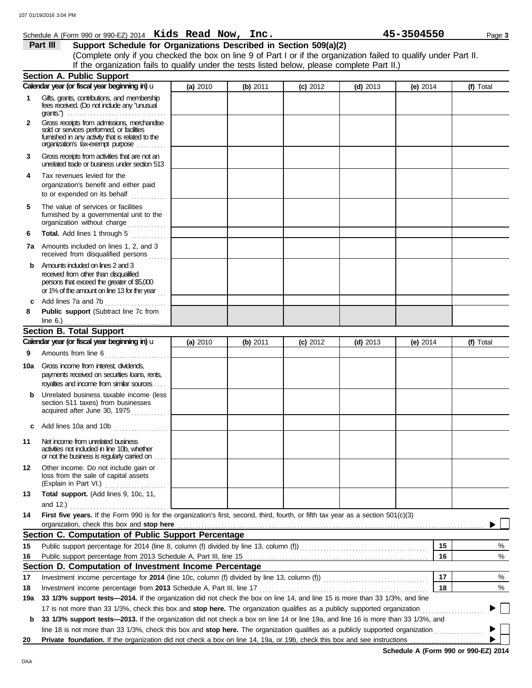# Schedule A (Form 990 or 990-EZ) 2014 Page **3 Kids Read Now, Inc. 45-3504550**

**Part III Support Schedule for Organizations Described in Section 509(a)(2)**

(Complete only if you checked the box on line 9 of Part I or if the organization failed to qualify under Part II. If the organization fails to qualify under the tests listed below, please complete Part II.)

|              | <b>Section A. Public Support</b>                                                                                                                                                                                                     |          |          |            |            |            |           |
|--------------|--------------------------------------------------------------------------------------------------------------------------------------------------------------------------------------------------------------------------------------|----------|----------|------------|------------|------------|-----------|
|              | Calendar year (or fiscal year beginning in) u                                                                                                                                                                                        | (a) 2010 | (b) 2011 | $(c)$ 2012 | (d) $2013$ | (e) $2014$ | (f) Total |
| 1            | Gifts, grants, contributions, and membership<br>fees received. (Do not include any "unusual                                                                                                                                          |          |          |            |            |            |           |
| $\mathbf{2}$ | Gross receipts from admissions, merchandise<br>sold or services performed, or facilities<br>fumished in any activity that is related to the<br>organization's tax-exempt purpose                                                     |          |          |            |            |            |           |
| 3            | Gross receipts from activities that are not an<br>unrelated trade or business under section 513                                                                                                                                      |          |          |            |            |            |           |
| 4            | Tax revenues levied for the<br>organization's benefit and either paid<br>to or expended on its behalf                                                                                                                                |          |          |            |            |            |           |
| 5            | The value of services or facilities<br>furnished by a governmental unit to the<br>organization without charge                                                                                                                        |          |          |            |            |            |           |
| 6            | Total. Add lines 1 through 5                                                                                                                                                                                                         |          |          |            |            |            |           |
|              | <b>7a</b> Amounts included on lines 1, 2, and 3<br>received from disqualified persons                                                                                                                                                |          |          |            |            |            |           |
|              | <b>b</b> Amounts included on lines 2 and 3<br>received from other than disqualified<br>persons that exceed the greater of \$5,000<br>or 1% of the amount on line 13 for the year                                                     |          |          |            |            |            |           |
|              | c Add lines 7a and 7b<br>.                                                                                                                                                                                                           |          |          |            |            |            |           |
| 8            | Public support (Subtract line 7c from                                                                                                                                                                                                |          |          |            |            |            |           |
|              | <b>Section B. Total Support</b>                                                                                                                                                                                                      |          |          |            |            |            |           |
|              | Calendar year (or fiscal year beginning in) u                                                                                                                                                                                        | (a) 2010 | (b) 2011 | (c) 2012   | $(d)$ 2013 | (e) $2014$ | (f) Total |
| 9            | Amounts from line 6                                                                                                                                                                                                                  |          |          |            |            |            |           |
| 10a          | Gross income from interest, dividends,<br>payments received on securities loans, rents,<br>royalties and income from similar sources                                                                                                 |          |          |            |            |            |           |
| b            | Unrelated business taxable income (less<br>section 511 taxes) from businesses<br>acquired after June 30, 1975                                                                                                                        |          |          |            |            |            |           |
|              | c Add lines 10a and 10b                                                                                                                                                                                                              |          |          |            |            |            |           |
| 11           | Net income from unrelated business<br>activities not induded in line 10b, whether<br>or not the business is regularly carried on                                                                                                     |          |          |            |            |            |           |
| 12           | Other income. Do not include gain or<br>loss from the sale of capital assets<br>(Explain in Part VI.)<br>.                                                                                                                           |          |          |            |            |            |           |
| 13           | Total support. (Add lines 9, 10c, 11,<br>and 12.) $\ldots$                                                                                                                                                                           |          |          |            |            |            |           |
| 14           | First five years. If the Form 990 is for the organization's first, second, third, fourth, or fifth tax year as a section 501(c)(3)                                                                                                   |          |          |            |            |            |           |
|              | organization, check this box and stop here <i>manual content of the content of the content of the content of the content of the content of the content of the content of the content of the content of the content of the conten</i> |          |          |            |            |            |           |
|              | Section C. Computation of Public Support Percentage                                                                                                                                                                                  |          |          |            |            |            |           |
| 15           | Public support percentage for 2014 (line 8, column (f) divided by line 13, column (f) [[[[[[[[[[[[[[[[[[[[[[[                                                                                                                        |          |          |            |            | 15         | %         |
| 16           |                                                                                                                                                                                                                                      |          |          |            |            | 16         | %         |
|              | Section D. Computation of Investment Income Percentage                                                                                                                                                                               |          |          |            |            |            |           |
| 17           |                                                                                                                                                                                                                                      |          |          |            |            | 17         | %         |
| 18           | Investment income percentage from 2013 Schedule A, Part III, line 17                                                                                                                                                                 |          |          |            |            | 18         | %         |
| 19a          | 33 1/3% support tests-2014. If the organization did not check the box on line 14, and line 15 is more than 33 1/3%, and line                                                                                                         |          |          |            |            |            |           |
|              | 17 is not more than 33 1/3%, check this box and stop here. The organization qualifies as a publicly supported organization                                                                                                           |          |          |            |            |            | $\Box$    |
| b            | 33 1/3% support tests-2013. If the organization did not check a box on line 14 or line 19a, and line 16 is more than 33 1/3%, and                                                                                                    |          |          |            |            |            |           |
|              |                                                                                                                                                                                                                                      |          |          |            |            |            |           |
| 20           | Private foundation. If the organization did not check a box on line 14, 19a, or 19b, check this box and see instructions                                                                                                             |          |          |            |            |            |           |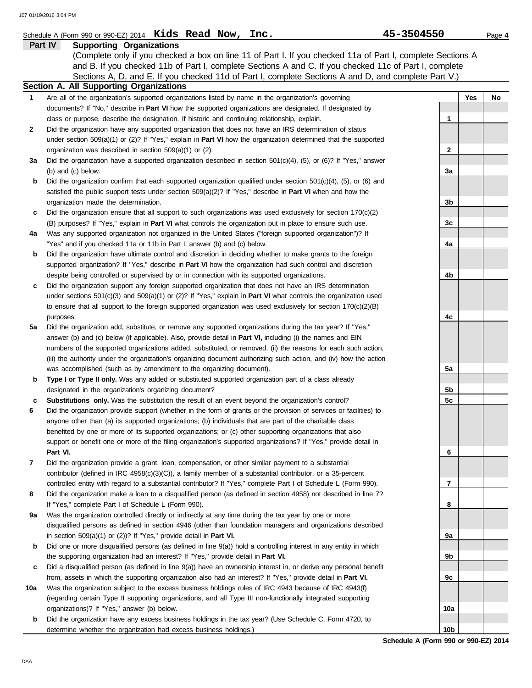|     | Schedule A (Form 990 or 990-EZ) 2014 Kids Read Now, Inc.                                                                   | 45-3504550      | Page 4    |
|-----|----------------------------------------------------------------------------------------------------------------------------|-----------------|-----------|
|     | Part IV<br><b>Supporting Organizations</b>                                                                                 |                 |           |
|     | (Complete only if you checked a box on line 11 of Part I. If you checked 11a of Part I, complete Sections A                |                 |           |
|     | and B. If you checked 11b of Part I, complete Sections A and C. If you checked 11c of Part I, complete                     |                 |           |
|     | Sections A, D, and E. If you checked 11d of Part I, complete Sections A and D, and complete Part V.)                       |                 |           |
|     | <b>Section A. All Supporting Organizations</b>                                                                             |                 |           |
| 1   | Are all of the organization's supported organizations listed by name in the organization's governing                       |                 | Yes<br>No |
|     | documents? If "No," describe in Part VI how the supported organizations are designated. If designated by                   |                 |           |
|     | class or purpose, describe the designation. If historic and continuing relationship, explain.                              | 1               |           |
| 2   | Did the organization have any supported organization that does not have an IRS determination of status                     |                 |           |
|     | under section $509(a)(1)$ or (2)? If "Yes," explain in <b>Part VI</b> how the organization determined that the supported   |                 |           |
|     | organization was described in section 509(a)(1) or (2).                                                                    | 2               |           |
| За  | Did the organization have a supported organization described in section $501(c)(4)$ , $(5)$ , or $(6)$ ? If "Yes," answer  |                 |           |
|     | (b) and (c) below.                                                                                                         | За              |           |
| b   | Did the organization confirm that each supported organization qualified under section $501(c)(4)$ , $(5)$ , or $(6)$ and   |                 |           |
|     | satisfied the public support tests under section $509(a)(2)$ ? If "Yes," describe in <b>Part VI</b> when and how the       |                 |           |
|     | organization made the determination.                                                                                       | 3b              |           |
| c   | Did the organization ensure that all support to such organizations was used exclusively for section $170(c)(2)$            |                 |           |
|     | (B) purposes? If "Yes," explain in Part VI what controls the organization put in place to ensure such use.                 | 3c              |           |
| 4a  | Was any supported organization not organized in the United States ("foreign supported organization")? If                   |                 |           |
|     | "Yes" and if you checked 11a or 11b in Part I, answer (b) and (c) below.                                                   | 4a              |           |
| b   | Did the organization have ultimate control and discretion in deciding whether to make grants to the foreign                |                 |           |
|     | supported organization? If "Yes," describe in Part VI how the organization had such control and discretion                 |                 |           |
|     | despite being controlled or supervised by or in connection with its supported organizations.                               | 4b              |           |
| c   | Did the organization support any foreign supported organization that does not have an IRS determination                    |                 |           |
|     | under sections $501(c)(3)$ and $509(a)(1)$ or (2)? If "Yes," explain in <b>Part VI</b> what controls the organization used |                 |           |
|     | to ensure that all support to the foreign supported organization was used exclusively for section $170(c)(2)(B)$           |                 |           |
|     | purposes.                                                                                                                  | 4c              |           |
| 5a  | Did the organization add, substitute, or remove any supported organizations during the tax year? If "Yes,"                 |                 |           |
|     | answer (b) and (c) below (if applicable). Also, provide detail in Part VI, including (i) the names and EIN                 |                 |           |
|     | numbers of the supported organizations added, substituted, or removed, (ii) the reasons for each such action,              |                 |           |
|     | (iii) the authority under the organization's organizing document authorizing such action, and (iv) how the action          |                 |           |
|     | was accomplished (such as by amendment to the organizing document).                                                        | 5a              |           |
| b   | Type I or Type II only. Was any added or substituted supported organization part of a class already                        |                 |           |
|     | designated in the organization's organizing document?                                                                      | 5b              |           |
| с   | Substitutions only. Was the substitution the result of an event beyond the organization's control?                         | 5c              |           |
| 6   | Did the organization provide support (whether in the form of grants or the provision of services or facilities) to         |                 |           |
|     | anyone other than (a) its supported organizations; (b) individuals that are part of the charitable class                   |                 |           |
|     | benefited by one or more of its supported organizations; or (c) other supporting organizations that also                   |                 |           |
|     | support or benefit one or more of the filing organization's supported organizations? If "Yes," provide detail in           |                 |           |
|     | Part VI.                                                                                                                   | 6               |           |
| 7   | Did the organization provide a grant, loan, compensation, or other similar payment to a substantial                        |                 |           |
|     | contributor (defined in IRC 4958(c)(3)(C)), a family member of a substantial contributor, or a 35-percent                  |                 |           |
|     | controlled entity with regard to a substantial contributor? If "Yes," complete Part I of Schedule L (Form 990).            | 7               |           |
| 8   | Did the organization make a loan to a disqualified person (as defined in section 4958) not described in line 7?            |                 |           |
|     | If "Yes," complete Part I of Schedule L (Form 990).                                                                        | 8               |           |
| 9а  | Was the organization controlled directly or indirectly at any time during the tax year by one or more                      |                 |           |
|     | disqualified persons as defined in section 4946 (other than foundation managers and organizations described                |                 |           |
|     | in section $509(a)(1)$ or $(2)$ ? If "Yes," provide detail in Part VI.                                                     | 9a              |           |
| b   | Did one or more disqualified persons (as defined in line $9(a)$ ) hold a controlling interest in any entity in which       |                 |           |
|     | the supporting organization had an interest? If "Yes," provide detail in Part VI.                                          | 9b              |           |
| c   | Did a disqualified person (as defined in line 9(a)) have an ownership interest in, or derive any personal benefit          |                 |           |
|     | from, assets in which the supporting organization also had an interest? If "Yes," provide detail in Part VI.               | 9c              |           |
| 10a | Was the organization subject to the excess business holdings rules of IRC 4943 because of IRC 4943(f)                      |                 |           |
|     | (regarding certain Type II supporting organizations, and all Type III non-functionally integrated supporting               |                 |           |
|     | organizations)? If "Yes," answer (b) below.                                                                                | 10a             |           |
| b   | Did the organization have any excess business holdings in the tax year? (Use Schedule C, Form 4720, to                     |                 |           |
|     | determine whether the organization had excess business holdings.)                                                          | 10 <sub>b</sub> |           |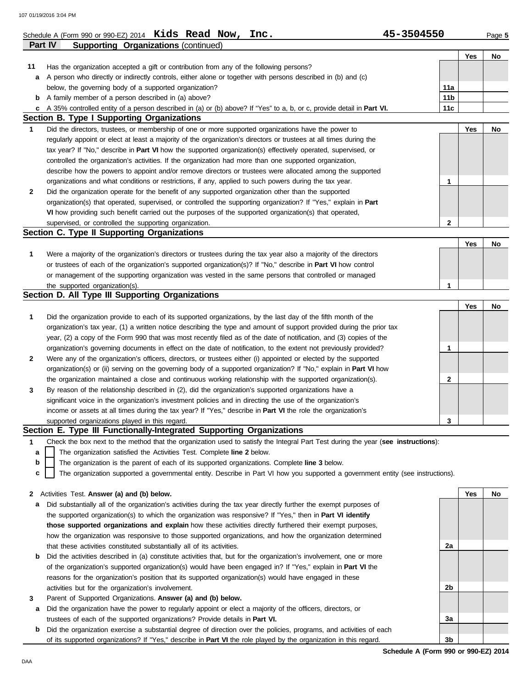# Schedule A (Form 990 or 990-EZ) 2014 Page **5 Kids Read Now, Inc. 45-3504550**

|    |                                                                                                                                                                                               |                        |     | ı ayu v |
|----|-----------------------------------------------------------------------------------------------------------------------------------------------------------------------------------------------|------------------------|-----|---------|
|    | Part IV<br><b>Supporting Organizations (continued)</b>                                                                                                                                        |                        |     |         |
|    |                                                                                                                                                                                               |                        | Yes | No      |
| 11 | Has the organization accepted a gift or contribution from any of the following persons?                                                                                                       |                        |     |         |
| a  | A person who directly or indirectly controls, either alone or together with persons described in (b) and (c)                                                                                  |                        |     |         |
|    | below, the governing body of a supported organization?                                                                                                                                        | 11a<br>11 <sub>b</sub> |     |         |
| b  | A family member of a person described in (a) above?                                                                                                                                           | 11c                    |     |         |
| c  | A 35% controlled entity of a person described in (a) or (b) above? If "Yes" to a, b, or c, provide detail in Part VI.<br><b>Section B. Type I Supporting Organizations</b>                    |                        |     |         |
| 1  | Did the directors, trustees, or membership of one or more supported organizations have the power to                                                                                           |                        | Yes | No      |
|    | regularly appoint or elect at least a majority of the organization's directors or trustees at all times during the                                                                            |                        |     |         |
|    | tax year? If "No," describe in <b>Part VI</b> how the supported organization(s) effectively operated, supervised, or                                                                          |                        |     |         |
|    | controlled the organization's activities. If the organization had more than one supported organization,                                                                                       |                        |     |         |
|    | describe how the powers to appoint and/or remove directors or trustees were allocated among the supported                                                                                     |                        |     |         |
|    | organizations and what conditions or restrictions, if any, applied to such powers during the tax year.                                                                                        | 1                      |     |         |
| 2  | Did the organization operate for the benefit of any supported organization other than the supported                                                                                           |                        |     |         |
|    | organization(s) that operated, supervised, or controlled the supporting organization? If "Yes," explain in Part                                                                               |                        |     |         |
|    | VI how providing such benefit carried out the purposes of the supported organization(s) that operated,                                                                                        |                        |     |         |
|    | supervised, or controlled the supporting organization.                                                                                                                                        | 2                      |     |         |
|    | Section C. Type II Supporting Organizations                                                                                                                                                   |                        |     |         |
|    |                                                                                                                                                                                               |                        | Yes | No      |
| 1  | Were a majority of the organization's directors or trustees during the tax year also a majority of the directors                                                                              |                        |     |         |
|    | or trustees of each of the organization's supported organization(s)? If "No," describe in Part VI how control                                                                                 |                        |     |         |
|    | or management of the supporting organization was vested in the same persons that controlled or managed                                                                                        |                        |     |         |
|    | the supported organization(s).                                                                                                                                                                | 1                      |     |         |
|    | Section D. All Type III Supporting Organizations                                                                                                                                              |                        |     |         |
|    |                                                                                                                                                                                               |                        | Yes | No      |
| 1  | Did the organization provide to each of its supported organizations, by the last day of the fifth month of the                                                                                |                        |     |         |
|    | organization's tax year, (1) a written notice describing the type and amount of support provided during the prior tax                                                                         |                        |     |         |
|    | year, (2) a copy of the Form 990 that was most recently filed as of the date of notification, and (3) copies of the                                                                           |                        |     |         |
|    | organization's governing documents in effect on the date of notification, to the extent not previously provided?                                                                              | 1                      |     |         |
| 2  | Were any of the organization's officers, directors, or trustees either (i) appointed or elected by the supported                                                                              |                        |     |         |
|    | organization(s) or (ii) serving on the governing body of a supported organization? If "No," explain in <b>Part VI</b> how                                                                     |                        |     |         |
|    | the organization maintained a close and continuous working relationship with the supported organization(s).                                                                                   | 2                      |     |         |
| 3  | By reason of the relationship described in (2), did the organization's supported organizations have a                                                                                         |                        |     |         |
|    | significant voice in the organization's investment policies and in directing the use of the organization's                                                                                    |                        |     |         |
|    | income or assets at all times during the tax year? If "Yes," describe in Part VI the role the organization's                                                                                  |                        |     |         |
|    | supported organizations played in this regard.                                                                                                                                                | 3                      |     |         |
|    | Section E. Type III Functionally-Integrated Supporting Organizations                                                                                                                          |                        |     |         |
| 1  | Check the box next to the method that the organization used to satisfy the Integral Part Test during the year (see instructions):                                                             |                        |     |         |
| а  | The organization satisfied the Activities Test. Complete line 2 below.                                                                                                                        |                        |     |         |
| b  | The organization is the parent of each of its supported organizations. Complete line 3 below.                                                                                                 |                        |     |         |
| с  | The organization supported a governmental entity. Describe in Part VI how you supported a government entity (see instructions).                                                               |                        |     |         |
|    |                                                                                                                                                                                               |                        |     |         |
| 2  | Activities Test. Answer (a) and (b) below.                                                                                                                                                    |                        | Yes | No      |
| а  | Did substantially all of the organization's activities during the tax year directly further the exempt purposes of                                                                            |                        |     |         |
|    | the supported organization(s) to which the organization was responsive? If "Yes," then in Part VI identify                                                                                    |                        |     |         |
|    | those supported organizations and explain how these activities directly furthered their exempt purposes,                                                                                      |                        |     |         |
|    | how the organization was responsive to those supported organizations, and how the organization determined                                                                                     |                        |     |         |
|    | that these activities constituted substantially all of its activities.<br>Did the activities described in (a) constitute activities that, but for the organization's involvement, one or more | 2a                     |     |         |
| b  | of the organization's supported organization(s) would have been engaged in? If "Yes," explain in <b>Part VI</b> the                                                                           |                        |     |         |
|    | reasons for the organization's position that its supported organization(s) would have engaged in these                                                                                        |                        |     |         |
|    | activities but for the organization's involvement.                                                                                                                                            | 2b                     |     |         |
| 3  | Parent of Supported Organizations. Answer (a) and (b) below.                                                                                                                                  |                        |     |         |
| a  | Did the organization have the power to regularly appoint or elect a majority of the officers, directors, or                                                                                   |                        |     |         |
|    | trustees of each of the supported organizations? Provide details in Part VI.                                                                                                                  | 3a                     |     |         |

**b** Did the organization exercise a substantial degree of direction over the policies, programs, and activities of each of its supported organizations? If "Yes," describe in **Part VI** the role played by the organization in this regard.

**Schedule A (Form 990 or 990-EZ) 2014 3b**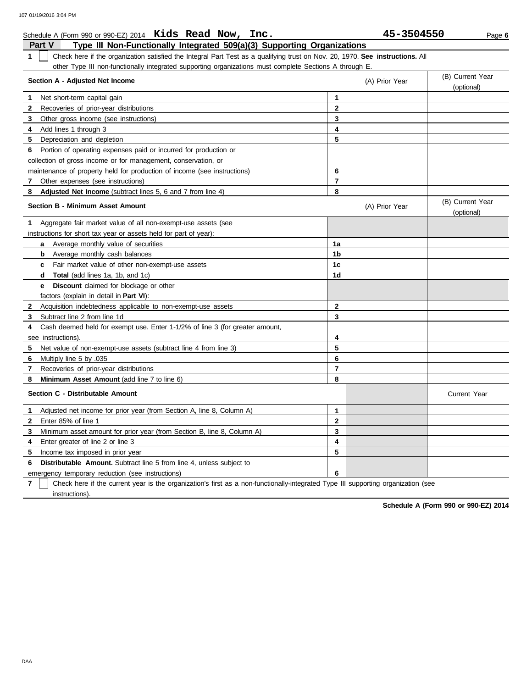|              | Schedule A (Form 990 or 990-EZ) 2014 Kids Read Now, Inc.                                                                      |                | 45-3504550     | Page 6                         |  |  |  |  |
|--------------|-------------------------------------------------------------------------------------------------------------------------------|----------------|----------------|--------------------------------|--|--|--|--|
|              | <b>Part V</b><br>Type III Non-Functionally Integrated 509(a)(3) Supporting Organizations                                      |                |                |                                |  |  |  |  |
| 1.           | Check here if the organization satisfied the Integral Part Test as a qualifying trust on Nov. 20, 1970. See instructions. All |                |                |                                |  |  |  |  |
|              | other Type III non-functionally integrated supporting organizations must complete Sections A through E.                       |                |                |                                |  |  |  |  |
|              | Section A - Adjusted Net Income                                                                                               |                | (A) Prior Year | (B) Current Year               |  |  |  |  |
|              |                                                                                                                               |                |                | (optional)                     |  |  |  |  |
| $\mathbf 1$  | Net short-term capital gain                                                                                                   | 1              |                |                                |  |  |  |  |
| $\mathbf{2}$ | Recoveries of prior-year distributions                                                                                        | $\mathbf{2}$   |                |                                |  |  |  |  |
| 3            | Other gross income (see instructions)                                                                                         | 3              |                |                                |  |  |  |  |
| 4            | Add lines 1 through 3                                                                                                         | 4              |                |                                |  |  |  |  |
| 5.           | Depreciation and depletion                                                                                                    | 5              |                |                                |  |  |  |  |
| 6            | Portion of operating expenses paid or incurred for production or                                                              |                |                |                                |  |  |  |  |
|              | collection of gross income or for management, conservation, or                                                                |                |                |                                |  |  |  |  |
|              | maintenance of property held for production of income (see instructions)                                                      | 6              |                |                                |  |  |  |  |
| 7            | Other expenses (see instructions)                                                                                             | $\overline{7}$ |                |                                |  |  |  |  |
| 8            | Adjusted Net Income (subtract lines 5, 6 and 7 from line 4)                                                                   | 8              |                |                                |  |  |  |  |
|              | Section B - Minimum Asset Amount                                                                                              |                | (A) Prior Year | (B) Current Year<br>(optional) |  |  |  |  |
| 1            | Aggregate fair market value of all non-exempt-use assets (see                                                                 |                |                |                                |  |  |  |  |
|              | instructions for short tax year or assets held for part of year):                                                             |                |                |                                |  |  |  |  |
|              | <b>a</b> Average monthly value of securities                                                                                  | 1a             |                |                                |  |  |  |  |
|              | Average monthly cash balances<br>b                                                                                            | 1 <sub>b</sub> |                |                                |  |  |  |  |
|              | Fair market value of other non-exempt-use assets<br>c                                                                         | 1c             |                |                                |  |  |  |  |
|              | <b>Total</b> (add lines 1a, 1b, and 1c)<br>d                                                                                  | 1 <sub>d</sub> |                |                                |  |  |  |  |
|              | Discount claimed for blockage or other<br>е                                                                                   |                |                |                                |  |  |  |  |
|              | factors (explain in detail in Part VI):                                                                                       |                |                |                                |  |  |  |  |
| $\mathbf{2}$ | Acquisition indebtedness applicable to non-exempt-use assets                                                                  | $\mathbf{2}$   |                |                                |  |  |  |  |
| 3            | Subtract line 2 from line 1d                                                                                                  | $\mathbf 3$    |                |                                |  |  |  |  |
| 4            | Cash deemed held for exempt use. Enter 1-1/2% of line 3 (for greater amount,                                                  |                |                |                                |  |  |  |  |
|              | see instructions)                                                                                                             | 4              |                |                                |  |  |  |  |
| 5            | Net value of non-exempt-use assets (subtract line 4 from line 3)                                                              | 5              |                |                                |  |  |  |  |
| 6            | Multiply line 5 by .035                                                                                                       | 6              |                |                                |  |  |  |  |
| 7            | Recoveries of prior-year distributions                                                                                        | $\overline{7}$ |                |                                |  |  |  |  |
| 8            | Minimum Asset Amount (add line 7 to line 6)                                                                                   | 8              |                |                                |  |  |  |  |
|              | Section C - Distributable Amount                                                                                              |                |                | <b>Current Year</b>            |  |  |  |  |
| 1            | Adjusted net income for prior year (from Section A, line 8, Column A)                                                         | 1              |                |                                |  |  |  |  |
| 2            | Enter 85% of line 1                                                                                                           | $\mathbf{2}$   |                |                                |  |  |  |  |
| 3            | Minimum asset amount for prior year (from Section B, line 8, Column A)                                                        | 3              |                |                                |  |  |  |  |
| 4            | Enter greater of line 2 or line 3                                                                                             | 4              |                |                                |  |  |  |  |
| 5            | Income tax imposed in prior year                                                                                              | 5              |                |                                |  |  |  |  |
| 6            | <b>Distributable Amount.</b> Subtract line 5 from line 4, unless subject to                                                   |                |                |                                |  |  |  |  |
|              | emergency temporary reduction (see instructions)                                                                              | 6              |                |                                |  |  |  |  |

**7** instructions). Check here if the current year is the organization's first as a non-functionally-integrated Type III supporting organization (see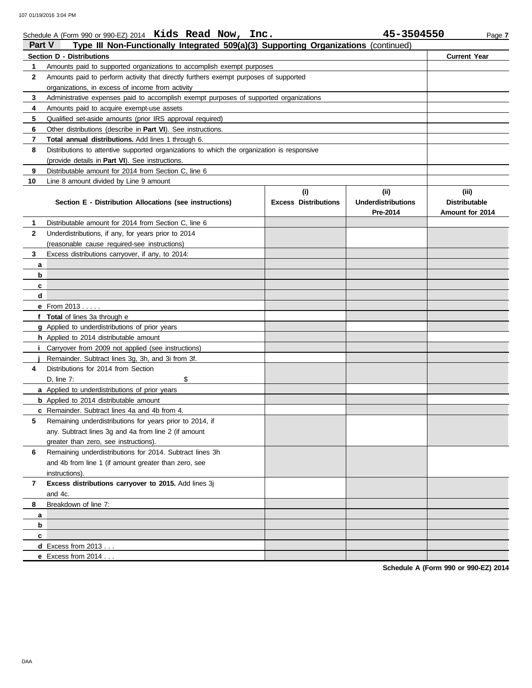|                                                                                               | Schedule A (Form 990 or 990-EZ) 2014 Kids Read Now, Inc.                                                  |                             | 45-3504550                | Page 7               |  |  |  |
|-----------------------------------------------------------------------------------------------|-----------------------------------------------------------------------------------------------------------|-----------------------------|---------------------------|----------------------|--|--|--|
| Part V<br>Type III Non-Functionally Integrated 509(a)(3) Supporting Organizations (continued) |                                                                                                           |                             |                           |                      |  |  |  |
|                                                                                               | <b>Section D - Distributions</b>                                                                          |                             |                           | <b>Current Year</b>  |  |  |  |
| 1                                                                                             | Amounts paid to supported organizations to accomplish exempt purposes                                     |                             |                           |                      |  |  |  |
| $\mathbf{2}$                                                                                  | Amounts paid to perform activity that directly furthers exempt purposes of supported                      |                             |                           |                      |  |  |  |
|                                                                                               | organizations, in excess of income from activity                                                          |                             |                           |                      |  |  |  |
| 3                                                                                             | Administrative expenses paid to accomplish exempt purposes of supported organizations                     |                             |                           |                      |  |  |  |
| 4                                                                                             | Amounts paid to acquire exempt-use assets                                                                 |                             |                           |                      |  |  |  |
| 5                                                                                             | Qualified set-aside amounts (prior IRS approval required)                                                 |                             |                           |                      |  |  |  |
| 6                                                                                             | Other distributions (describe in Part VI). See instructions.                                              |                             |                           |                      |  |  |  |
| 7                                                                                             | Total annual distributions. Add lines 1 through 6.                                                        |                             |                           |                      |  |  |  |
| 8                                                                                             | Distributions to attentive supported organizations to which the organization is responsive                |                             |                           |                      |  |  |  |
|                                                                                               | (provide details in Part VI). See instructions.                                                           |                             |                           |                      |  |  |  |
| 9                                                                                             | Distributable amount for 2014 from Section C, line 6                                                      |                             |                           |                      |  |  |  |
| 10                                                                                            | Line 8 amount divided by Line 9 amount                                                                    |                             |                           |                      |  |  |  |
|                                                                                               |                                                                                                           | (i)                         | (i)                       | (iii)                |  |  |  |
|                                                                                               | Section E - Distribution Allocations (see instructions)                                                   | <b>Excess Distributions</b> | <b>Underdistributions</b> | <b>Distributable</b> |  |  |  |
|                                                                                               |                                                                                                           |                             | Pre-2014                  | Amount for 2014      |  |  |  |
| 1                                                                                             | Distributable amount for 2014 from Section C, line 6                                                      |                             |                           |                      |  |  |  |
| $\mathbf{2}$                                                                                  | Underdistributions, if any, for years prior to 2014                                                       |                             |                           |                      |  |  |  |
|                                                                                               | (reasonable cause required-see instructions)                                                              |                             |                           |                      |  |  |  |
| 3                                                                                             | Excess distributions carryover, if any, to 2014:                                                          |                             |                           |                      |  |  |  |
| a                                                                                             |                                                                                                           |                             |                           |                      |  |  |  |
| b                                                                                             |                                                                                                           |                             |                           |                      |  |  |  |
| c                                                                                             |                                                                                                           |                             |                           |                      |  |  |  |
| d                                                                                             |                                                                                                           |                             |                           |                      |  |  |  |
|                                                                                               | e From 2013                                                                                               |                             |                           |                      |  |  |  |
|                                                                                               | f Total of lines 3a through e                                                                             |                             |                           |                      |  |  |  |
|                                                                                               | g Applied to underdistributions of prior years                                                            |                             |                           |                      |  |  |  |
|                                                                                               | h Applied to 2014 distributable amount                                                                    |                             |                           |                      |  |  |  |
|                                                                                               | Carryover from 2009 not applied (see instructions)                                                        |                             |                           |                      |  |  |  |
|                                                                                               | Remainder. Subtract lines 3g, 3h, and 3i from 3f.                                                         |                             |                           |                      |  |  |  |
| 4                                                                                             | Distributions for 2014 from Section                                                                       |                             |                           |                      |  |  |  |
|                                                                                               | \$<br>D, line 7:                                                                                          |                             |                           |                      |  |  |  |
|                                                                                               | a Applied to underdistributions of prior years                                                            |                             |                           |                      |  |  |  |
|                                                                                               | <b>b</b> Applied to 2014 distributable amount                                                             |                             |                           |                      |  |  |  |
|                                                                                               |                                                                                                           |                             |                           |                      |  |  |  |
|                                                                                               | c Remainder. Subtract lines 4a and 4b from 4.<br>Remaining underdistributions for years prior to 2014, if |                             |                           |                      |  |  |  |
|                                                                                               |                                                                                                           |                             |                           |                      |  |  |  |
|                                                                                               | any. Subtract lines 3g and 4a from line 2 (if amount                                                      |                             |                           |                      |  |  |  |
|                                                                                               | greater than zero, see instructions).                                                                     |                             |                           |                      |  |  |  |
| 6                                                                                             | Remaining underdistributions for 2014. Subtract lines 3h                                                  |                             |                           |                      |  |  |  |
|                                                                                               | and 4b from line 1 (if amount greater than zero, see                                                      |                             |                           |                      |  |  |  |
|                                                                                               | instructions).                                                                                            |                             |                           |                      |  |  |  |
| 7                                                                                             | Excess distributions carryover to 2015. Add lines 3j                                                      |                             |                           |                      |  |  |  |
|                                                                                               | and 4c.                                                                                                   |                             |                           |                      |  |  |  |
| 8                                                                                             | Breakdown of line 7:                                                                                      |                             |                           |                      |  |  |  |
| a                                                                                             |                                                                                                           |                             |                           |                      |  |  |  |
| b                                                                                             |                                                                                                           |                             |                           |                      |  |  |  |
| c                                                                                             |                                                                                                           |                             |                           |                      |  |  |  |
|                                                                                               | <b>d</b> Excess from $2013$                                                                               |                             |                           |                      |  |  |  |
|                                                                                               | e Excess from $2014$                                                                                      |                             |                           |                      |  |  |  |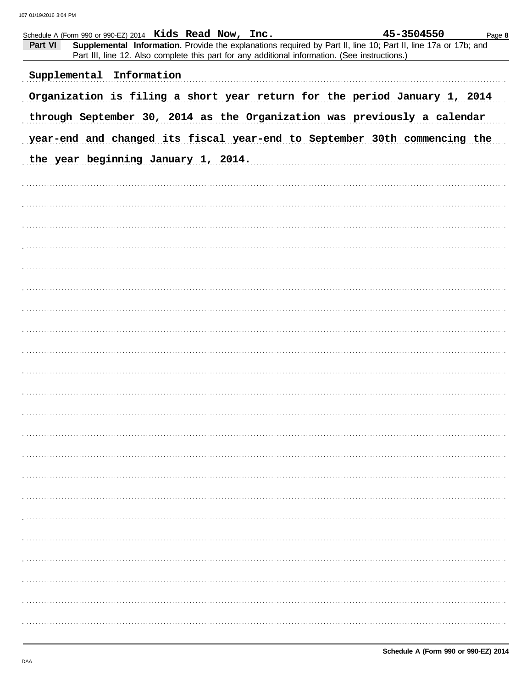| Part VI | Schedule A (Form 990 or 990-EZ) 2014 Kids Read Now, Inc.<br>Supplemental Information. Provide the explanations required by Part II, line 10; Part II, line 17a or 17b; and<br>Part III, line 12. Also complete this part for any additional information. (See instructions.) | 45-3504550<br>Page 8 |
|---------|------------------------------------------------------------------------------------------------------------------------------------------------------------------------------------------------------------------------------------------------------------------------------|----------------------|
|         | Supplemental<br>Information                                                                                                                                                                                                                                                  |                      |
|         | Organization is filing a short year return for the period January 1, 2014                                                                                                                                                                                                    |                      |
|         | through September 30, 2014 as the Organization was previously a calendar                                                                                                                                                                                                     |                      |
|         | year-end and changed its fiscal year-end to September 30th commencing the                                                                                                                                                                                                    |                      |
|         | the year beginning January 1, 2014.                                                                                                                                                                                                                                          |                      |
|         |                                                                                                                                                                                                                                                                              |                      |
|         |                                                                                                                                                                                                                                                                              |                      |
|         |                                                                                                                                                                                                                                                                              |                      |
|         |                                                                                                                                                                                                                                                                              |                      |
|         |                                                                                                                                                                                                                                                                              |                      |
|         |                                                                                                                                                                                                                                                                              |                      |
|         |                                                                                                                                                                                                                                                                              |                      |
|         |                                                                                                                                                                                                                                                                              |                      |
|         |                                                                                                                                                                                                                                                                              |                      |
|         |                                                                                                                                                                                                                                                                              |                      |
|         |                                                                                                                                                                                                                                                                              |                      |
|         |                                                                                                                                                                                                                                                                              |                      |
|         |                                                                                                                                                                                                                                                                              |                      |
|         |                                                                                                                                                                                                                                                                              |                      |
|         |                                                                                                                                                                                                                                                                              |                      |
|         |                                                                                                                                                                                                                                                                              |                      |
|         |                                                                                                                                                                                                                                                                              |                      |
|         |                                                                                                                                                                                                                                                                              |                      |
|         |                                                                                                                                                                                                                                                                              |                      |
|         |                                                                                                                                                                                                                                                                              |                      |
|         |                                                                                                                                                                                                                                                                              |                      |
|         |                                                                                                                                                                                                                                                                              |                      |
|         |                                                                                                                                                                                                                                                                              |                      |
|         |                                                                                                                                                                                                                                                                              |                      |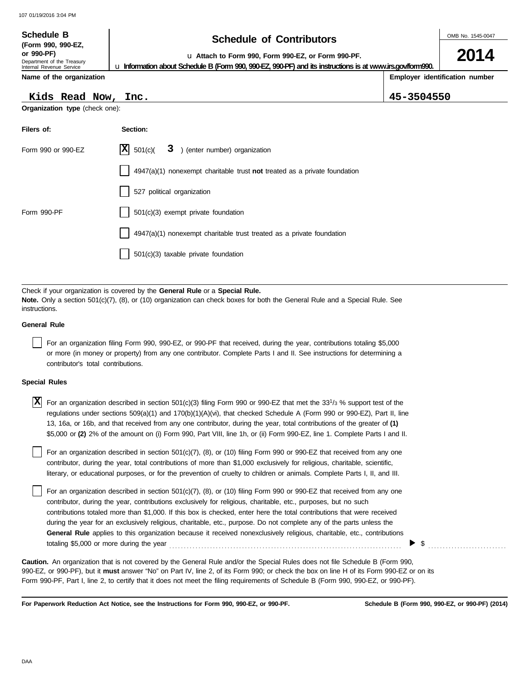| 107 01/19/2016 3:04 PM                                                                                          |                                                                                                                                                                                                      |                                |
|-----------------------------------------------------------------------------------------------------------------|------------------------------------------------------------------------------------------------------------------------------------------------------------------------------------------------------|--------------------------------|
| <b>Schedule B</b><br>(Form 990, 990-EZ,<br>or 990-PF)<br>Department of the Treasury<br>Internal Revenue Service | <b>Schedule of Contributors</b><br>La Attach to Form 990, Form 990-EZ, or Form 990-PF.<br>La Information about Schedule B (Form 990, 990-EZ, 990-PF) and its instructions is at www.irs.gov/form990. | OMB No. 1545-0047<br>2014      |
| Name of the organization                                                                                        |                                                                                                                                                                                                      | Employer identification number |
| Kids Read Now, Inc.                                                                                             |                                                                                                                                                                                                      | 45-3504550                     |
| <b>Organization type</b> (check one):                                                                           |                                                                                                                                                                                                      |                                |
| Filers of:                                                                                                      | Section:                                                                                                                                                                                             |                                |
| Form 990 or 990-EZ                                                                                              | X <br>501(c)<br>) (enter number) organization<br>3                                                                                                                                                   |                                |
|                                                                                                                 | $4947(a)(1)$ nonexempt charitable trust not treated as a private foundation                                                                                                                          |                                |
|                                                                                                                 | 527 political organization                                                                                                                                                                           |                                |
| Form 990-PF                                                                                                     | 501(c)(3) exempt private foundation                                                                                                                                                                  |                                |
|                                                                                                                 | 4947(a)(1) nonexempt charitable trust treated as a private foundation                                                                                                                                |                                |
|                                                                                                                 | $501(c)(3)$ taxable private foundation                                                                                                                                                               |                                |

Check if your organization is covered by the **General Rule** or a **Special Rule. Note.** Only a section 501(c)(7), (8), or (10) organization can check boxes for both the General Rule and a Special Rule. See instructions.

## **General Rule**

For an organization filing Form 990, 990-EZ, or 990-PF that received, during the year, contributions totaling \$5,000 or more (in money or property) from any one contributor. Complete Parts I and II. See instructions for determining a contributor's total contributions.

### **Special Rules**

 $\bm{X}$  For an organization described in section 501(c)(3) filing Form 990 or 990-EZ that met the 33<sup>1</sup>/<sub>3</sub> % support test of the regulations under sections 509(a)(1) and 170(b)(1)(A)(vi), that checked Schedule A (Form 990 or 990-EZ), Part II, line 13, 16a, or 16b, and that received from any one contributor, during the year, total contributions of the greater of **(1)** \$5,000 or **(2)** 2% of the amount on (i) Form 990, Part VIII, line 1h, or (ii) Form 990-EZ, line 1. Complete Parts I and II.

literary, or educational purposes, or for the prevention of cruelty to children or animals. Complete Parts I, II, and III. For an organization described in section  $501(c)(7)$ ,  $(8)$ , or  $(10)$  filing Form 990 or 990-EZ that received from any one contributor, during the year, total contributions of more than \$1,000 exclusively for religious, charitable, scientific,

For an organization described in section 501(c)(7), (8), or (10) filing Form 990 or 990-EZ that received from any one contributor, during the year, contributions exclusively for religious, charitable, etc., purposes, but no such contributions totaled more than \$1,000. If this box is checked, enter here the total contributions that were received during the year for an exclusively religious, charitable, etc., purpose. Do not complete any of the parts unless the General Rule applies to this organization because it received nonexclusively religious, charitable, etc., contributions totaling \$5,000 or more during the year . . . . . . . . . . . . . . . . . . . . . . . . . . . . . . . . . . . . . . . . . . . . . . . . . . . . . . . . . . . . . . . . . . . . . . . . . . . . . . . .

990-EZ, or 990-PF), but it **must** answer "No" on Part IV, line 2, of its Form 990; or check the box on line H of its Form 990-EZ or on its Form 990-PF, Part I, line 2, to certify that it does not meet the filing requirements of Schedule B (Form 990, 990-EZ, or 990-PF). **Caution.** An organization that is not covered by the General Rule and/or the Special Rules does not file Schedule B (Form 990,

**For Paperwork Reduction Act Notice, see the Instructions for Form 990, 990-EZ, or 990-PF.**

 $\triangleright$  \$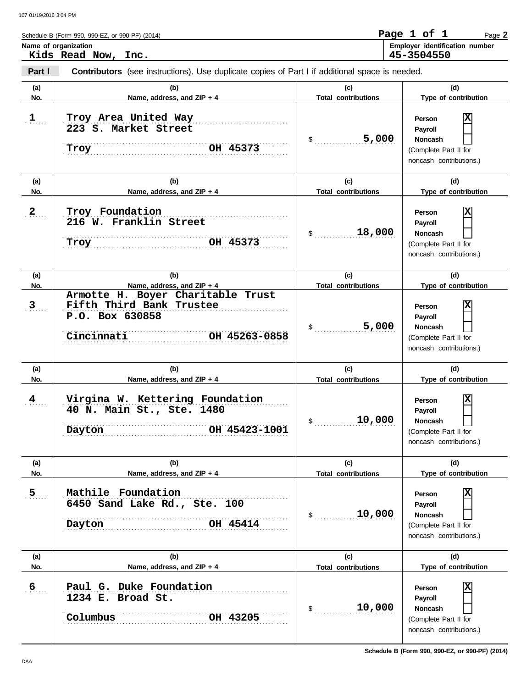. . . . . . . **3**

 $4 \quad .$ 

. . . . . . .

 $6$ ....

|            | Schedule B (Form 990, 990-EZ, or 990-PF) (2014)<br>Name of organization<br>Kids Read Now, Inc.        | Page 1 of 1<br>Page 2<br>Employer identification number<br>45-3504550 |                                                                                                                           |  |
|------------|-------------------------------------------------------------------------------------------------------|-----------------------------------------------------------------------|---------------------------------------------------------------------------------------------------------------------------|--|
| Part I     | <b>Contributors</b> (see instructions). Use duplicate copies of Part I if additional space is needed. |                                                                       |                                                                                                                           |  |
| (a)<br>No. | (b)<br>Name, address, and $ZIP + 4$                                                                   | (c)<br><b>Total contributions</b>                                     | (d)<br>Type of contribution                                                                                               |  |
| $1$        | Troy Area United Way<br>223 S. Market Street<br>Troy OH 45373                                         | 5,000<br>$\mathsf{\$}$                                                | $\overline{\mathbf{x}}$<br>Person<br><b>Payroll</b><br><b>Noncash</b><br>(Complete Part II for<br>noncash contributions.) |  |
| (a)<br>No. | (b)<br>Name, address, and ZIP + 4                                                                     | (c)<br><b>Total contributions</b>                                     | (d)<br>Type of contribution                                                                                               |  |
| 2          | Troy Foundation<br>216 W. Franklin Street<br>$V$ OH 45373<br>Troy                                     | 18,000<br>$\mathsf{\$}$                                               | X<br>Person<br><b>Payroll</b><br><b>Noncash</b><br>(Complete Part II for<br>noncash contributions.)                       |  |
| (a)<br>No. | (b)<br>Name, address, and ZIP + 4                                                                     | (c)<br><b>Total contributions</b>                                     | (d)<br>Type of contribution                                                                                               |  |

**(a) (b) (c) (d) No. Name, address, and ZIP + 4 Type of contribution**

**(a) (b) (c) (d) No. Name, address, and ZIP + 4 Type of contribution**

**(a) (b) (c) (d) No. Name, address, and ZIP + 4 Type of contribution**

OH 45414

. . . . . . . . . . . . . . . . . . . . . . . . . . . . . . . . . . . . . . . . . . . . . . . . . . . . . . . . . . . . . . . . . . . . . . . . . . . . . . . . . . . . . . . . . . . . . . . . . . . . . . . . . . . . . . . . . . . . . . . . . . . . . . . . . . . . . . . . . . . . . . . . . . . . . . . . . .

. . . . . . . . . . . . . . . . . . . . . . . . . . . . . . . . . . . . . . . . . . . . . . . . . . . . . . . . . . . . . . . . . . . . . . . . . . . . . **Dayton OH 45414**

. . . . . . . . . . . . . . . . . . . . . . . . . . . . . . . . . . . . . . . . . . . . . . . . . . . . . . . . . . . . . . . . . . . . . . . . . . . . . . . . . . . . . . . . . . . . . . . . . . . . . . . . . . . . . . . . . . . . . . . . . . . . . . . . . . . . . . . . . . . . . . . . . . . . . . . . . . **Dayton OH 45423-1001**

. . . . . . . . . . . . . . . . . . . . . . . . . . . . . . . . . . . . . . . . . . . . . . . . . . . . . . . . . . . . . . . . . . . . . . . . . . . . . **Fifth Third Bank Trustee**

**Armotte H. Boyer Charitable Trust**

**P.O. Box 630858**

. . . . . . . . . . . . . . . . . . . . . . . . . . . . . . . . . . . . . . . . . . . . . . . . . . . . . . . . . . . . . . . . . . . . . . . . . . . . . . . . . . . . . . . . . . . . . . . . . . . . . . . . . . . . . . . . . . . . . . . . . . . . . . . . . . . . . . . . . . . . . . . . . . . . . . . . . . **Cincinnati OH 45263-0858**

. . . . . . . . . . . . . . . . . . . . . . . . . . . . . . . . . . . . . . . . . . . . . . . . . . . . . . . . . . . . . . . . . . . . . . . . . . . . . **6 Paul G. Duke Foundation**

**Columbus OH 43205**

**1234 E. Broad St.**

. . . . . . . . . . . . . . . . . . . . . . . . . . . . . . . . . . . . . . . . . . . . . . . . . . . . . . . . . . . . . . . . . . . . . . . . . . . . . **5 Mathile Foundation**

**6450 Sand Lake Rd., Ste. 100**

 $\frac{4}{4}$  | Virgina W. Kettering Foundation

**40 N. Main St., Ste. 1480**

(Complete Part II for noncash contributions.)

**Person Payroll Noncash**

(Complete Part II for noncash contributions.)

**X**

**X**

**X**

**X**

(Complete Part II for noncash contributions.)

(Complete Part II for noncash contributions.)

\$ . . . . . . . . . . . . . . . . . . . . . . . . . . . . **5,000**

**Total contributions**

**10,000**

\$ . . . . . . . . . . . . . . . . . . . . . . . . . . . . **10,000**

**Total contributions**

\$ . . . . . . . . . . . . . . . . . . . . . . . . . . . . **10,000**

**Total contributions**

 $\frac{1}{2}$ 

**Person Payroll Noncash**

**Person Payroll Noncash**

**Person Payroll Noncash**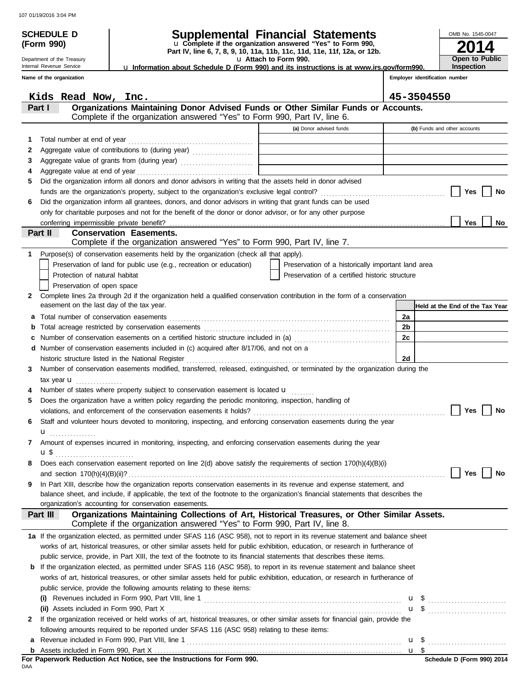**(Form 990)**

Department of the Treasury Internal Revenue Service

# **SCHEDULE D Supplemental Financial Statements**

**Part IV, line 6, 7, 8, 9, 10, 11a, 11b, 11c, 11d, 11e, 11f, 12a, or 12b.** u **Complete if the organization answered "Yes" to Form 990,**

u **Attach to Form 990.**  u **Information about Schedule D (Form 990) and its instructions is at www.irs.gov/form990.**

**2014** OMB No. 1545-0047 **Open to Public Inspection**

**Employer identification number**

|   | Name of the organization                                                                                                                                                                                                                                     |                                                    | Employer identification number  |
|---|--------------------------------------------------------------------------------------------------------------------------------------------------------------------------------------------------------------------------------------------------------------|----------------------------------------------------|---------------------------------|
|   | Kids Read Now, Inc.                                                                                                                                                                                                                                          |                                                    | 45-3504550                      |
|   | Organizations Maintaining Donor Advised Funds or Other Similar Funds or Accounts.<br>Part I                                                                                                                                                                  |                                                    |                                 |
|   | Complete if the organization answered "Yes" to Form 990, Part IV, line 6.                                                                                                                                                                                    |                                                    |                                 |
|   |                                                                                                                                                                                                                                                              | (a) Donor advised funds                            | (b) Funds and other accounts    |
| 1 |                                                                                                                                                                                                                                                              |                                                    |                                 |
| 2 | Aggregate value of contributions to (during year) [1] [1] [1] Aggregate value of contributions to (during year)                                                                                                                                              |                                                    |                                 |
| 3 | Aggregate value of grants from (during year)                                                                                                                                                                                                                 |                                                    |                                 |
| 4 |                                                                                                                                                                                                                                                              |                                                    |                                 |
| 5 | Did the organization inform all donors and donor advisors in writing that the assets held in donor advised                                                                                                                                                   |                                                    |                                 |
|   |                                                                                                                                                                                                                                                              |                                                    | Yes<br>No                       |
|   | Did the organization inform all grantees, donors, and donor advisors in writing that grant funds can be used                                                                                                                                                 |                                                    |                                 |
|   | only for charitable purposes and not for the benefit of the donor or donor advisor, or for any other purpose                                                                                                                                                 |                                                    | Yes                             |
|   | <b>Conservation Easements.</b><br>Part II                                                                                                                                                                                                                    |                                                    | No                              |
|   | Complete if the organization answered "Yes" to Form 990, Part IV, line 7.                                                                                                                                                                                    |                                                    |                                 |
| 1 | Purpose(s) of conservation easements held by the organization (check all that apply).                                                                                                                                                                        |                                                    |                                 |
|   | Preservation of land for public use (e.g., recreation or education)                                                                                                                                                                                          | Preservation of a historically important land area |                                 |
|   | Protection of natural habitat                                                                                                                                                                                                                                | Preservation of a certified historic structure     |                                 |
|   | Preservation of open space                                                                                                                                                                                                                                   |                                                    |                                 |
| 2 | Complete lines 2a through 2d if the organization held a qualified conservation contribution in the form of a conservation                                                                                                                                    |                                                    |                                 |
|   | easement on the last day of the tax year.                                                                                                                                                                                                                    |                                                    | Held at the End of the Tax Year |
| a |                                                                                                                                                                                                                                                              |                                                    | 2a                              |
| b |                                                                                                                                                                                                                                                              |                                                    | 2 <sub>b</sub>                  |
| c | Number of conservation easements on a certified historic structure included in (a) [[[[[[[[[[[[[[[[[[[[[[[[]]]]]]]]                                                                                                                                          |                                                    | 2c                              |
| d | Number of conservation easements included in (c) acquired after 8/17/06, and not on a                                                                                                                                                                        |                                                    |                                 |
|   | historic structure listed in the National Register                                                                                                                                                                                                           |                                                    | 2d                              |
| 3 | Number of conservation easements modified, transferred, released, extinguished, or terminated by the organization during the                                                                                                                                 |                                                    |                                 |
|   | tax year $\mathbf{u}$                                                                                                                                                                                                                                        |                                                    |                                 |
| 4 | Number of states where property subject to conservation easement is located <b>u</b>                                                                                                                                                                         |                                                    |                                 |
| 5 | Does the organization have a written policy regarding the periodic monitoring, inspection, handling of                                                                                                                                                       |                                                    | Yes<br>No                       |
| 6 | Staff and volunteer hours devoted to monitoring, inspecting, and enforcing conservation easements during the year                                                                                                                                            |                                                    |                                 |
|   | u                                                                                                                                                                                                                                                            |                                                    |                                 |
| 7 | Amount of expenses incurred in monitoring, inspecting, and enforcing conservation easements during the year                                                                                                                                                  |                                                    |                                 |
|   | u\$                                                                                                                                                                                                                                                          |                                                    |                                 |
|   | Does each conservation easement reported on line 2(d) above satisfy the requirements of section 170(h)(4)(B)(i)                                                                                                                                              |                                                    |                                 |
|   |                                                                                                                                                                                                                                                              |                                                    | Yes<br>No                       |
| 9 | In Part XIII, describe how the organization reports conservation easements in its revenue and expense statement, and                                                                                                                                         |                                                    |                                 |
|   | balance sheet, and include, if applicable, the text of the footnote to the organization's financial statements that describes the                                                                                                                            |                                                    |                                 |
|   | organization's accounting for conservation easements.                                                                                                                                                                                                        |                                                    |                                 |
|   | Organizations Maintaining Collections of Art, Historical Treasures, or Other Similar Assets.<br>Part III                                                                                                                                                     |                                                    |                                 |
|   | Complete if the organization answered "Yes" to Form 990, Part IV, line 8.                                                                                                                                                                                    |                                                    |                                 |
|   | 1a If the organization elected, as permitted under SFAS 116 (ASC 958), not to report in its revenue statement and balance sheet                                                                                                                              |                                                    |                                 |
|   | works of art, historical treasures, or other similar assets held for public exhibition, education, or research in furtherance of                                                                                                                             |                                                    |                                 |
|   | public service, provide, in Part XIII, the text of the footnote to its financial statements that describes these items.<br><b>b</b> If the organization elected, as permitted under SFAS 116 (ASC 958), to report in its revenue statement and balance sheet |                                                    |                                 |
|   | works of art, historical treasures, or other similar assets held for public exhibition, education, or research in furtherance of                                                                                                                             |                                                    |                                 |
|   | public service, provide the following amounts relating to these items:                                                                                                                                                                                       |                                                    |                                 |
|   |                                                                                                                                                                                                                                                              |                                                    |                                 |
|   |                                                                                                                                                                                                                                                              |                                                    |                                 |
| 2 | If the organization received or held works of art, historical treasures, or other similar assets for financial gain, provide the                                                                                                                             |                                                    |                                 |
|   | following amounts required to be reported under SFAS 116 (ASC 958) relating to these items:                                                                                                                                                                  |                                                    |                                 |
| а |                                                                                                                                                                                                                                                              |                                                    |                                 |
|   |                                                                                                                                                                                                                                                              |                                                    | <b>u</b> \$                     |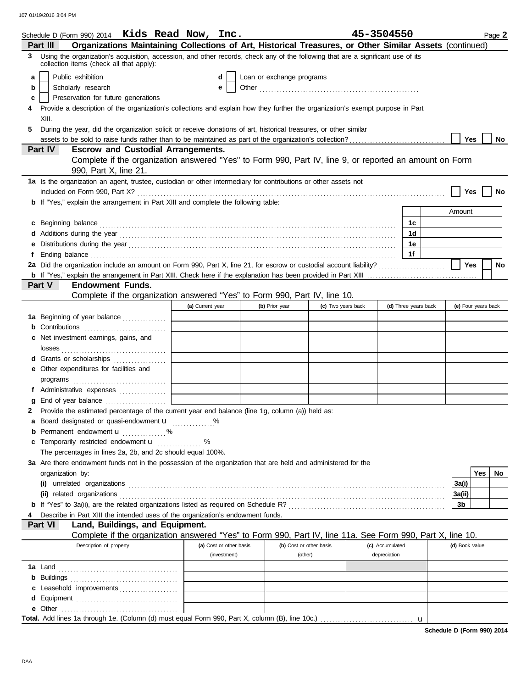|   | Schedule D (Form 990) 2014 $\,$ Kids Read Now, Inc.                                                                                                                                                                                  |                         |                           |                         | 45-3504550      |                      |  |                     |     | Page 2    |
|---|--------------------------------------------------------------------------------------------------------------------------------------------------------------------------------------------------------------------------------------|-------------------------|---------------------------|-------------------------|-----------------|----------------------|--|---------------------|-----|-----------|
|   | Organizations Maintaining Collections of Art, Historical Treasures, or Other Similar Assets (continued)<br>Part III                                                                                                                  |                         |                           |                         |                 |                      |  |                     |     |           |
| 3 | Using the organization's acquisition, accession, and other records, check any of the following that are a significant use of its<br>collection items (check all that apply):                                                         |                         |                           |                         |                 |                      |  |                     |     |           |
| a | Public exhibition                                                                                                                                                                                                                    | d                       | Loan or exchange programs |                         |                 |                      |  |                     |     |           |
| b | Scholarly research                                                                                                                                                                                                                   | е                       |                           |                         |                 |                      |  |                     |     |           |
| c | Preservation for future generations                                                                                                                                                                                                  |                         |                           |                         |                 |                      |  |                     |     |           |
|   | Provide a description of the organization's collections and explain how they further the organization's exempt purpose in Part                                                                                                       |                         |                           |                         |                 |                      |  |                     |     |           |
|   | XIII.                                                                                                                                                                                                                                |                         |                           |                         |                 |                      |  |                     |     |           |
| 5 | During the year, did the organization solicit or receive donations of art, historical treasures, or other similar                                                                                                                    |                         |                           |                         |                 |                      |  |                     |     |           |
|   |                                                                                                                                                                                                                                      |                         |                           |                         |                 |                      |  | <b>Yes</b>          |     | No        |
|   | Part IV<br><b>Escrow and Custodial Arrangements.</b>                                                                                                                                                                                 |                         |                           |                         |                 |                      |  |                     |     |           |
|   | Complete if the organization answered "Yes" to Form 990, Part IV, line 9, or reported an amount on Form                                                                                                                              |                         |                           |                         |                 |                      |  |                     |     |           |
|   | 990, Part X, line 21.                                                                                                                                                                                                                |                         |                           |                         |                 |                      |  |                     |     |           |
|   | 1a Is the organization an agent, trustee, custodian or other intermediary for contributions or other assets not                                                                                                                      |                         |                           |                         |                 |                      |  |                     |     |           |
|   |                                                                                                                                                                                                                                      |                         |                           |                         |                 |                      |  | Yes                 |     | No        |
|   | b If "Yes," explain the arrangement in Part XIII and complete the following table:                                                                                                                                                   |                         |                           |                         |                 |                      |  |                     |     |           |
|   |                                                                                                                                                                                                                                      |                         |                           |                         |                 |                      |  | Amount              |     |           |
|   | c Beginning balance <b>contract to the contract of the contract of the contract of the contract of the contract of the contract of the contract of the contract of the contract of the contract of the contract of the contract </b> |                         |                           |                         |                 | 1c                   |  |                     |     |           |
|   |                                                                                                                                                                                                                                      |                         |                           |                         |                 | 1d                   |  |                     |     |           |
| е |                                                                                                                                                                                                                                      |                         |                           |                         |                 | 1е                   |  |                     |     |           |
| f | Ending balance contains and a contact the contact of the contact of the contact of the contact of the contact of the contact of the contact of the contact of the contact of the contact of the contact of the contact of the        |                         |                           |                         |                 | 1f                   |  |                     |     |           |
|   | 2a Did the organization include an amount on Form 990, Part X, line 21, for escrow or custodial account liability?                                                                                                                   |                         |                           |                         |                 |                      |  | Yes                 |     | <b>No</b> |
|   |                                                                                                                                                                                                                                      |                         |                           |                         |                 |                      |  |                     |     |           |
|   | Part V<br><b>Endowment Funds.</b>                                                                                                                                                                                                    |                         |                           |                         |                 |                      |  |                     |     |           |
|   | Complete if the organization answered "Yes" to Form 990, Part IV, line 10.                                                                                                                                                           |                         |                           |                         |                 |                      |  |                     |     |           |
|   |                                                                                                                                                                                                                                      | (a) Current year        | (b) Prior year            | (c) Two years back      |                 | (d) Three years back |  | (e) Four years back |     |           |
|   | 1a Beginning of year balance                                                                                                                                                                                                         |                         |                           |                         |                 |                      |  |                     |     |           |
|   | <b>b</b> Contributions <b>contributions</b>                                                                                                                                                                                          |                         |                           |                         |                 |                      |  |                     |     |           |
|   | c Net investment earnings, gains, and                                                                                                                                                                                                |                         |                           |                         |                 |                      |  |                     |     |           |
|   |                                                                                                                                                                                                                                      |                         |                           |                         |                 |                      |  |                     |     |           |
|   | d Grants or scholarships<br>e Other expenditures for facilities and                                                                                                                                                                  |                         |                           |                         |                 |                      |  |                     |     |           |
|   |                                                                                                                                                                                                                                      |                         |                           |                         |                 |                      |  |                     |     |           |
|   | f Administrative expenses                                                                                                                                                                                                            |                         |                           |                         |                 |                      |  |                     |     |           |
| g | End of year balance                                                                                                                                                                                                                  |                         |                           |                         |                 |                      |  |                     |     |           |
| 2 | Provide the estimated percentage of the current year end balance (line 1g, column (a)) held as:                                                                                                                                      |                         |                           |                         |                 |                      |  |                     |     |           |
|   | a Board designated or quasi-endowment u                                                                                                                                                                                              |                         |                           |                         |                 |                      |  |                     |     |           |
|   | <b>b</b> Permanent endowment <b>u</b>                                                                                                                                                                                                |                         |                           |                         |                 |                      |  |                     |     |           |
|   | c Temporarily restricted endowment u                                                                                                                                                                                                 | %                       |                           |                         |                 |                      |  |                     |     |           |
|   | The percentages in lines 2a, 2b, and 2c should equal 100%.                                                                                                                                                                           |                         |                           |                         |                 |                      |  |                     |     |           |
|   | 3a Are there endowment funds not in the possession of the organization that are held and administered for the                                                                                                                        |                         |                           |                         |                 |                      |  |                     |     |           |
|   | organization by:                                                                                                                                                                                                                     |                         |                           |                         |                 |                      |  |                     | Yes | No.       |
|   |                                                                                                                                                                                                                                      |                         |                           |                         |                 |                      |  | 3a(i)               |     |           |
|   |                                                                                                                                                                                                                                      |                         |                           |                         |                 |                      |  | 3a(ii)              |     |           |
|   |                                                                                                                                                                                                                                      |                         |                           |                         |                 |                      |  | 3b                  |     |           |
|   | Describe in Part XIII the intended uses of the organization's endowment funds.                                                                                                                                                       |                         |                           |                         |                 |                      |  |                     |     |           |
|   | Part VI<br>Land, Buildings, and Equipment.                                                                                                                                                                                           |                         |                           |                         |                 |                      |  |                     |     |           |
|   | Complete if the organization answered "Yes" to Form 990, Part IV, line 11a. See Form 990, Part X, line 10.                                                                                                                           |                         |                           |                         |                 |                      |  |                     |     |           |
|   | Description of property                                                                                                                                                                                                              | (a) Cost or other basis |                           | (b) Cost or other basis | (c) Accumulated |                      |  | (d) Book value      |     |           |
|   |                                                                                                                                                                                                                                      | (investment)            |                           | (other)                 | depreciation    |                      |  |                     |     |           |
|   |                                                                                                                                                                                                                                      |                         |                           |                         |                 |                      |  |                     |     |           |
|   |                                                                                                                                                                                                                                      |                         |                           |                         |                 |                      |  |                     |     |           |
|   | c Leasehold improvements                                                                                                                                                                                                             |                         |                           |                         |                 |                      |  |                     |     |           |
|   |                                                                                                                                                                                                                                      |                         |                           |                         |                 |                      |  |                     |     |           |
|   |                                                                                                                                                                                                                                      |                         |                           |                         |                 |                      |  |                     |     |           |
|   | Total. Add lines 1a through 1e. (Column (d) must equal Form 990, Part X, column (B), line 10c.)                                                                                                                                      |                         |                           |                         |                 | u                    |  |                     |     |           |

**Schedule D (Form 990) 2014**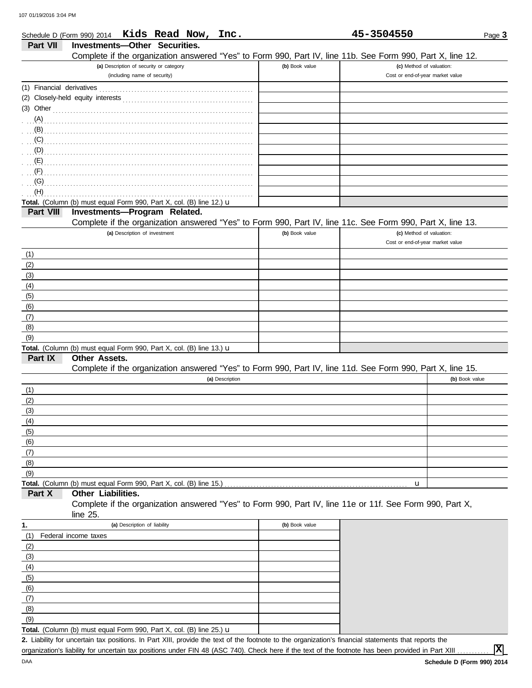|                           | Schedule D (Form 990) 2014 Kids Read Now, Inc.                                                             |                | 45-3504550                       | Page 3         |
|---------------------------|------------------------------------------------------------------------------------------------------------|----------------|----------------------------------|----------------|
| <b>Part VII</b>           | Investments-Other Securities.                                                                              |                |                                  |                |
|                           | Complete if the organization answered "Yes" to Form 990, Part IV, line 11b. See Form 990, Part X, line 12. |                |                                  |                |
|                           | (a) Description of security or category                                                                    | (b) Book value | (c) Method of valuation:         |                |
|                           | (including name of security)                                                                               |                | Cost or end-of-year market value |                |
| (1) Financial derivatives |                                                                                                            |                |                                  |                |
|                           |                                                                                                            |                |                                  |                |
|                           |                                                                                                            |                |                                  |                |
| (3) Other                 |                                                                                                            |                |                                  |                |
| (A)                       |                                                                                                            |                |                                  |                |
| (B)                       |                                                                                                            |                |                                  |                |
| (C)                       |                                                                                                            |                |                                  |                |
| (D)                       |                                                                                                            |                |                                  |                |
| (E)                       |                                                                                                            |                |                                  |                |
| (F)                       |                                                                                                            |                |                                  |                |
| (G)                       |                                                                                                            |                |                                  |                |
| (H)                       |                                                                                                            |                |                                  |                |
|                           | Total. (Column (b) must equal Form 990, Part X, col. (B) line 12.) u                                       |                |                                  |                |
| Part VIII                 | Investments-Program Related.                                                                               |                |                                  |                |
|                           | Complete if the organization answered "Yes" to Form 990, Part IV, line 11c. See Form 990, Part X, line 13. |                |                                  |                |
|                           | (a) Description of investment                                                                              | (b) Book value | (c) Method of valuation:         |                |
|                           |                                                                                                            |                | Cost or end-of-year market value |                |
|                           |                                                                                                            |                |                                  |                |
| (1)                       |                                                                                                            |                |                                  |                |
| (2)                       |                                                                                                            |                |                                  |                |
| (3)                       |                                                                                                            |                |                                  |                |
| (4)                       |                                                                                                            |                |                                  |                |
| (5)                       |                                                                                                            |                |                                  |                |
| (6)                       |                                                                                                            |                |                                  |                |
| (7)                       |                                                                                                            |                |                                  |                |
| (8)                       |                                                                                                            |                |                                  |                |
| (9)                       |                                                                                                            |                |                                  |                |
|                           | Total. (Column (b) must equal Form 990, Part X, col. (B) line 13.) u                                       |                |                                  |                |
| Part IX                   | Other Assets.                                                                                              |                |                                  |                |
|                           | Complete if the organization answered "Yes" to Form 990, Part IV, line 11d. See Form 990, Part X, line 15. |                |                                  |                |
|                           | (a) Description                                                                                            |                |                                  | (b) Book value |
|                           |                                                                                                            |                |                                  |                |
| (1)                       |                                                                                                            |                |                                  |                |
| (2)                       |                                                                                                            |                |                                  |                |
| (3)                       |                                                                                                            |                |                                  |                |
| (4)                       |                                                                                                            |                |                                  |                |
| (5)                       |                                                                                                            |                |                                  |                |
| (6)                       |                                                                                                            |                |                                  |                |
| (7)                       |                                                                                                            |                |                                  |                |
| (8)                       |                                                                                                            |                |                                  |                |
| (9)                       |                                                                                                            |                |                                  |                |
|                           | Total. (Column (b) must equal Form 990, Part X, col. (B) line 15.)                                         |                | u                                |                |
| Part X                    | Other Liabilities.                                                                                         |                |                                  |                |
|                           | Complete if the organization answered "Yes" to Form 990, Part IV, line 11e or 11f. See Form 990, Part X,   |                |                                  |                |
|                           | line 25.                                                                                                   |                |                                  |                |
|                           | (a) Description of liability                                                                               | (b) Book value |                                  |                |
| 1.                        |                                                                                                            |                |                                  |                |
| (1)                       | Federal income taxes                                                                                       |                |                                  |                |
| (2)                       |                                                                                                            |                |                                  |                |
| (3)                       |                                                                                                            |                |                                  |                |
| (4)                       |                                                                                                            |                |                                  |                |
| (5)                       |                                                                                                            |                |                                  |                |
| (6)                       |                                                                                                            |                |                                  |                |
| (7)                       |                                                                                                            |                |                                  |                |

Total. (Column (b) must equal Form 990, Part X, col. (B) line 25.) **u**  $(9)$ 

Liability for uncertain tax positions. In Part XIII, provide the text of the footnote to the organization's financial statements that reports the **2.** organization's liability for uncertain tax positions under FIN 48 (ASC 740). Check here if the text of the footnote has been provided in Part XIII

**X**

(8)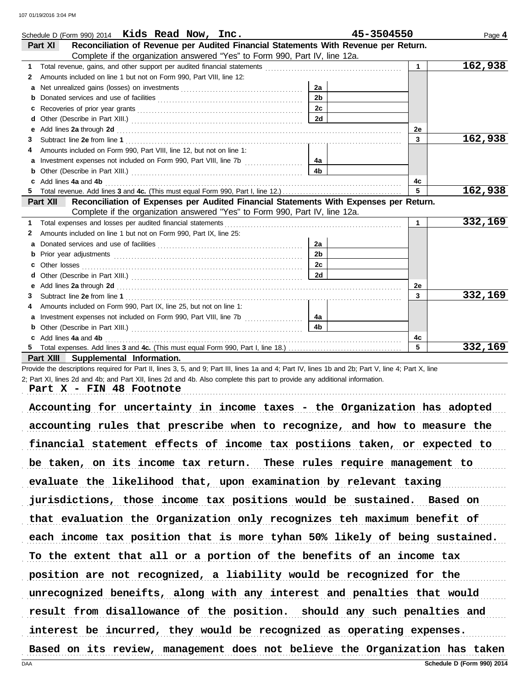|    | Schedule D (Form 990) 2014 Kids Read Now, Inc.                                                                                                                                                                                |                | 45-3504550   | Page 4  |
|----|-------------------------------------------------------------------------------------------------------------------------------------------------------------------------------------------------------------------------------|----------------|--------------|---------|
|    | Reconciliation of Revenue per Audited Financial Statements With Revenue per Return.<br><b>Part XI</b>                                                                                                                         |                |              |         |
|    | Complete if the organization answered "Yes" to Form 990, Part IV, line 12a.                                                                                                                                                   |                |              |         |
| 1  |                                                                                                                                                                                                                               |                | $\mathbf{1}$ | 162,938 |
| 2  | Amounts included on line 1 but not on Form 990, Part VIII, line 12:                                                                                                                                                           |                |              |         |
| a  |                                                                                                                                                                                                                               | 2a             |              |         |
| b  |                                                                                                                                                                                                                               | 2 <sub>b</sub> |              |         |
| c  |                                                                                                                                                                                                                               | 2c             |              |         |
| d  |                                                                                                                                                                                                                               | 2d             |              |         |
| е  | Add lines 2a through 2d [11] Add [12] Add lines 2a through 2d [12] Add lines 2a through 2d [12] Add lines 2a through 2d                                                                                                       |                | 2е           |         |
| 3  |                                                                                                                                                                                                                               |                | 3            | 162,938 |
| 4  | Amounts included on Form 990, Part VIII, line 12, but not on line 1:                                                                                                                                                          |                |              |         |
| а  |                                                                                                                                                                                                                               | 4а             |              |         |
|    |                                                                                                                                                                                                                               | 4b             |              |         |
|    | Add lines 4a and 4b                                                                                                                                                                                                           |                | 4c           |         |
| 5. |                                                                                                                                                                                                                               |                |              | 162,938 |
|    | Reconciliation of Expenses per Audited Financial Statements With Expenses per Return.<br>Part XII                                                                                                                             |                |              |         |
|    | Complete if the organization answered "Yes" to Form 990, Part IV, line 12a.                                                                                                                                                   |                |              |         |
| 1  | Total expenses and losses per audited financial statements                                                                                                                                                                    |                | $\mathbf 1$  | 332,169 |
| 2  | Amounts included on line 1 but not on Form 990, Part IX, line 25:                                                                                                                                                             |                |              |         |
| а  | Donated services and use of facilities [[11][11] contracts: [11] contracts: [11] contracts: [11] contracts: [1                                                                                                                | 2a             |              |         |
|    |                                                                                                                                                                                                                               | 2 <sub>b</sub> |              |         |
| c  |                                                                                                                                                                                                                               | 2c             |              |         |
| d  |                                                                                                                                                                                                                               | 2d             |              |         |
| е  | Add lines 2a through 2d [11] Add [12] Add [12] Add lines 2a through 2d [12] Add lines 2a through 2d [12] Add [12] Add [12] Add [12] Add [12] Add [12] Add [12] Add [12] Add [12] Add [12] Add [12] Add [12] Add [12] Add [12] |                | 2e           |         |
| 3  | Subtract line 2e from line 1                                                                                                                                                                                                  |                | 3            | 332,169 |
| 4  | Amounts included on Form 990, Part IX, line 25, but not on line 1:                                                                                                                                                            |                |              |         |
| а  |                                                                                                                                                                                                                               | 4a             |              |         |
|    |                                                                                                                                                                                                                               | 4b             |              |         |
|    | Add lines 4a and 4b                                                                                                                                                                                                           |                | 4c           |         |
|    |                                                                                                                                                                                                                               |                |              | 332,169 |

### **Part XIII Supplemental Information.**

Provide the descriptions required for Part II, lines 3, 5, and 9; Part III, lines 1a and 4; Part IV, lines 1b and 2b; Part V, line 4; Part X, line 2; Part XI, lines 2d and 4b; and Part XII, lines 2d and 4b. Also complete this part to provide any additional information.

Part X - FIN 48 Footnote

Accounting for uncertainty in income taxes - the Organization has adopted accounting rules that prescribe when to recognize, and how to measure the financial statement effects of income tax postiions taken, or expected to be taken, on its income tax return. These rules require management to evaluate the likelihood that, upon examination by relevant taxing jurisdictions, those income tax positions would be sustained. Based on To the extent that all or a portion of the benefits of an income tax that evaluation the Organization only recognizes teh maximum benefit of each income tax position that is more tyhan 50% likely of being sustained. position are not recognized, a liability would be recognized for the unrecognized beneifts, along with any interest and penalties that would interest be incurred, they would be recognized as operating expenses. result from disallowance of the position. should any such penalties and Based on its review, management does not believe the Organization has taken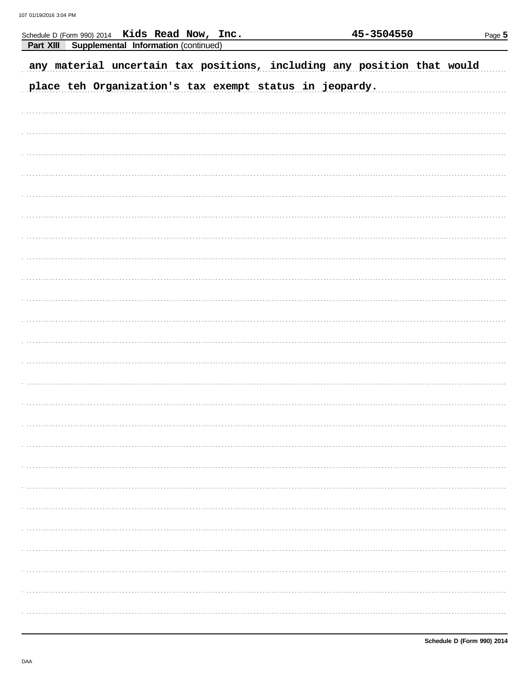| Schedule D (Form 990) 2014 Kids Read Now, Inc. |                                      |  |  |                                                         |  | 45-3504550                                                              | Page 5 |
|------------------------------------------------|--------------------------------------|--|--|---------------------------------------------------------|--|-------------------------------------------------------------------------|--------|
| Part XIII                                      | Supplemental Information (continued) |  |  |                                                         |  |                                                                         |        |
|                                                |                                      |  |  |                                                         |  | any material uncertain tax positions, including any position that would |        |
|                                                |                                      |  |  | place teh Organization's tax exempt status in jeopardy. |  |                                                                         |        |
|                                                |                                      |  |  |                                                         |  |                                                                         |        |
|                                                |                                      |  |  |                                                         |  |                                                                         |        |
|                                                |                                      |  |  |                                                         |  |                                                                         |        |
|                                                |                                      |  |  |                                                         |  |                                                                         |        |
|                                                |                                      |  |  |                                                         |  |                                                                         |        |
|                                                |                                      |  |  |                                                         |  |                                                                         |        |
|                                                |                                      |  |  |                                                         |  |                                                                         |        |
|                                                |                                      |  |  |                                                         |  |                                                                         |        |
|                                                |                                      |  |  |                                                         |  |                                                                         |        |
|                                                |                                      |  |  |                                                         |  |                                                                         |        |
|                                                |                                      |  |  |                                                         |  |                                                                         |        |
|                                                |                                      |  |  |                                                         |  |                                                                         |        |
|                                                |                                      |  |  |                                                         |  |                                                                         |        |
|                                                |                                      |  |  |                                                         |  |                                                                         |        |
|                                                |                                      |  |  |                                                         |  |                                                                         |        |
|                                                |                                      |  |  |                                                         |  |                                                                         |        |
|                                                |                                      |  |  |                                                         |  |                                                                         |        |
|                                                |                                      |  |  |                                                         |  |                                                                         |        |
|                                                |                                      |  |  |                                                         |  |                                                                         |        |
|                                                |                                      |  |  |                                                         |  |                                                                         |        |
|                                                |                                      |  |  |                                                         |  |                                                                         |        |
|                                                |                                      |  |  |                                                         |  |                                                                         |        |
|                                                |                                      |  |  |                                                         |  |                                                                         |        |
|                                                |                                      |  |  |                                                         |  |                                                                         |        |
|                                                |                                      |  |  |                                                         |  |                                                                         |        |
|                                                |                                      |  |  |                                                         |  |                                                                         |        |
|                                                |                                      |  |  |                                                         |  |                                                                         |        |
|                                                |                                      |  |  |                                                         |  |                                                                         |        |
|                                                |                                      |  |  |                                                         |  |                                                                         |        |
|                                                |                                      |  |  |                                                         |  |                                                                         |        |
|                                                |                                      |  |  |                                                         |  |                                                                         |        |
|                                                |                                      |  |  |                                                         |  |                                                                         |        |
|                                                |                                      |  |  |                                                         |  |                                                                         |        |
|                                                |                                      |  |  |                                                         |  |                                                                         |        |
|                                                |                                      |  |  |                                                         |  |                                                                         |        |
|                                                |                                      |  |  |                                                         |  |                                                                         |        |
|                                                |                                      |  |  |                                                         |  |                                                                         |        |